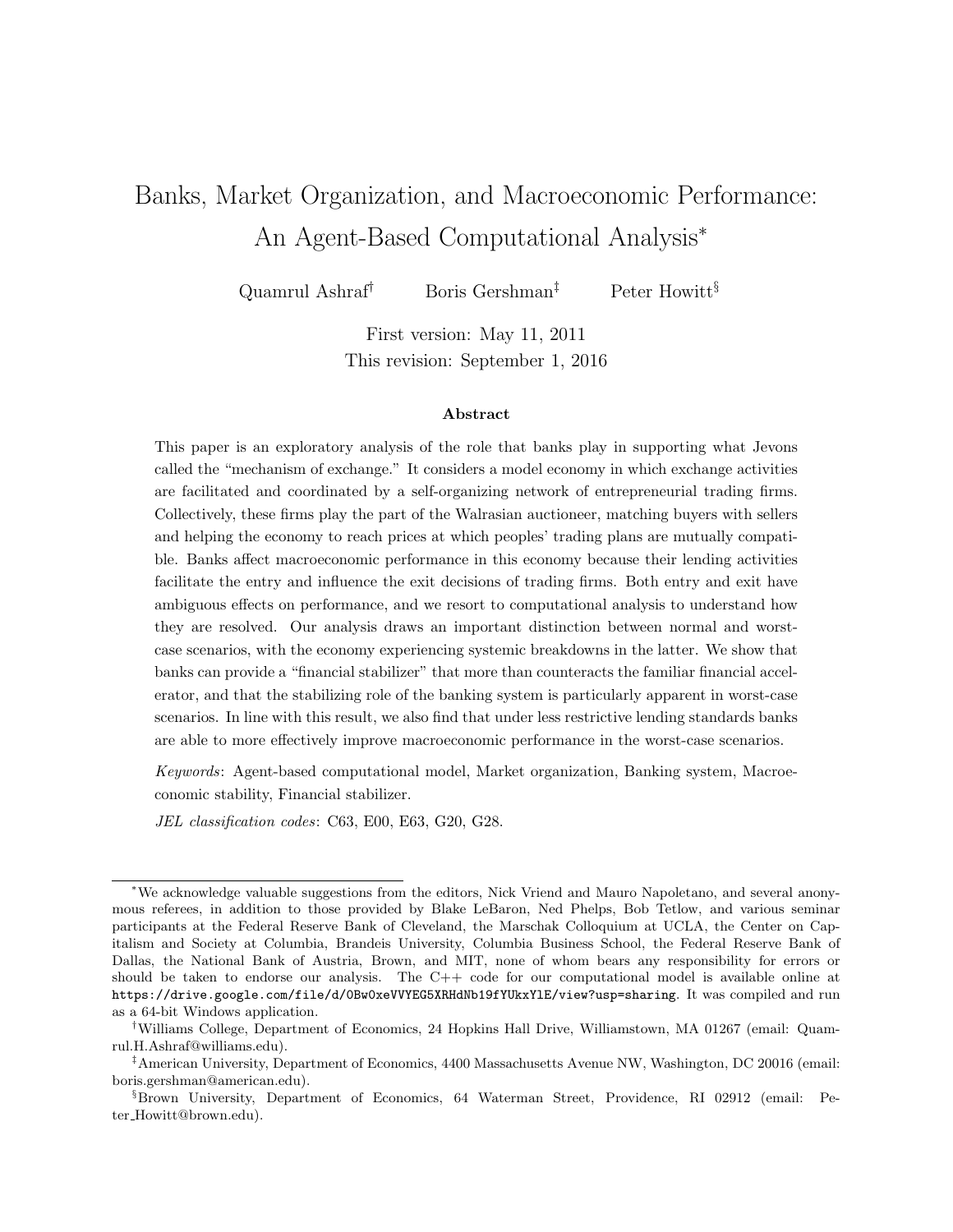# Banks, Market Organization, and Macroeconomic Performance: An Agent-Based Computational Analysis<sup>∗</sup>

Quamrul Ashraf<sup>†</sup> Boris Gershman<sup>‡</sup> Peter Howitt<sup>§</sup>

First version: May 11, 2011 This revision: September 1, 2016

#### Abstract

This paper is an exploratory analysis of the role that banks play in supporting what Jevons called the "mechanism of exchange." It considers a model economy in which exchange activities are facilitated and coordinated by a self-organizing network of entrepreneurial trading firms. Collectively, these firms play the part of the Walrasian auctioneer, matching buyers with sellers and helping the economy to reach prices at which peoples' trading plans are mutually compatible. Banks affect macroeconomic performance in this economy because their lending activities facilitate the entry and influence the exit decisions of trading firms. Both entry and exit have ambiguous effects on performance, and we resort to computational analysis to understand how they are resolved. Our analysis draws an important distinction between normal and worstcase scenarios, with the economy experiencing systemic breakdowns in the latter. We show that banks can provide a "financial stabilizer" that more than counteracts the familiar financial accelerator, and that the stabilizing role of the banking system is particularly apparent in worst-case scenarios. In line with this result, we also find that under less restrictive lending standards banks are able to more effectively improve macroeconomic performance in the worst-case scenarios.

Keywords: Agent-based computational model, Market organization, Banking system, Macroeconomic stability, Financial stabilizer.

JEL classification codes: C63, E00, E63, G20, G28.

<sup>∗</sup>We acknowledge valuable suggestions from the editors, Nick Vriend and Mauro Napoletano, and several anonymous referees, in addition to those provided by Blake LeBaron, Ned Phelps, Bob Tetlow, and various seminar participants at the Federal Reserve Bank of Cleveland, the Marschak Colloquium at UCLA, the Center on Capitalism and Society at Columbia, Brandeis University, Columbia Business School, the Federal Reserve Bank of Dallas, the National Bank of Austria, Brown, and MIT, none of whom bears any responsibility for errors or should be taken to endorse our analysis. The C++ code for our computational model is available online at <https://drive.google.com/file/d/0Bw0xeVVYEG5XRHdNb19fYUkxYlE/view?usp=sharing>. It was compiled and run as a 64-bit Windows application.

<sup>†</sup>Williams College, Department of Economics, 24 Hopkins Hall Drive, Williamstown, MA 01267 (email: [Quam](mailto:Quamrul.H.Ashraf@williams.edu)[rul.H.Ashraf@williams.edu\)](mailto:Quamrul.H.Ashraf@williams.edu).

<sup>‡</sup>American University, Department of Economics, 4400 Massachusetts Avenue NW, Washington, DC 20016 (email: [boris.gershman@american.edu\)](mailto:boris.gershman@american.edu).

<sup>§</sup>Brown University, Department of Economics, 64 Waterman Street, Providence, RI 02912 (email: [Pe](mailto:Peter_Howitt@brown.edu)ter [Howitt@brown.edu\)](mailto:Peter_Howitt@brown.edu).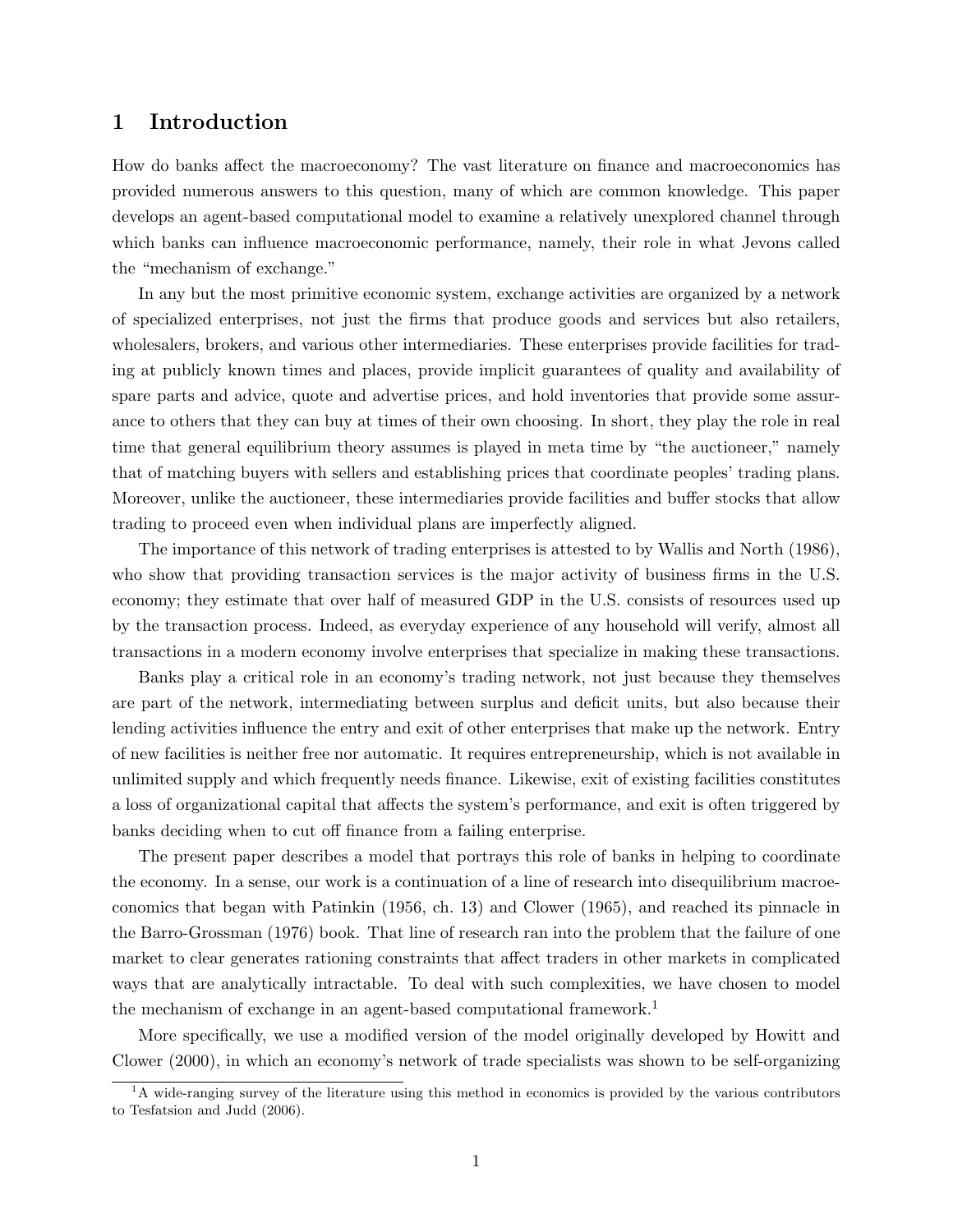## 1 Introduction

How do banks affect the macroeconomy? The vast literature on finance and macroeconomics has provided numerous answers to this question, many of which are common knowledge. This paper develops an agent-based computational model to examine a relatively unexplored channel through which banks can influence macroeconomic performance, namely, their role in what Jevons called the "mechanism of exchange."

In any but the most primitive economic system, exchange activities are organized by a network of specialized enterprises, not just the firms that produce goods and services but also retailers, wholesalers, brokers, and various other intermediaries. These enterprises provide facilities for trading at publicly known times and places, provide implicit guarantees of quality and availability of spare parts and advice, quote and advertise prices, and hold inventories that provide some assurance to others that they can buy at times of their own choosing. In short, they play the role in real time that general equilibrium theory assumes is played in meta time by "the auctioneer," namely that of matching buyers with sellers and establishing prices that coordinate peoples' trading plans. Moreover, unlike the auctioneer, these intermediaries provide facilities and buffer stocks that allow trading to proceed even when individual plans are imperfectly aligned.

The importance of this network of trading enterprises is attested to by Wallis and North (1986), who show that providing transaction services is the major activity of business firms in the U.S. economy; they estimate that over half of measured GDP in the U.S. consists of resources used up by the transaction process. Indeed, as everyday experience of any household will verify, almost all transactions in a modern economy involve enterprises that specialize in making these transactions.

Banks play a critical role in an economy's trading network, not just because they themselves are part of the network, intermediating between surplus and deficit units, but also because their lending activities influence the entry and exit of other enterprises that make up the network. Entry of new facilities is neither free nor automatic. It requires entrepreneurship, which is not available in unlimited supply and which frequently needs finance. Likewise, exit of existing facilities constitutes a loss of organizational capital that affects the system's performance, and exit is often triggered by banks deciding when to cut off finance from a failing enterprise.

The present paper describes a model that portrays this role of banks in helping to coordinate the economy. In a sense, our work is a continuation of a line of research into disequilibrium macroeconomics that began with Patinkin (1956, ch. 13) and Clower (1965), and reached its pinnacle in the Barro-Grossman (1976) book. That line of research ran into the problem that the failure of one market to clear generates rationing constraints that affect traders in other markets in complicated ways that are analytically intractable. To deal with such complexities, we have chosen to model the mechanism of exchange in an agent-based computational framework.<sup>[1](#page-1-0)</sup>

More specifically, we use a modified version of the model originally developed by Howitt and Clower (2000), in which an economy's network of trade specialists was shown to be self-organizing

<span id="page-1-0"></span> $1$ <sup>A</sup> wide-ranging survey of the literature using this method in economics is provided by the various contributors to Tesfatsion and Judd (2006).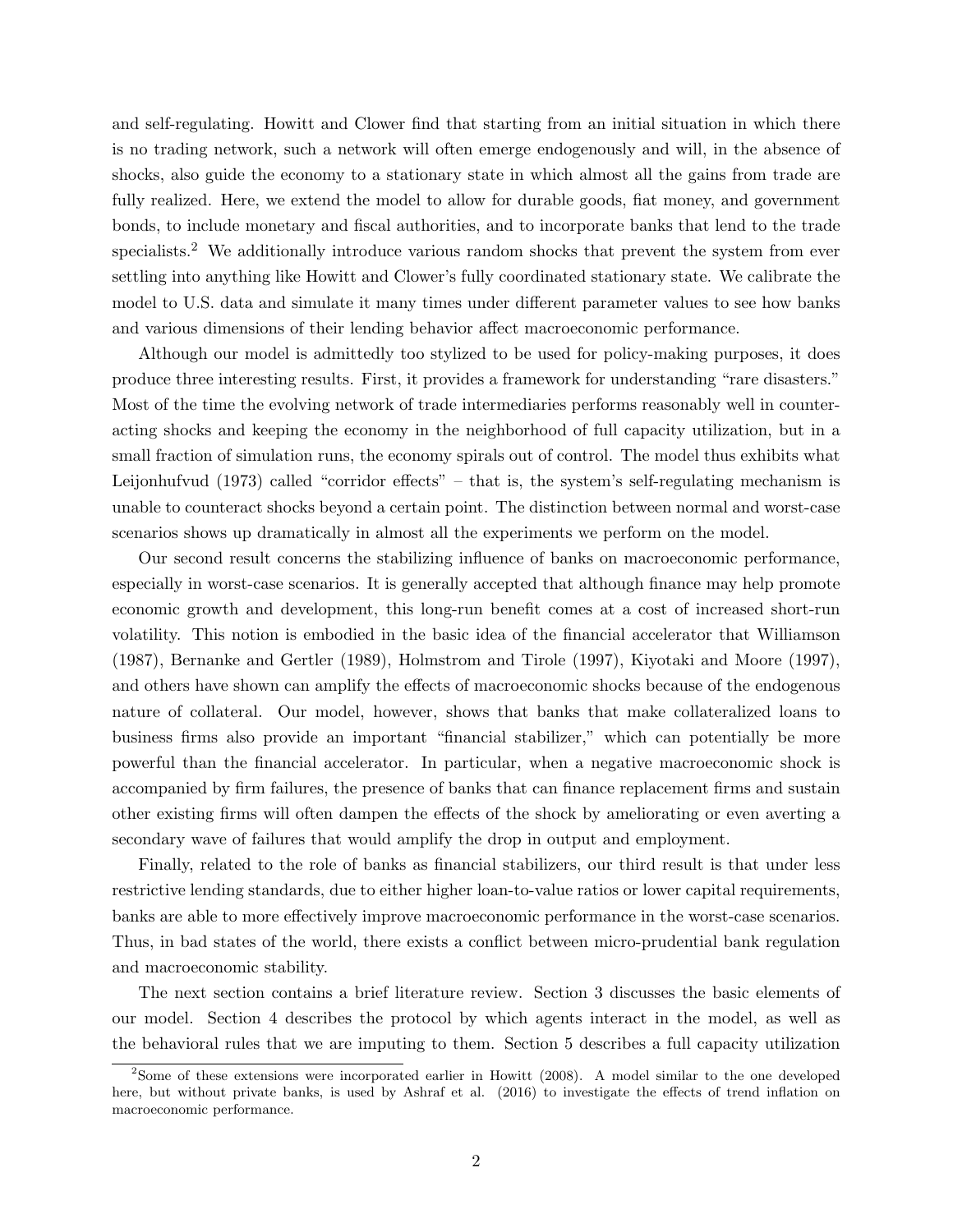and self-regulating. Howitt and Clower find that starting from an initial situation in which there is no trading network, such a network will often emerge endogenously and will, in the absence of shocks, also guide the economy to a stationary state in which almost all the gains from trade are fully realized. Here, we extend the model to allow for durable goods, fiat money, and government bonds, to include monetary and fiscal authorities, and to incorporate banks that lend to the trade specialists.<sup>[2](#page-2-0)</sup> We additionally introduce various random shocks that prevent the system from ever settling into anything like Howitt and Clower's fully coordinated stationary state. We calibrate the model to U.S. data and simulate it many times under different parameter values to see how banks and various dimensions of their lending behavior affect macroeconomic performance.

Although our model is admittedly too stylized to be used for policy-making purposes, it does produce three interesting results. First, it provides a framework for understanding "rare disasters." Most of the time the evolving network of trade intermediaries performs reasonably well in counteracting shocks and keeping the economy in the neighborhood of full capacity utilization, but in a small fraction of simulation runs, the economy spirals out of control. The model thus exhibits what Leijonhufvud (1973) called "corridor effects" – that is, the system's self-regulating mechanism is unable to counteract shocks beyond a certain point. The distinction between normal and worst-case scenarios shows up dramatically in almost all the experiments we perform on the model.

Our second result concerns the stabilizing influence of banks on macroeconomic performance, especially in worst-case scenarios. It is generally accepted that although finance may help promote economic growth and development, this long-run benefit comes at a cost of increased short-run volatility. This notion is embodied in the basic idea of the financial accelerator that Williamson (1987), Bernanke and Gertler (1989), Holmstrom and Tirole (1997), Kiyotaki and Moore (1997), and others have shown can amplify the effects of macroeconomic shocks because of the endogenous nature of collateral. Our model, however, shows that banks that make collateralized loans to business firms also provide an important "financial stabilizer," which can potentially be more powerful than the financial accelerator. In particular, when a negative macroeconomic shock is accompanied by firm failures, the presence of banks that can finance replacement firms and sustain other existing firms will often dampen the effects of the shock by ameliorating or even averting a secondary wave of failures that would amplify the drop in output and employment.

Finally, related to the role of banks as financial stabilizers, our third result is that under less restrictive lending standards, due to either higher loan-to-value ratios or lower capital requirements, banks are able to more effectively improve macroeconomic performance in the worst-case scenarios. Thus, in bad states of the world, there exists a conflict between micro-prudential bank regulation and macroeconomic stability.

The next section contains a brief literature review. Section [3](#page-4-0) discusses the basic elements of our model. Section [4](#page-9-0) describes the protocol by which agents interact in the model, as well as the behavioral rules that we are imputing to them. Section [5](#page-21-0) describes a full capacity utilization

<span id="page-2-0"></span><sup>2</sup>Some of these extensions were incorporated earlier in Howitt (2008). A model similar to the one developed here, but without private banks, is used by Ashraf et al. (2016) to investigate the effects of trend inflation on macroeconomic performance.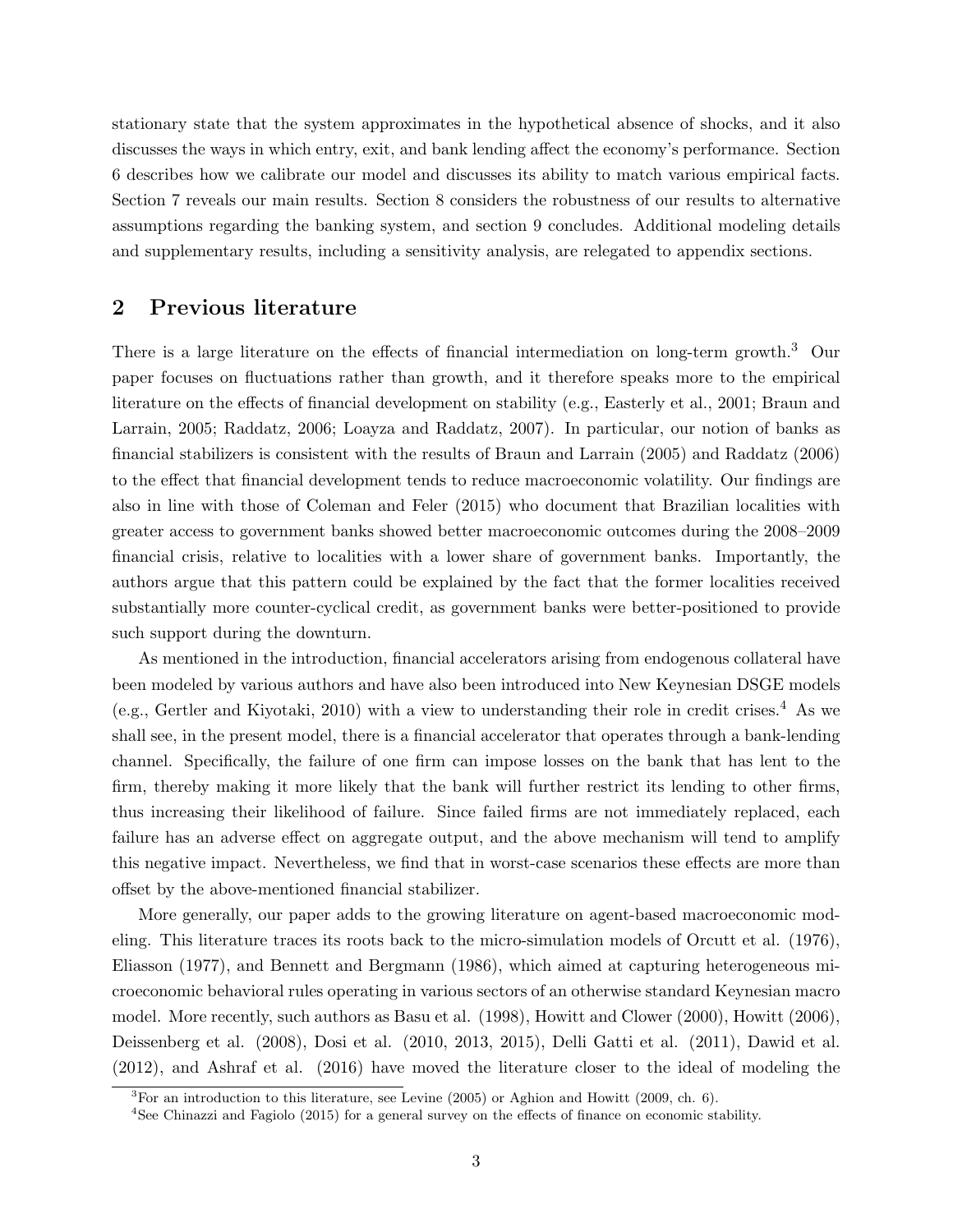stationary state that the system approximates in the hypothetical absence of shocks, and it also discusses the ways in which entry, exit, and bank lending affect the economy's performance. Section [6](#page-23-0) describes how we calibrate our model and discusses its ability to match various empirical facts. Section [7](#page-30-0) reveals our main results. Section [8](#page-41-0) considers the robustness of our results to alternative assumptions regarding the banking system, and section [9](#page-45-0) concludes. Additional modeling details and supplementary results, including a sensitivity analysis, are relegated to appendix sections.

## <span id="page-3-2"></span>2 Previous literature

There is a large literature on the effects of financial intermediation on long-term growth.[3](#page-3-0) Our paper focuses on fluctuations rather than growth, and it therefore speaks more to the empirical literature on the effects of financial development on stability (e.g., Easterly et al., 2001; Braun and Larrain, 2005; Raddatz, 2006; Loayza and Raddatz, 2007). In particular, our notion of banks as financial stabilizers is consistent with the results of Braun and Larrain (2005) and Raddatz (2006) to the effect that financial development tends to reduce macroeconomic volatility. Our findings are also in line with those of Coleman and Feler (2015) who document that Brazilian localities with greater access to government banks showed better macroeconomic outcomes during the 2008–2009 financial crisis, relative to localities with a lower share of government banks. Importantly, the authors argue that this pattern could be explained by the fact that the former localities received substantially more counter-cyclical credit, as government banks were better-positioned to provide such support during the downturn.

As mentioned in the introduction, financial accelerators arising from endogenous collateral have been modeled by various authors and have also been introduced into New Keynesian DSGE models (e.g., Gertler and Kiyotaki, 2010) with a view to understanding their role in credit crises.<sup>[4](#page-3-1)</sup> As we shall see, in the present model, there is a financial accelerator that operates through a bank-lending channel. Specifically, the failure of one firm can impose losses on the bank that has lent to the firm, thereby making it more likely that the bank will further restrict its lending to other firms, thus increasing their likelihood of failure. Since failed firms are not immediately replaced, each failure has an adverse effect on aggregate output, and the above mechanism will tend to amplify this negative impact. Nevertheless, we find that in worst-case scenarios these effects are more than offset by the above-mentioned financial stabilizer.

More generally, our paper adds to the growing literature on agent-based macroeconomic modeling. This literature traces its roots back to the micro-simulation models of Orcutt et al. (1976), Eliasson (1977), and Bennett and Bergmann (1986), which aimed at capturing heterogeneous microeconomic behavioral rules operating in various sectors of an otherwise standard Keynesian macro model. More recently, such authors as Basu et al. (1998), Howitt and Clower (2000), Howitt (2006), Deissenberg et al. (2008), Dosi et al. (2010, 2013, 2015), Delli Gatti et al. (2011), Dawid et al. (2012), and Ashraf et al. (2016) have moved the literature closer to the ideal of modeling the

<span id="page-3-0"></span><sup>&</sup>lt;sup>3</sup>For an introduction to this literature, see Levine (2005) or Aghion and Howitt (2009, ch. 6).

<span id="page-3-1"></span><sup>4</sup>See Chinazzi and Fagiolo (2015) for a general survey on the effects of finance on economic stability.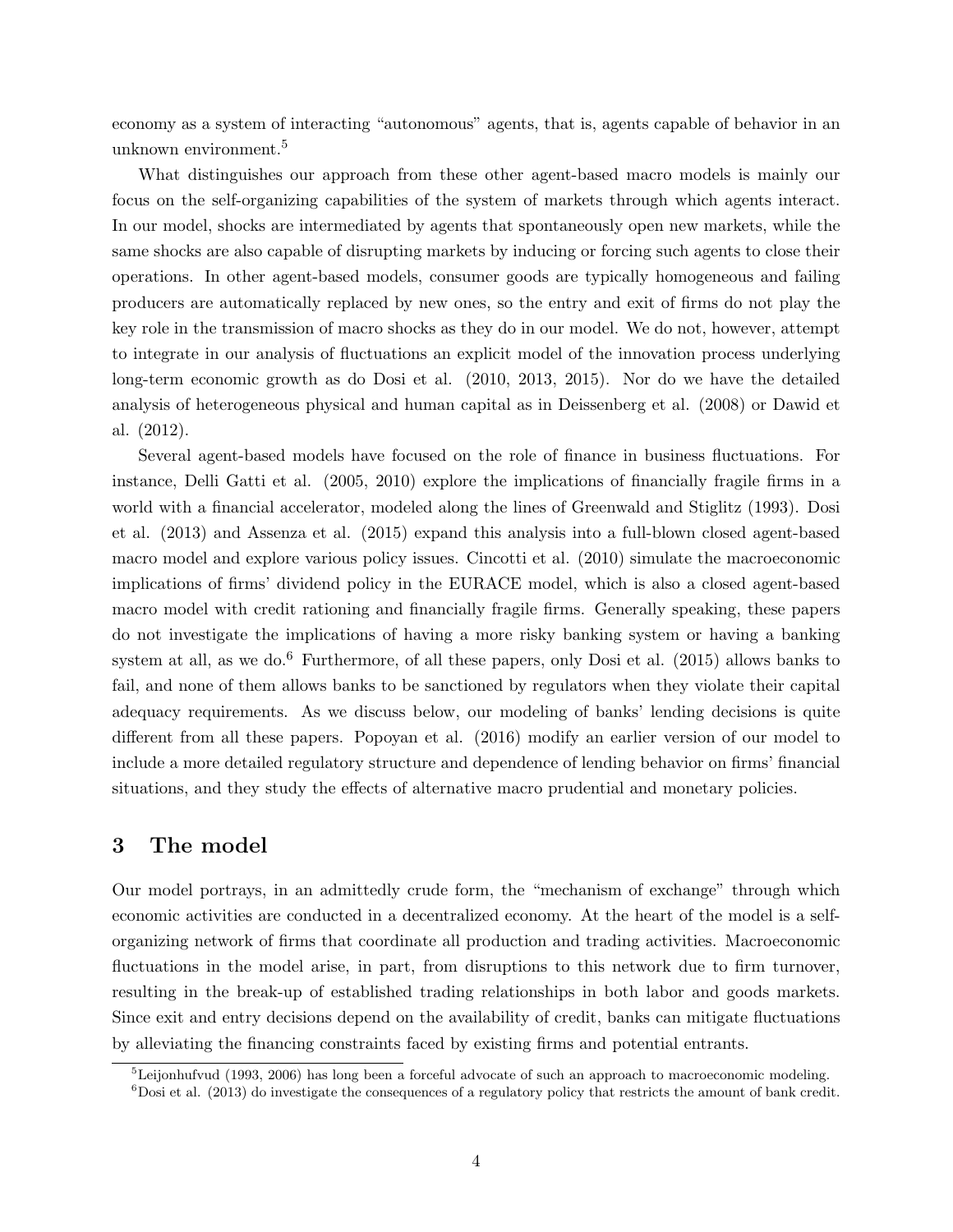economy as a system of interacting "autonomous" agents, that is, agents capable of behavior in an unknown environment.<sup>[5](#page-4-1)</sup>

What distinguishes our approach from these other agent-based macro models is mainly our focus on the self-organizing capabilities of the system of markets through which agents interact. In our model, shocks are intermediated by agents that spontaneously open new markets, while the same shocks are also capable of disrupting markets by inducing or forcing such agents to close their operations. In other agent-based models, consumer goods are typically homogeneous and failing producers are automatically replaced by new ones, so the entry and exit of firms do not play the key role in the transmission of macro shocks as they do in our model. We do not, however, attempt to integrate in our analysis of fluctuations an explicit model of the innovation process underlying long-term economic growth as do Dosi et al. (2010, 2013, 2015). Nor do we have the detailed analysis of heterogeneous physical and human capital as in Deissenberg et al. (2008) or Dawid et al. (2012).

Several agent-based models have focused on the role of finance in business fluctuations. For instance, Delli Gatti et al. (2005, 2010) explore the implications of financially fragile firms in a world with a financial accelerator, modeled along the lines of Greenwald and Stiglitz (1993). Dosi et al. (2013) and Assenza et al. (2015) expand this analysis into a full-blown closed agent-based macro model and explore various policy issues. Cincotti et al. (2010) simulate the macroeconomic implications of firms' dividend policy in the EURACE model, which is also a closed agent-based macro model with credit rationing and financially fragile firms. Generally speaking, these papers do not investigate the implications of having a more risky banking system or having a banking system at all, as we do.<sup>[6](#page-4-2)</sup> Furthermore, of all these papers, only Dosi et al.  $(2015)$  allows banks to fail, and none of them allows banks to be sanctioned by regulators when they violate their capital adequacy requirements. As we discuss below, our modeling of banks' lending decisions is quite different from all these papers. Popoyan et al. (2016) modify an earlier version of our model to include a more detailed regulatory structure and dependence of lending behavior on firms' financial situations, and they study the effects of alternative macro prudential and monetary policies.

## <span id="page-4-0"></span>3 The model

Our model portrays, in an admittedly crude form, the "mechanism of exchange" through which economic activities are conducted in a decentralized economy. At the heart of the model is a selforganizing network of firms that coordinate all production and trading activities. Macroeconomic fluctuations in the model arise, in part, from disruptions to this network due to firm turnover, resulting in the break-up of established trading relationships in both labor and goods markets. Since exit and entry decisions depend on the availability of credit, banks can mitigate fluctuations by alleviating the financing constraints faced by existing firms and potential entrants.

<span id="page-4-1"></span> $5$ Leijonhufvud (1993, 2006) has long been a forceful advocate of such an approach to macroeconomic modeling.

<span id="page-4-2"></span> $6D$ osi et al. (2013) do investigate the consequences of a regulatory policy that restricts the amount of bank credit.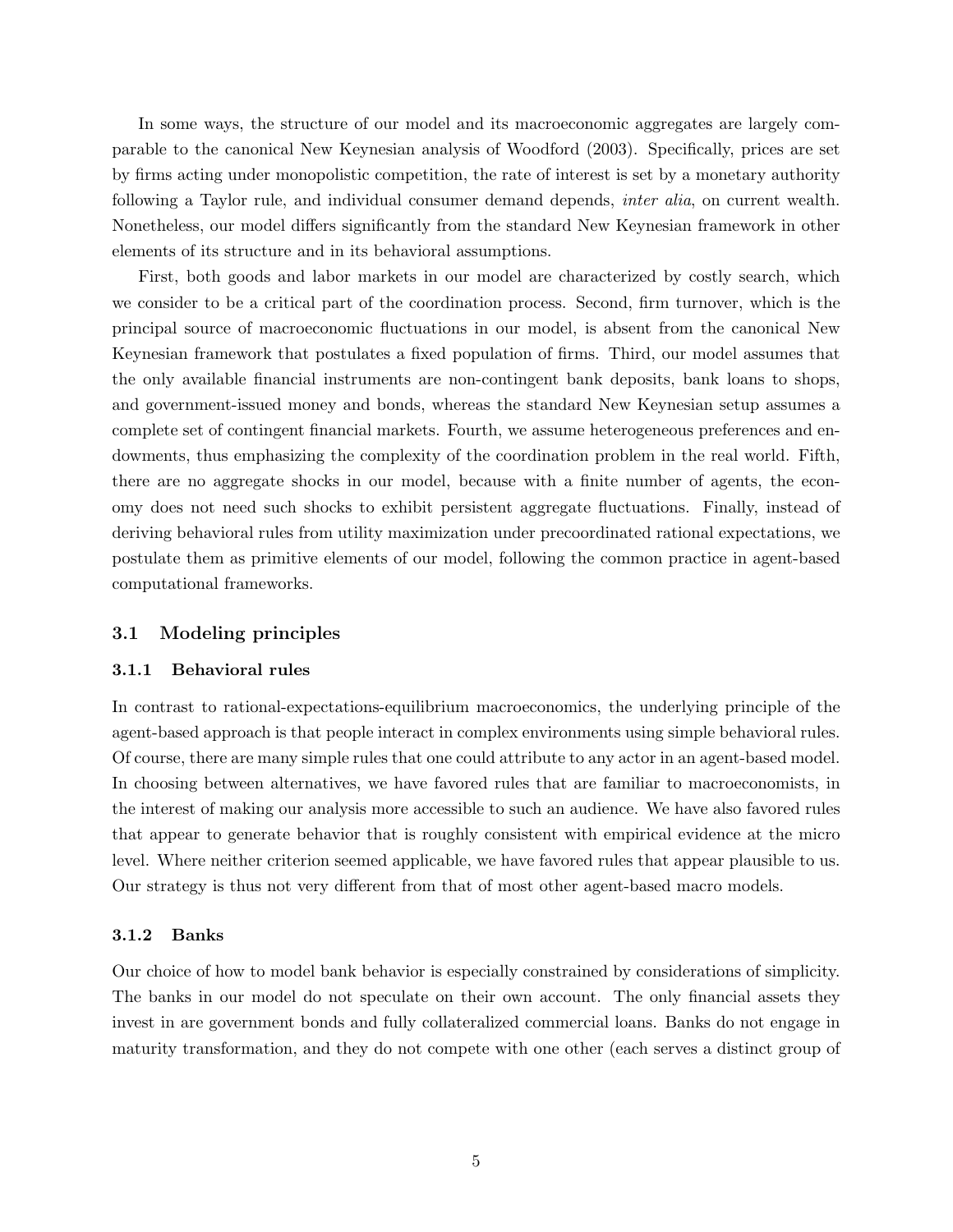In some ways, the structure of our model and its macroeconomic aggregates are largely comparable to the canonical New Keynesian analysis of Woodford (2003). Specifically, prices are set by firms acting under monopolistic competition, the rate of interest is set by a monetary authority following a Taylor rule, and individual consumer demand depends, inter alia, on current wealth. Nonetheless, our model differs significantly from the standard New Keynesian framework in other elements of its structure and in its behavioral assumptions.

First, both goods and labor markets in our model are characterized by costly search, which we consider to be a critical part of the coordination process. Second, firm turnover, which is the principal source of macroeconomic fluctuations in our model, is absent from the canonical New Keynesian framework that postulates a fixed population of firms. Third, our model assumes that the only available financial instruments are non-contingent bank deposits, bank loans to shops, and government-issued money and bonds, whereas the standard New Keynesian setup assumes a complete set of contingent financial markets. Fourth, we assume heterogeneous preferences and endowments, thus emphasizing the complexity of the coordination problem in the real world. Fifth, there are no aggregate shocks in our model, because with a finite number of agents, the economy does not need such shocks to exhibit persistent aggregate fluctuations. Finally, instead of deriving behavioral rules from utility maximization under precoordinated rational expectations, we postulate them as primitive elements of our model, following the common practice in agent-based computational frameworks.

#### 3.1 Modeling principles

#### 3.1.1 Behavioral rules

In contrast to rational-expectations-equilibrium macroeconomics, the underlying principle of the agent-based approach is that people interact in complex environments using simple behavioral rules. Of course, there are many simple rules that one could attribute to any actor in an agent-based model. In choosing between alternatives, we have favored rules that are familiar to macroeconomists, in the interest of making our analysis more accessible to such an audience. We have also favored rules that appear to generate behavior that is roughly consistent with empirical evidence at the micro level. Where neither criterion seemed applicable, we have favored rules that appear plausible to us. Our strategy is thus not very different from that of most other agent-based macro models.

#### 3.1.2 Banks

Our choice of how to model bank behavior is especially constrained by considerations of simplicity. The banks in our model do not speculate on their own account. The only financial assets they invest in are government bonds and fully collateralized commercial loans. Banks do not engage in maturity transformation, and they do not compete with one other (each serves a distinct group of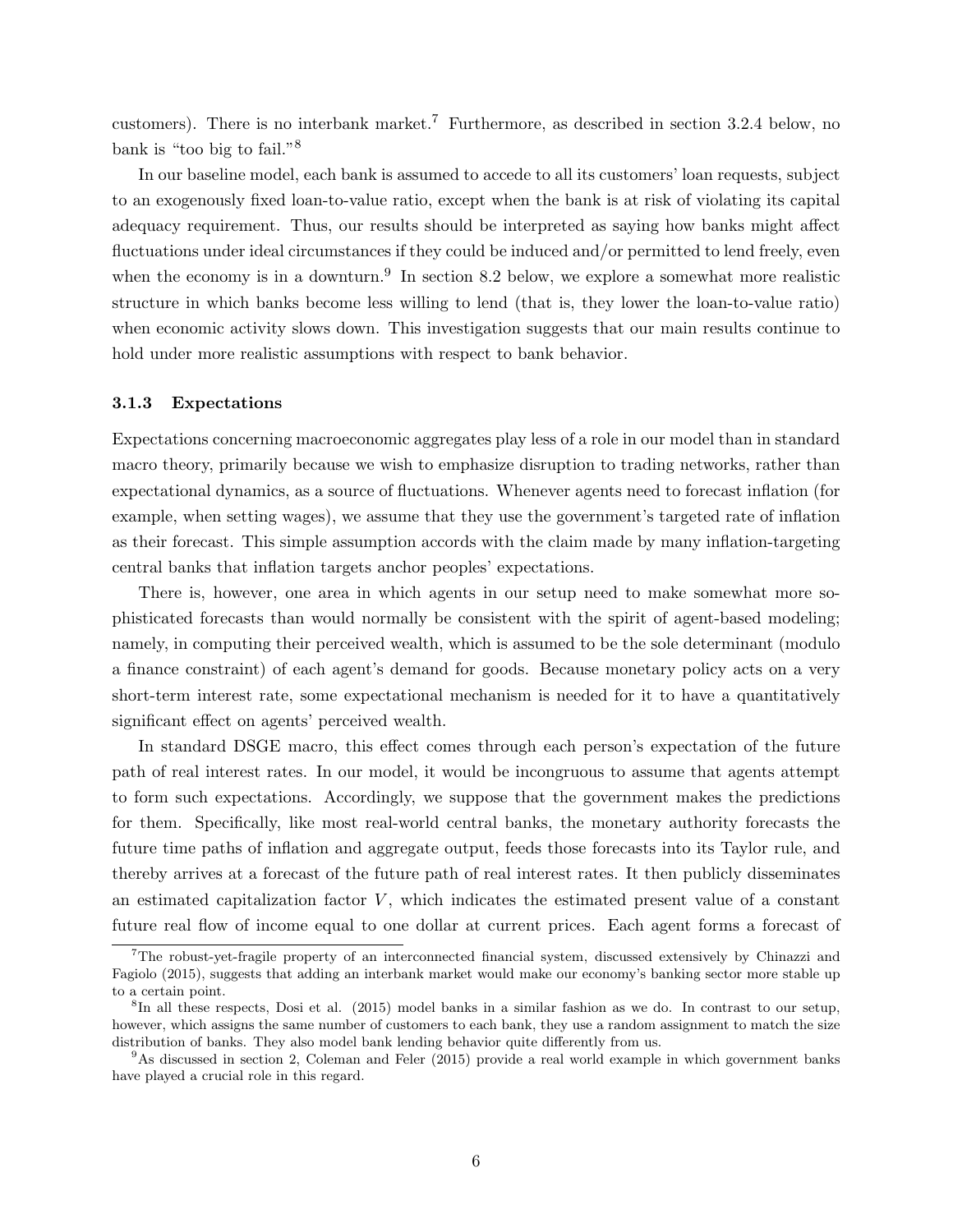customers). There is no interbank market.[7](#page-6-0) Furthermore, as described in section [3.2.4](#page-8-0) below, no bank is "too big to fail."[8](#page-6-1)

In our baseline model, each bank is assumed to accede to all its customers' loan requests, subject to an exogenously fixed loan-to-value ratio, except when the bank is at risk of violating its capital adequacy requirement. Thus, our results should be interpreted as saying how banks might affect fluctuations under ideal circumstances if they could be induced and/or permitted to lend freely, even when the economy is in a downturn.<sup>[9](#page-6-2)</sup> In section [8.2](#page-43-0) below, we explore a somewhat more realistic structure in which banks become less willing to lend (that is, they lower the loan-to-value ratio) when economic activity slows down. This investigation suggests that our main results continue to hold under more realistic assumptions with respect to bank behavior.

#### 3.1.3 Expectations

Expectations concerning macroeconomic aggregates play less of a role in our model than in standard macro theory, primarily because we wish to emphasize disruption to trading networks, rather than expectational dynamics, as a source of fluctuations. Whenever agents need to forecast inflation (for example, when setting wages), we assume that they use the government's targeted rate of inflation as their forecast. This simple assumption accords with the claim made by many inflation-targeting central banks that inflation targets anchor peoples' expectations.

There is, however, one area in which agents in our setup need to make somewhat more sophisticated forecasts than would normally be consistent with the spirit of agent-based modeling; namely, in computing their perceived wealth, which is assumed to be the sole determinant (modulo a finance constraint) of each agent's demand for goods. Because monetary policy acts on a very short-term interest rate, some expectational mechanism is needed for it to have a quantitatively significant effect on agents' perceived wealth.

In standard DSGE macro, this effect comes through each person's expectation of the future path of real interest rates. In our model, it would be incongruous to assume that agents attempt to form such expectations. Accordingly, we suppose that the government makes the predictions for them. Specifically, like most real-world central banks, the monetary authority forecasts the future time paths of inflation and aggregate output, feeds those forecasts into its Taylor rule, and thereby arrives at a forecast of the future path of real interest rates. It then publicly disseminates an estimated capitalization factor  $V$ , which indicates the estimated present value of a constant future real flow of income equal to one dollar at current prices. Each agent forms a forecast of

<span id="page-6-0"></span><sup>7</sup>The robust-yet-fragile property of an interconnected financial system, discussed extensively by Chinazzi and Fagiolo (2015), suggests that adding an interbank market would make our economy's banking sector more stable up to a certain point.

<span id="page-6-1"></span><sup>8</sup> In all these respects, Dosi et al. (2015) model banks in a similar fashion as we do. In contrast to our setup, however, which assigns the same number of customers to each bank, they use a random assignment to match the size distribution of banks. They also model bank lending behavior quite differently from us.

<span id="page-6-2"></span><sup>&</sup>lt;sup>9</sup>As discussed in section [2,](#page-3-2) Coleman and Feler (2015) provide a real world example in which government banks have played a crucial role in this regard.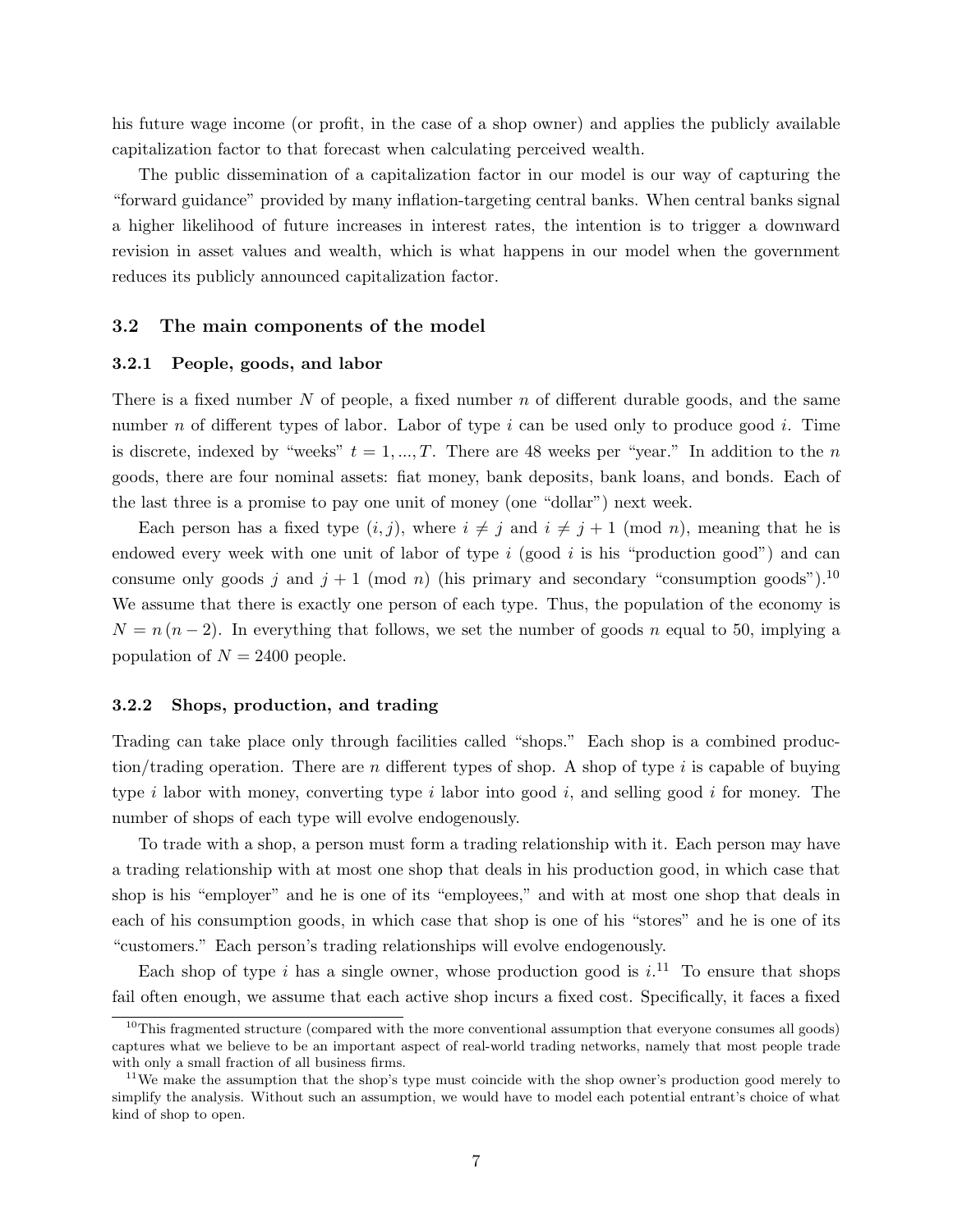his future wage income (or profit, in the case of a shop owner) and applies the publicly available capitalization factor to that forecast when calculating perceived wealth.

The public dissemination of a capitalization factor in our model is our way of capturing the "forward guidance" provided by many inflation-targeting central banks. When central banks signal a higher likelihood of future increases in interest rates, the intention is to trigger a downward revision in asset values and wealth, which is what happens in our model when the government reduces its publicly announced capitalization factor.

#### 3.2 The main components of the model

#### 3.2.1 People, goods, and labor

There is a fixed number  $N$  of people, a fixed number  $n$  of different durable goods, and the same number n of different types of labor. Labor of type  $i$  can be used only to produce good  $i$ . Time is discrete, indexed by "weeks"  $t = 1, ..., T$ . There are 48 weeks per "year." In addition to the n goods, there are four nominal assets: fiat money, bank deposits, bank loans, and bonds. Each of the last three is a promise to pay one unit of money (one "dollar") next week.

Each person has a fixed type  $(i, j)$ , where  $i \neq j$  and  $i \neq j + 1$  (mod n), meaning that he is endowed every week with one unit of labor of type  $i$  (good  $i$  is his "production good") and can consume only goods j and  $j + 1 \pmod{n}$  (his primary and secondary "consumption goods").<sup>[10](#page-7-0)</sup> We assume that there is exactly one person of each type. Thus, the population of the economy is  $N = n (n - 2)$ . In everything that follows, we set the number of goods n equal to 50, implying a population of  $N = 2400$  people.

#### 3.2.2 Shops, production, and trading

Trading can take place only through facilities called "shops." Each shop is a combined production/trading operation. There are n different types of shop. A shop of type i is capable of buying type i labor with money, converting type i labor into good i, and selling good i for money. The number of shops of each type will evolve endogenously.

To trade with a shop, a person must form a trading relationship with it. Each person may have a trading relationship with at most one shop that deals in his production good, in which case that shop is his "employer" and he is one of its "employees," and with at most one shop that deals in each of his consumption goods, in which case that shop is one of his "stores" and he is one of its "customers." Each person's trading relationships will evolve endogenously.

Each shop of type i has a single owner, whose production good is  $i^{11}$  $i^{11}$  $i^{11}$  To ensure that shops fail often enough, we assume that each active shop incurs a fixed cost. Specifically, it faces a fixed

<span id="page-7-0"></span> $10$ This fragmented structure (compared with the more conventional assumption that everyone consumes all goods) captures what we believe to be an important aspect of real-world trading networks, namely that most people trade with only a small fraction of all business firms.

<span id="page-7-1"></span><sup>&</sup>lt;sup>11</sup>We make the assumption that the shop's type must coincide with the shop owner's production good merely to simplify the analysis. Without such an assumption, we would have to model each potential entrant's choice of what kind of shop to open.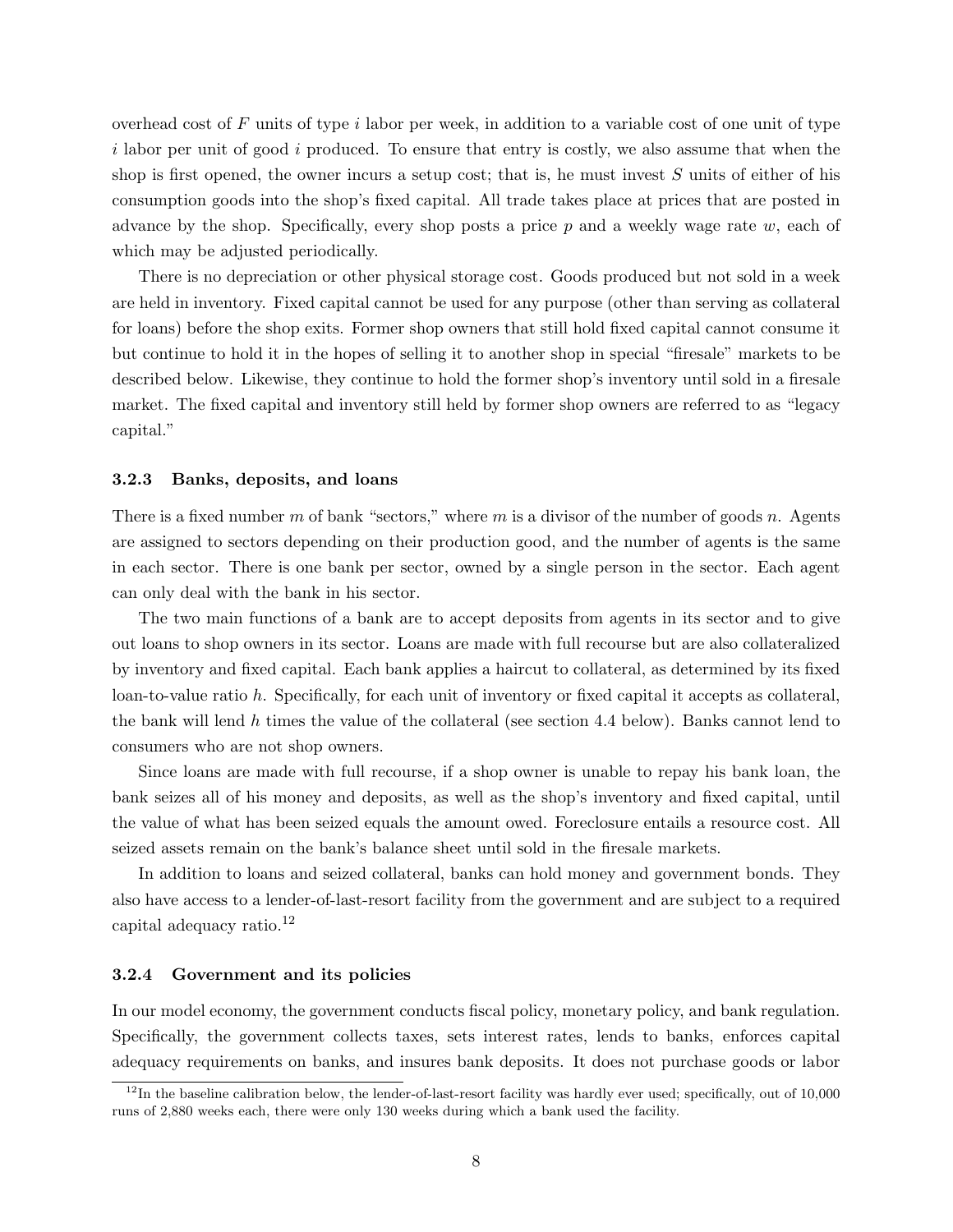overhead cost of  $F$  units of type i labor per week, in addition to a variable cost of one unit of type  $i$  labor per unit of good i produced. To ensure that entry is costly, we also assume that when the shop is first opened, the owner incurs a setup cost; that is, he must invest  $S$  units of either of his consumption goods into the shop's fixed capital. All trade takes place at prices that are posted in advance by the shop. Specifically, every shop posts a price  $p$  and a weekly wage rate  $w$ , each of which may be adjusted periodically.

There is no depreciation or other physical storage cost. Goods produced but not sold in a week are held in inventory. Fixed capital cannot be used for any purpose (other than serving as collateral for loans) before the shop exits. Former shop owners that still hold fixed capital cannot consume it but continue to hold it in the hopes of selling it to another shop in special "firesale" markets to be described below. Likewise, they continue to hold the former shop's inventory until sold in a firesale market. The fixed capital and inventory still held by former shop owners are referred to as "legacy capital."

#### <span id="page-8-2"></span>3.2.3 Banks, deposits, and loans

There is a fixed number m of bank "sectors," where m is a divisor of the number of goods n. Agents are assigned to sectors depending on their production good, and the number of agents is the same in each sector. There is one bank per sector, owned by a single person in the sector. Each agent can only deal with the bank in his sector.

The two main functions of a bank are to accept deposits from agents in its sector and to give out loans to shop owners in its sector. Loans are made with full recourse but are also collateralized by inventory and fixed capital. Each bank applies a haircut to collateral, as determined by its fixed loan-to-value ratio h. Specifically, for each unit of inventory or fixed capital it accepts as collateral, the bank will lend h times the value of the collateral (see section [4.4](#page-16-0) below). Banks cannot lend to consumers who are not shop owners.

Since loans are made with full recourse, if a shop owner is unable to repay his bank loan, the bank seizes all of his money and deposits, as well as the shop's inventory and fixed capital, until the value of what has been seized equals the amount owed. Foreclosure entails a resource cost. All seized assets remain on the bank's balance sheet until sold in the firesale markets.

In addition to loans and seized collateral, banks can hold money and government bonds. They also have access to a lender-of-last-resort facility from the government and are subject to a required capital adequacy ratio.[12](#page-8-1)

#### <span id="page-8-0"></span>3.2.4 Government and its policies

In our model economy, the government conducts fiscal policy, monetary policy, and bank regulation. Specifically, the government collects taxes, sets interest rates, lends to banks, enforces capital adequacy requirements on banks, and insures bank deposits. It does not purchase goods or labor

<span id="page-8-1"></span> $12$ In the baseline calibration below, the lender-of-last-resort facility was hardly ever used; specifically, out of 10,000 runs of 2,880 weeks each, there were only 130 weeks during which a bank used the facility.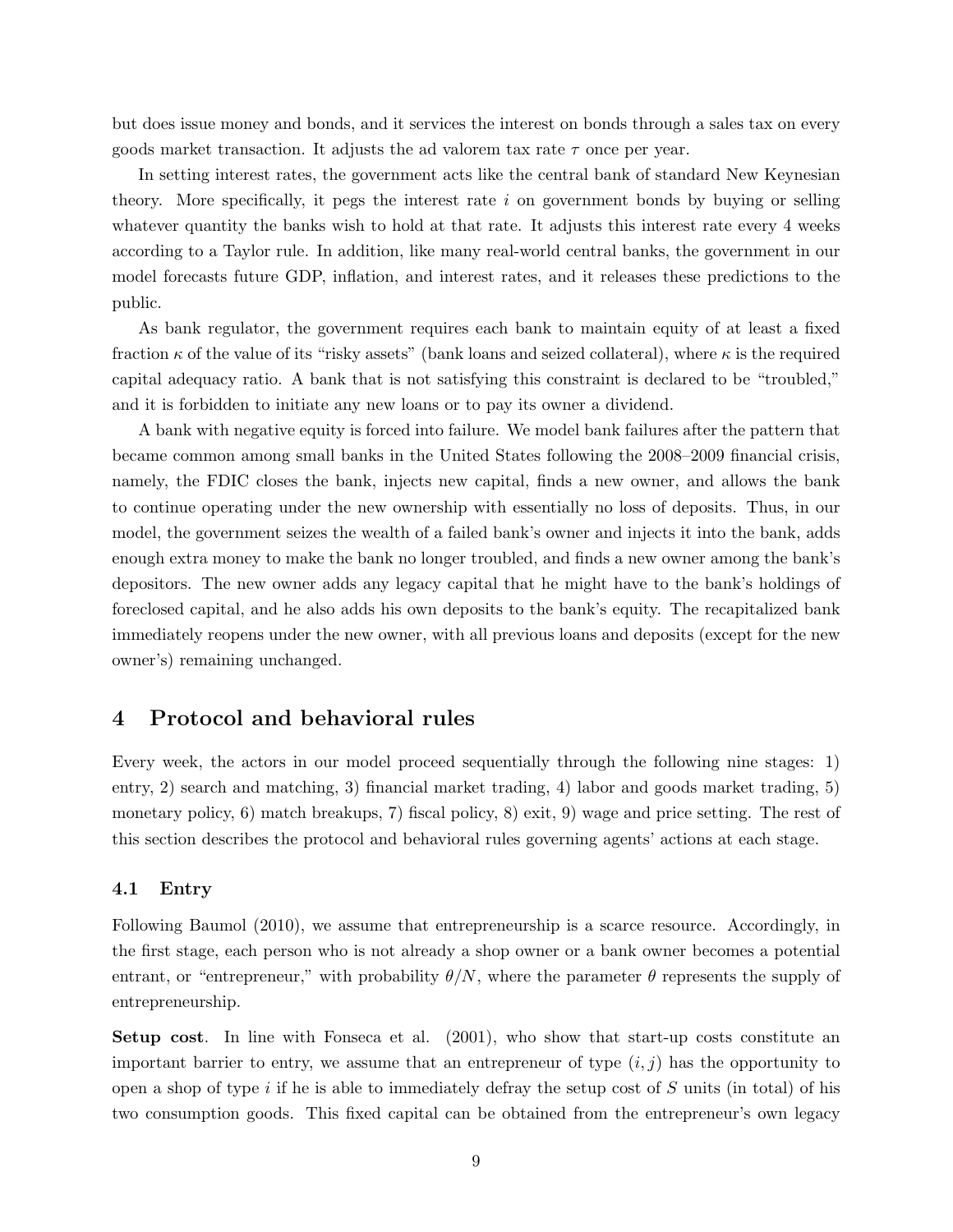but does issue money and bonds, and it services the interest on bonds through a sales tax on every goods market transaction. It adjusts the ad valorem tax rate  $\tau$  once per year.

In setting interest rates, the government acts like the central bank of standard New Keynesian theory. More specifically, it pegs the interest rate  $i$  on government bonds by buying or selling whatever quantity the banks wish to hold at that rate. It adjusts this interest rate every 4 weeks according to a Taylor rule. In addition, like many real-world central banks, the government in our model forecasts future GDP, inflation, and interest rates, and it releases these predictions to the public.

As bank regulator, the government requires each bank to maintain equity of at least a fixed fraction  $\kappa$  of the value of its "risky assets" (bank loans and seized collateral), where  $\kappa$  is the required capital adequacy ratio. A bank that is not satisfying this constraint is declared to be "troubled," and it is forbidden to initiate any new loans or to pay its owner a dividend.

A bank with negative equity is forced into failure. We model bank failures after the pattern that became common among small banks in the United States following the 2008–2009 financial crisis, namely, the FDIC closes the bank, injects new capital, finds a new owner, and allows the bank to continue operating under the new ownership with essentially no loss of deposits. Thus, in our model, the government seizes the wealth of a failed bank's owner and injects it into the bank, adds enough extra money to make the bank no longer troubled, and finds a new owner among the bank's depositors. The new owner adds any legacy capital that he might have to the bank's holdings of foreclosed capital, and he also adds his own deposits to the bank's equity. The recapitalized bank immediately reopens under the new owner, with all previous loans and deposits (except for the new owner's) remaining unchanged.

## <span id="page-9-0"></span>4 Protocol and behavioral rules

Every week, the actors in our model proceed sequentially through the following nine stages: 1) entry, 2) search and matching, 3) financial market trading, 4) labor and goods market trading, 5) monetary policy, 6) match breakups, 7) fiscal policy, 8) exit, 9) wage and price setting. The rest of this section describes the protocol and behavioral rules governing agents' actions at each stage.

#### <span id="page-9-1"></span>4.1 Entry

Following Baumol (2010), we assume that entrepreneurship is a scarce resource. Accordingly, in the first stage, each person who is not already a shop owner or a bank owner becomes a potential entrant, or "entrepreneur," with probability  $\theta/N$ , where the parameter  $\theta$  represents the supply of entrepreneurship.

Setup cost. In line with Fonseca et al. (2001), who show that start-up costs constitute an important barrier to entry, we assume that an entrepreneur of type  $(i, j)$  has the opportunity to open a shop of type  $i$  if he is able to immediately defray the setup cost of  $S$  units (in total) of his two consumption goods. This fixed capital can be obtained from the entrepreneur's own legacy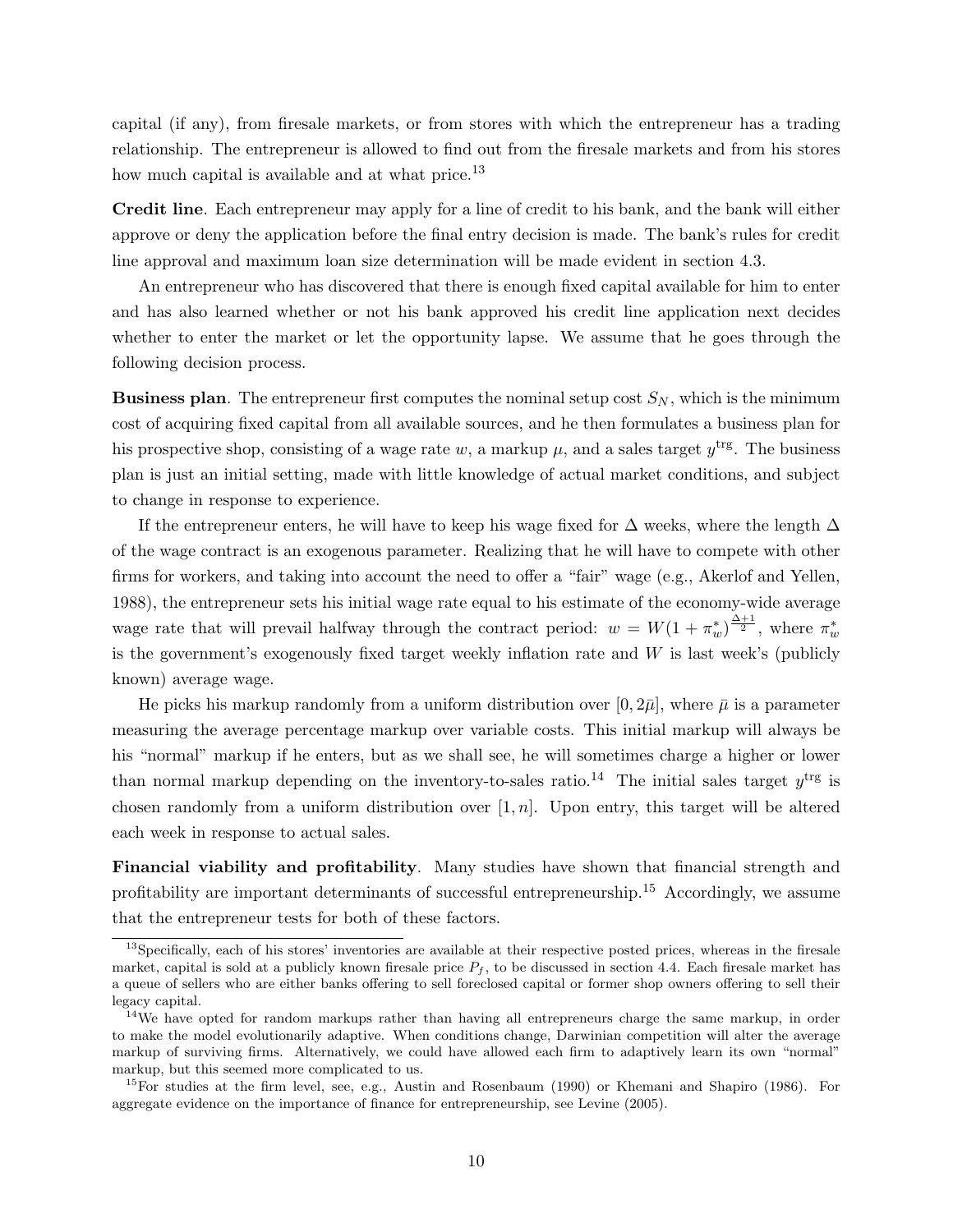capital (if any), from firesale markets, or from stores with which the entrepreneur has a trading relationship. The entrepreneur is allowed to find out from the firesale markets and from his stores how much capital is available and at what price.<sup>[13](#page-10-0)</sup>

Credit line. Each entrepreneur may apply for a line of credit to his bank, and the bank will either approve or deny the application before the final entry decision is made. The bank's rules for credit line approval and maximum loan size determination will be made evident in section [4.3.](#page-13-0)

An entrepreneur who has discovered that there is enough fixed capital available for him to enter and has also learned whether or not his bank approved his credit line application next decides whether to enter the market or let the opportunity lapse. We assume that he goes through the following decision process.

**Business plan.** The entrepreneur first computes the nominal setup cost  $S_N$ , which is the minimum cost of acquiring fixed capital from all available sources, and he then formulates a business plan for his prospective shop, consisting of a wage rate w, a markup  $\mu$ , and a sales target  $y^{\text{trg}}$ . The business plan is just an initial setting, made with little knowledge of actual market conditions, and subject to change in response to experience.

If the entrepreneur enters, he will have to keep his wage fixed for  $\Delta$  weeks, where the length  $\Delta$ of the wage contract is an exogenous parameter. Realizing that he will have to compete with other firms for workers, and taking into account the need to offer a "fair" wage (e.g., Akerlof and Yellen, 1988), the entrepreneur sets his initial wage rate equal to his estimate of the economy-wide average wage rate that will prevail halfway through the contract period:  $w = W(1 + \pi_w^*)^{\frac{\Delta+1}{2}}$ , where  $\pi_w^*$ is the government's exogenously fixed target weekly inflation rate and  $W$  is last week's (publicly known) average wage.

He picks his markup randomly from a uniform distribution over  $[0, 2\bar{\mu}]$ , where  $\bar{\mu}$  is a parameter measuring the average percentage markup over variable costs. This initial markup will always be his "normal" markup if he enters, but as we shall see, he will sometimes charge a higher or lower than normal markup depending on the inventory-to-sales ratio.<sup>[14](#page-10-1)</sup> The initial sales target  $y^{\text{trg}}$  is chosen randomly from a uniform distribution over  $[1, n]$ . Upon entry, this target will be altered each week in response to actual sales.

Financial viability and profitability. Many studies have shown that financial strength and profitability are important determinants of successful entrepreneurship.[15](#page-10-2) Accordingly, we assume that the entrepreneur tests for both of these factors.

<span id="page-10-0"></span> $13$ Specifically, each of his stores' inventories are available at their respective posted prices, whereas in the firesale market, capital is sold at a publicly known firesale price  $P_f$ , to be discussed in section [4.4.](#page-16-0) Each firesale market has a queue of sellers who are either banks offering to sell foreclosed capital or former shop owners offering to sell their legacy capital.

<span id="page-10-1"></span><sup>&</sup>lt;sup>14</sup>We have opted for random markups rather than having all entrepreneurs charge the same markup, in order to make the model evolutionarily adaptive. When conditions change, Darwinian competition will alter the average markup of surviving firms. Alternatively, we could have allowed each firm to adaptively learn its own "normal" markup, but this seemed more complicated to us.

<span id="page-10-2"></span><sup>&</sup>lt;sup>15</sup>For studies at the firm level, see, e.g., Austin and Rosenbaum (1990) or Khemani and Shapiro (1986). For aggregate evidence on the importance of finance for entrepreneurship, see Levine (2005).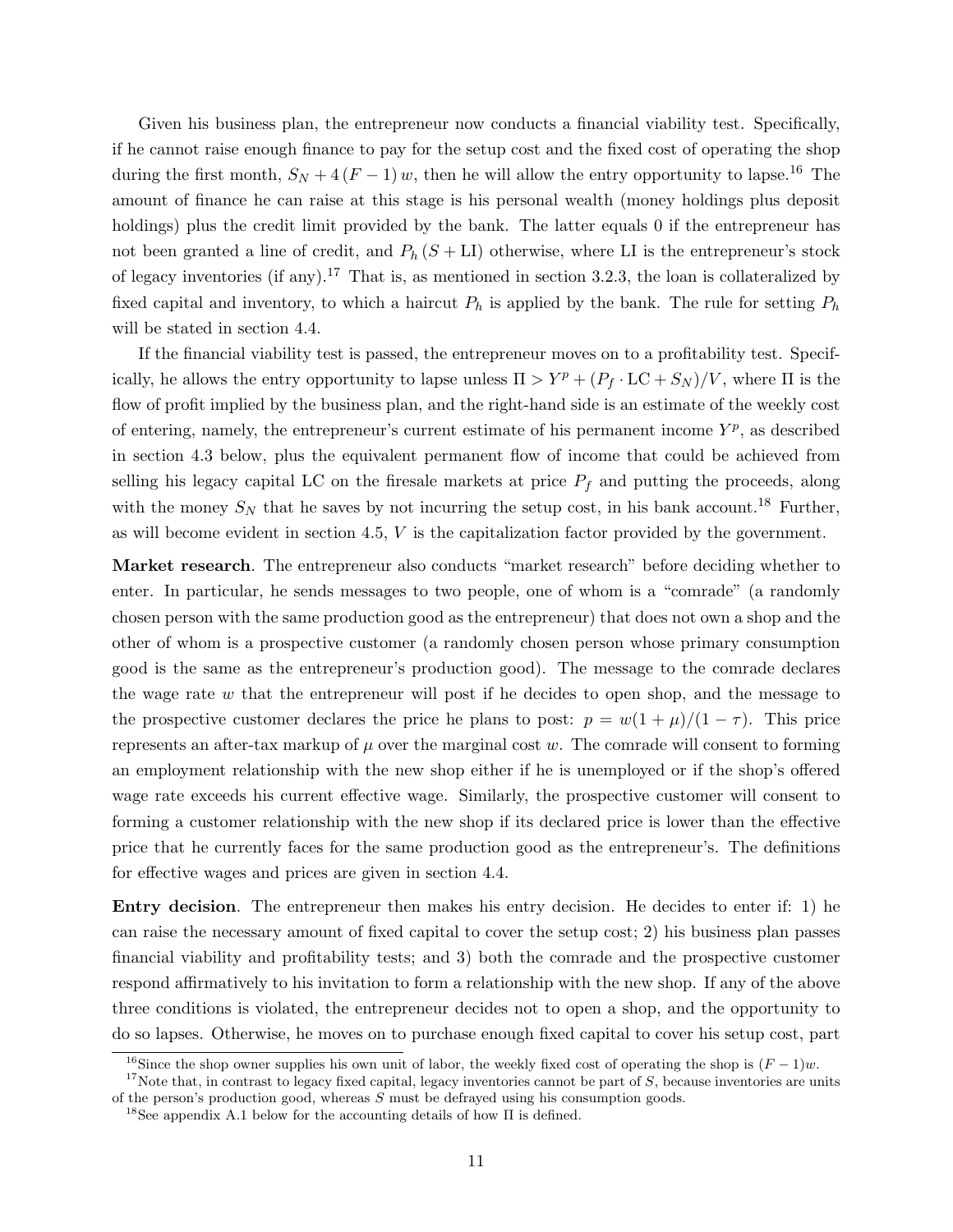Given his business plan, the entrepreneur now conducts a financial viability test. Specifically, if he cannot raise enough finance to pay for the setup cost and the fixed cost of operating the shop during the first month,  $S_N + 4(F - 1) w$ , then he will allow the entry opportunity to lapse.<sup>[16](#page-11-0)</sup> The amount of finance he can raise at this stage is his personal wealth (money holdings plus deposit holdings) plus the credit limit provided by the bank. The latter equals 0 if the entrepreneur has not been granted a line of credit, and  $P_h (S + L)$  otherwise, where LI is the entrepreneur's stock of legacy inventories (if any).<sup>[17](#page-11-1)</sup> That is, as mentioned in section [3.2.3,](#page-8-2) the loan is collateralized by fixed capital and inventory, to which a haircut  $P_h$  is applied by the bank. The rule for setting  $P_h$ will be stated in section [4.4.](#page-16-0)

If the financial viability test is passed, the entrepreneur moves on to a profitability test. Specifically, he allows the entry opportunity to lapse unless  $\Pi > Y^p + (P_f \cdot LC + S_N)/V$ , where  $\Pi$  is the flow of profit implied by the business plan, and the right-hand side is an estimate of the weekly cost of entering, namely, the entrepreneur's current estimate of his permanent income  $Y^p$ , as described in section [4.3](#page-13-0) below, plus the equivalent permanent flow of income that could be achieved from selling his legacy capital LC on the firesale markets at price  $P_f$  and putting the proceeds, along with the money  $S_N$  that he saves by not incurring the setup cost, in his bank account.<sup>[18](#page-11-2)</sup> Further, as will become evident in section [4.5,](#page-18-0) V is the capitalization factor provided by the government.

Market research. The entrepreneur also conducts "market research" before deciding whether to enter. In particular, he sends messages to two people, one of whom is a "comrade" (a randomly chosen person with the same production good as the entrepreneur) that does not own a shop and the other of whom is a prospective customer (a randomly chosen person whose primary consumption good is the same as the entrepreneur's production good). The message to the comrade declares the wage rate  $w$  that the entrepreneur will post if he decides to open shop, and the message to the prospective customer declares the price he plans to post:  $p = w(1 + \mu)/(1 - \tau)$ . This price represents an after-tax markup of  $\mu$  over the marginal cost w. The comrade will consent to forming an employment relationship with the new shop either if he is unemployed or if the shop's offered wage rate exceeds his current effective wage. Similarly, the prospective customer will consent to forming a customer relationship with the new shop if its declared price is lower than the effective price that he currently faces for the same production good as the entrepreneur's. The definitions for effective wages and prices are given in section [4.4.](#page-16-0)

Entry decision. The entrepreneur then makes his entry decision. He decides to enter if: 1) he can raise the necessary amount of fixed capital to cover the setup cost; 2) his business plan passes financial viability and profitability tests; and 3) both the comrade and the prospective customer respond affirmatively to his invitation to form a relationship with the new shop. If any of the above three conditions is violated, the entrepreneur decides not to open a shop, and the opportunity to do so lapses. Otherwise, he moves on to purchase enough fixed capital to cover his setup cost, part

<span id="page-11-1"></span><span id="page-11-0"></span><sup>&</sup>lt;sup>16</sup>Since the shop owner supplies his own unit of labor, the weekly fixed cost of operating the shop is  $(F - 1)w$ .

<sup>&</sup>lt;sup>17</sup>Note that, in contrast to legacy fixed capital, legacy inventories cannot be part of  $S$ , because inventories are units of the person's production good, whereas  $S$  must be defrayed using his consumption goods.

<span id="page-11-2"></span><sup>&</sup>lt;sup>18</sup>See appendix [A.1](#page-53-0) below for the accounting details of how  $\Pi$  is defined.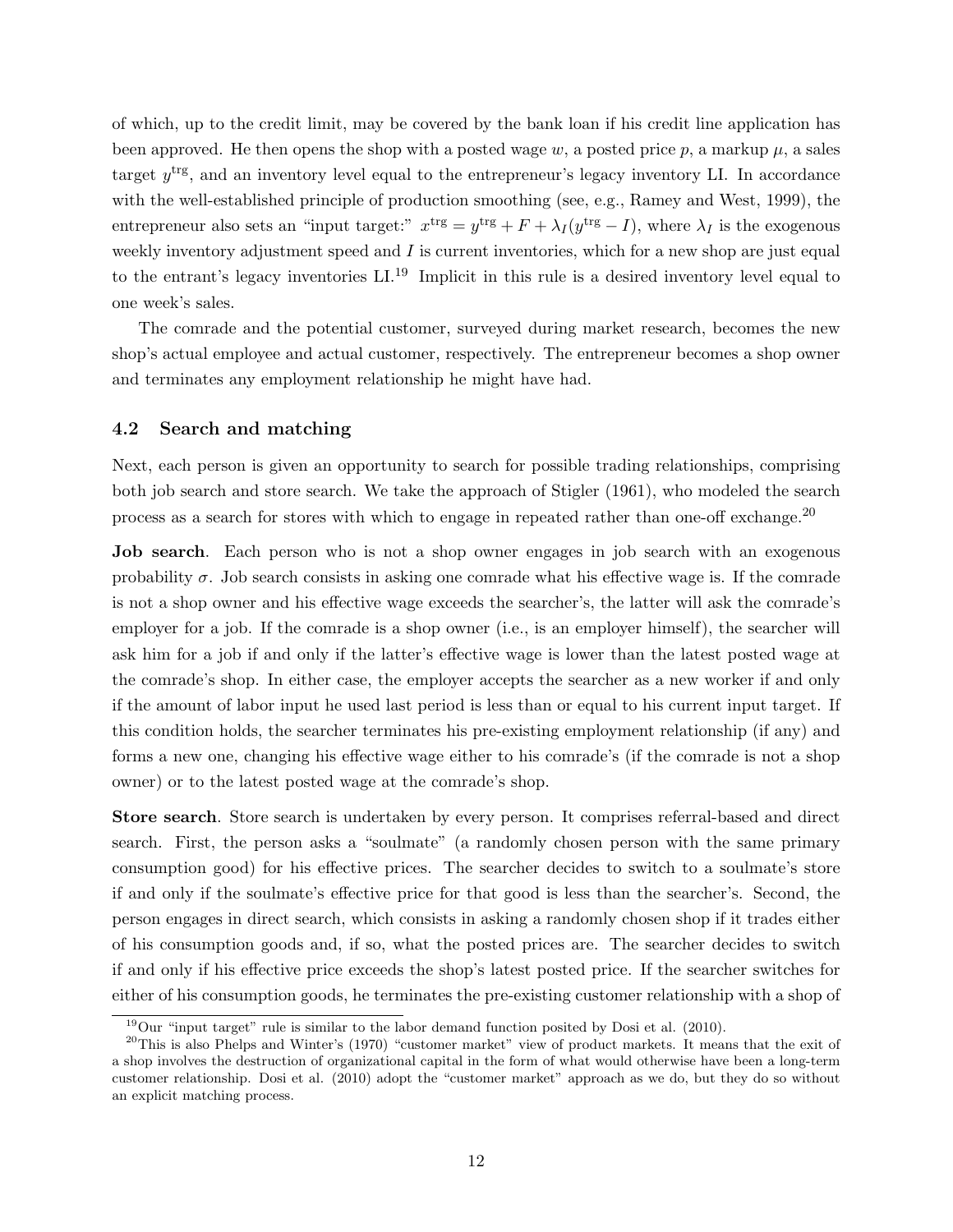of which, up to the credit limit, may be covered by the bank loan if his credit line application has been approved. He then opens the shop with a posted wage w, a posted price p, a markup  $\mu$ , a sales target  $y^{\text{trg}}$ , and an inventory level equal to the entrepreneur's legacy inventory LI. In accordance with the well-established principle of production smoothing (see, e.g., Ramey and West, 1999), the entrepreneur also sets an "input target:"  $x^{\text{trg}} = y^{\text{trg}} + F + \lambda_I (y^{\text{trg}} - I)$ , where  $\lambda_I$  is the exogenous weekly inventory adjustment speed and  $I$  is current inventories, which for a new shop are just equal to the entrant's legacy inventories LI.[19](#page-12-0) Implicit in this rule is a desired inventory level equal to one week's sales.

The comrade and the potential customer, surveyed during market research, becomes the new shop's actual employee and actual customer, respectively. The entrepreneur becomes a shop owner and terminates any employment relationship he might have had.

#### 4.2 Search and matching

Next, each person is given an opportunity to search for possible trading relationships, comprising both job search and store search. We take the approach of Stigler (1961), who modeled the search process as a search for stores with which to engage in repeated rather than one-off exchange.<sup>[20](#page-12-1)</sup>

Job search. Each person who is not a shop owner engages in job search with an exogenous probability  $\sigma$ . Job search consists in asking one comrade what his effective wage is. If the comrade is not a shop owner and his effective wage exceeds the searcher's, the latter will ask the comrade's employer for a job. If the comrade is a shop owner (i.e., is an employer himself), the searcher will ask him for a job if and only if the latter's effective wage is lower than the latest posted wage at the comrade's shop. In either case, the employer accepts the searcher as a new worker if and only if the amount of labor input he used last period is less than or equal to his current input target. If this condition holds, the searcher terminates his pre-existing employment relationship (if any) and forms a new one, changing his effective wage either to his comrade's (if the comrade is not a shop owner) or to the latest posted wage at the comrade's shop.

Store search. Store search is undertaken by every person. It comprises referral-based and direct search. First, the person asks a "soulmate" (a randomly chosen person with the same primary consumption good) for his effective prices. The searcher decides to switch to a soulmate's store if and only if the soulmate's effective price for that good is less than the searcher's. Second, the person engages in direct search, which consists in asking a randomly chosen shop if it trades either of his consumption goods and, if so, what the posted prices are. The searcher decides to switch if and only if his effective price exceeds the shop's latest posted price. If the searcher switches for either of his consumption goods, he terminates the pre-existing customer relationship with a shop of

<span id="page-12-1"></span><span id="page-12-0"></span> $19$ Our "input target" rule is similar to the labor demand function posited by Dosi et al. (2010).

 $^{20}$ This is also Phelps and Winter's (1970) "customer market" view of product markets. It means that the exit of a shop involves the destruction of organizational capital in the form of what would otherwise have been a long-term customer relationship. Dosi et al. (2010) adopt the "customer market" approach as we do, but they do so without an explicit matching process.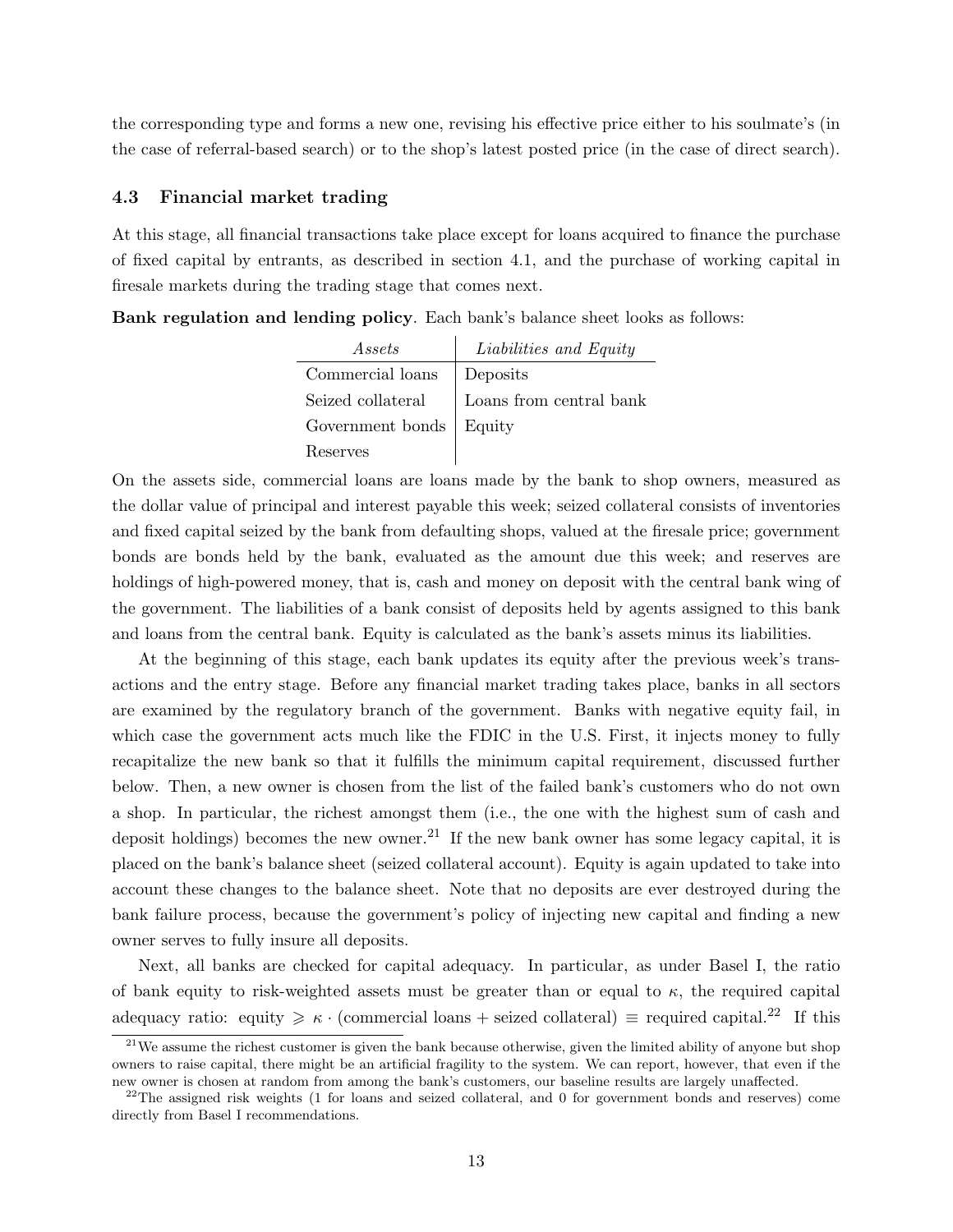the corresponding type and forms a new one, revising his effective price either to his soulmate's (in the case of referral-based search) or to the shop's latest posted price (in the case of direct search).

#### <span id="page-13-0"></span>4.3 Financial market trading

At this stage, all financial transactions take place except for loans acquired to finance the purchase of fixed capital by entrants, as described in section [4.1,](#page-9-1) and the purchase of working capital in firesale markets during the trading stage that comes next.

| <i>Assets</i>     | Liabilities and Equity  |
|-------------------|-------------------------|
| Commercial loans  | Deposits                |
| Seized collateral | Loans from central bank |
| Government bonds  | Equity                  |
| Reserves          |                         |

On the assets side, commercial loans are loans made by the bank to shop owners, measured as the dollar value of principal and interest payable this week; seized collateral consists of inventories and fixed capital seized by the bank from defaulting shops, valued at the firesale price; government bonds are bonds held by the bank, evaluated as the amount due this week; and reserves are holdings of high-powered money, that is, cash and money on deposit with the central bank wing of the government. The liabilities of a bank consist of deposits held by agents assigned to this bank and loans from the central bank. Equity is calculated as the bank's assets minus its liabilities.

At the beginning of this stage, each bank updates its equity after the previous week's transactions and the entry stage. Before any financial market trading takes place, banks in all sectors are examined by the regulatory branch of the government. Banks with negative equity fail, in which case the government acts much like the FDIC in the U.S. First, it injects money to fully recapitalize the new bank so that it fulfills the minimum capital requirement, discussed further below. Then, a new owner is chosen from the list of the failed bank's customers who do not own a shop. In particular, the richest amongst them (i.e., the one with the highest sum of cash and deposit holdings) becomes the new owner.<sup>[21](#page-13-1)</sup> If the new bank owner has some legacy capital, it is placed on the bank's balance sheet (seized collateral account). Equity is again updated to take into account these changes to the balance sheet. Note that no deposits are ever destroyed during the bank failure process, because the government's policy of injecting new capital and finding a new owner serves to fully insure all deposits.

Next, all banks are checked for capital adequacy. In particular, as under Basel I, the ratio of bank equity to risk-weighted assets must be greater than or equal to  $\kappa$ , the required capital adequacy ratio: equity  $\geq \kappa \cdot$  (commercial loans + seized collateral)  $\equiv$  required capital.<sup>[22](#page-13-2)</sup> If this

<span id="page-13-1"></span> $21$ We assume the richest customer is given the bank because otherwise, given the limited ability of anyone but shop owners to raise capital, there might be an artificial fragility to the system. We can report, however, that even if the new owner is chosen at random from among the bank's customers, our baseline results are largely unaffected.

<span id="page-13-2"></span> $^{22}$ The assigned risk weights (1 for loans and seized collateral, and 0 for government bonds and reserves) come directly from Basel I recommendations.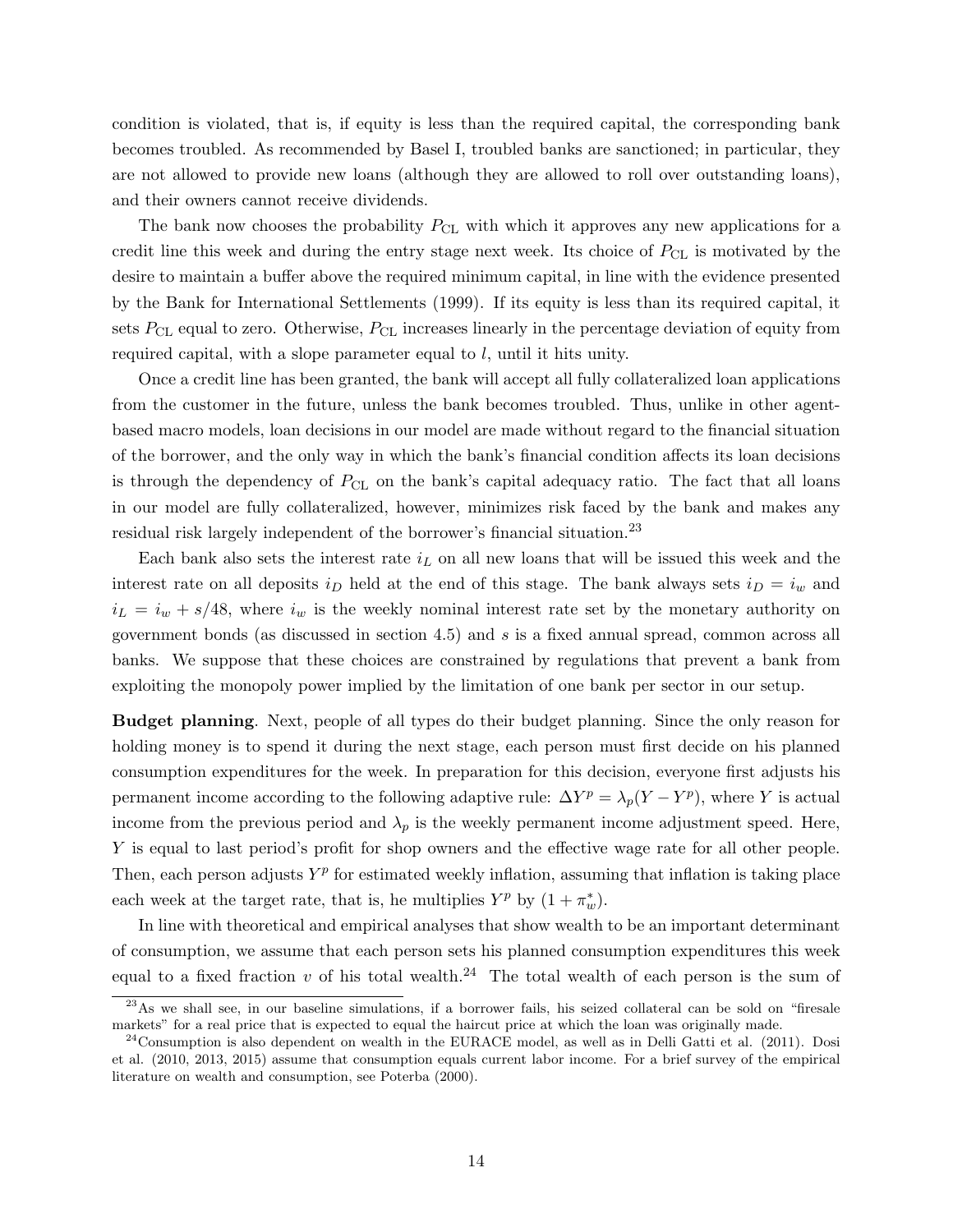condition is violated, that is, if equity is less than the required capital, the corresponding bank becomes troubled. As recommended by Basel I, troubled banks are sanctioned; in particular, they are not allowed to provide new loans (although they are allowed to roll over outstanding loans), and their owners cannot receive dividends.

The bank now chooses the probability  $P_{CL}$  with which it approves any new applications for a credit line this week and during the entry stage next week. Its choice of  $P_{CL}$  is motivated by the desire to maintain a buffer above the required minimum capital, in line with the evidence presented by the Bank for International Settlements (1999). If its equity is less than its required capital, it sets  $P_{CL}$  equal to zero. Otherwise,  $P_{CL}$  increases linearly in the percentage deviation of equity from required capital, with a slope parameter equal to l, until it hits unity.

Once a credit line has been granted, the bank will accept all fully collateralized loan applications from the customer in the future, unless the bank becomes troubled. Thus, unlike in other agentbased macro models, loan decisions in our model are made without regard to the financial situation of the borrower, and the only way in which the bank's financial condition affects its loan decisions is through the dependency of  $P_{CL}$  on the bank's capital adequacy ratio. The fact that all loans in our model are fully collateralized, however, minimizes risk faced by the bank and makes any residual risk largely independent of the borrower's financial situation.[23](#page-14-0)

Each bank also sets the interest rate  $i_L$  on all new loans that will be issued this week and the interest rate on all deposits  $i_D$  held at the end of this stage. The bank always sets  $i_D = i_w$  and  $i_L = i_w + s/48$ , where  $i_w$  is the weekly nominal interest rate set by the monetary authority on government bonds (as discussed in section [4.5\)](#page-18-0) and  $s$  is a fixed annual spread, common across all banks. We suppose that these choices are constrained by regulations that prevent a bank from exploiting the monopoly power implied by the limitation of one bank per sector in our setup.

Budget planning. Next, people of all types do their budget planning. Since the only reason for holding money is to spend it during the next stage, each person must first decide on his planned consumption expenditures for the week. In preparation for this decision, everyone first adjusts his permanent income according to the following adaptive rule:  $\Delta Y^p = \lambda_p (Y - Y^p)$ , where Y is actual income from the previous period and  $\lambda_p$  is the weekly permanent income adjustment speed. Here, Y is equal to last period's profit for shop owners and the effective wage rate for all other people. Then, each person adjusts  $Y^p$  for estimated weekly inflation, assuming that inflation is taking place each week at the target rate, that is, he multiplies  $Y^p$  by  $(1 + \pi_w^*)$ .

In line with theoretical and empirical analyses that show wealth to be an important determinant of consumption, we assume that each person sets his planned consumption expenditures this week equal to a fixed fraction v of his total wealth.<sup>[24](#page-14-1)</sup> The total wealth of each person is the sum of

<span id="page-14-0"></span><sup>&</sup>lt;sup>23</sup>As we shall see, in our baseline simulations, if a borrower fails, his seized collateral can be sold on "firesale markets" for a real price that is expected to equal the haircut price at which the loan was originally made.

<span id="page-14-1"></span> $^{24}$ Consumption is also dependent on wealth in the EURACE model, as well as in Delli Gatti et al. (2011). Dosi et al. (2010, 2013, 2015) assume that consumption equals current labor income. For a brief survey of the empirical literature on wealth and consumption, see Poterba (2000).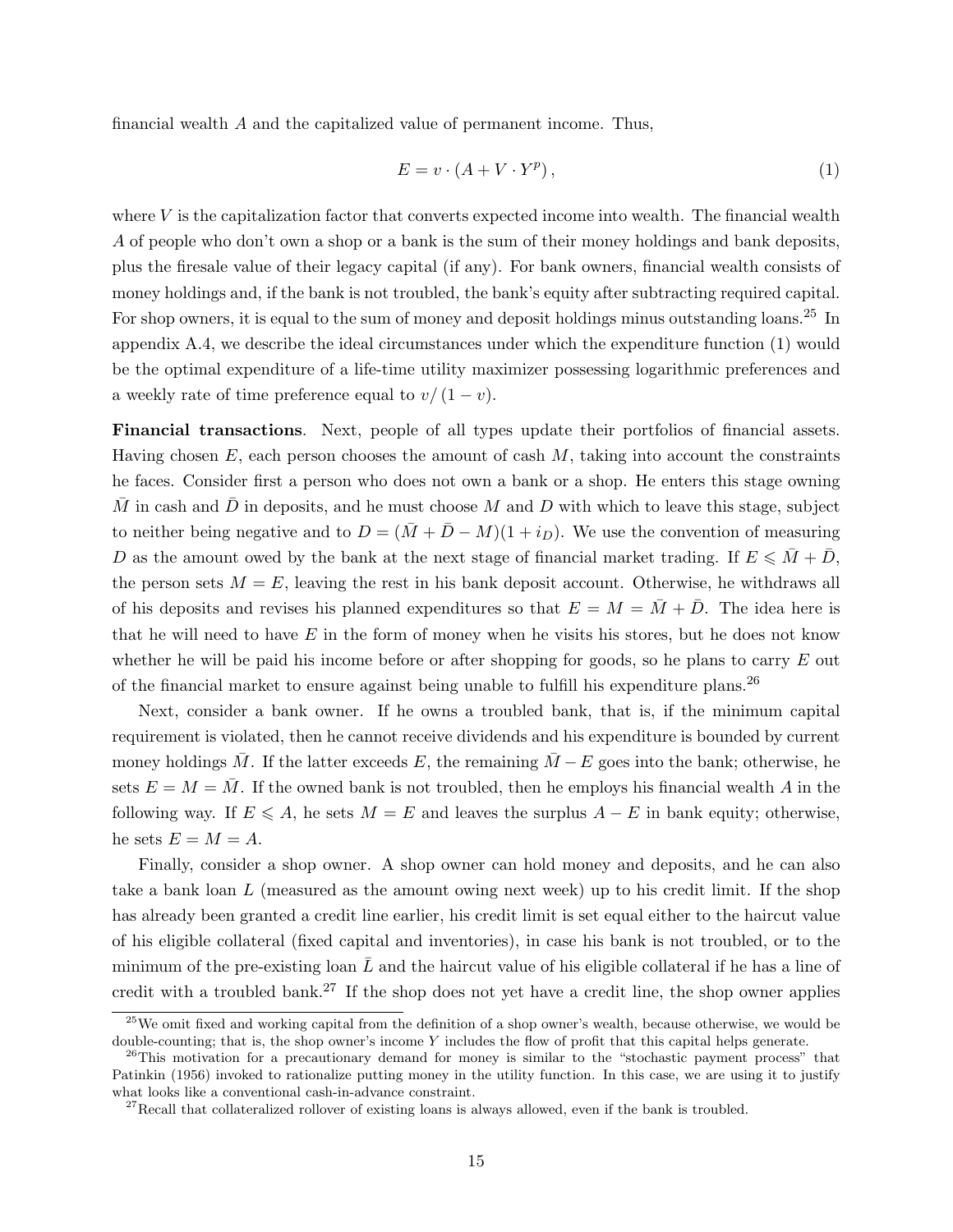financial wealth A and the capitalized value of permanent income. Thus,

<span id="page-15-1"></span>
$$
E = v \cdot (A + V \cdot Y^p),\tag{1}
$$

where  $V$  is the capitalization factor that converts expected income into wealth. The financial wealth A of people who don't own a shop or a bank is the sum of their money holdings and bank deposits, plus the firesale value of their legacy capital (if any). For bank owners, financial wealth consists of money holdings and, if the bank is not troubled, the bank's equity after subtracting required capital. For shop owners, it is equal to the sum of money and deposit holdings minus outstanding loans.<sup>[25](#page-15-0)</sup> In appendix [A.4,](#page-56-0) we describe the ideal circumstances under which the expenditure function [\(1\)](#page-15-1) would be the optimal expenditure of a life-time utility maximizer possessing logarithmic preferences and a weekly rate of time preference equal to  $v/(1-v)$ .

Financial transactions. Next, people of all types update their portfolios of financial assets. Having chosen  $E$ , each person chooses the amount of cash  $M$ , taking into account the constraints he faces. Consider first a person who does not own a bank or a shop. He enters this stage owning  $\overline{M}$  in cash and  $\overline{D}$  in deposits, and he must choose M and D with which to leave this stage, subject to neither being negative and to  $D = (\bar{M} + \bar{D} - M)(1 + i_D)$ . We use the convention of measuring D as the amount owed by the bank at the next stage of financial market trading. If  $E \le \bar{M} + \bar{D}$ , the person sets  $M = E$ , leaving the rest in his bank deposit account. Otherwise, he withdraws all of his deposits and revises his planned expenditures so that  $E = M = \overline{M} + \overline{D}$ . The idea here is that he will need to have  $E$  in the form of money when he visits his stores, but he does not know whether he will be paid his income before or after shopping for goods, so he plans to carry  $E$  out of the financial market to ensure against being unable to fulfill his expenditure plans.[26](#page-15-2)

Next, consider a bank owner. If he owns a troubled bank, that is, if the minimum capital requirement is violated, then he cannot receive dividends and his expenditure is bounded by current money holdings  $\overline{M}$ . If the latter exceeds E, the remaining  $\overline{M} - E$  goes into the bank; otherwise, he sets  $E = M = \overline{M}$ . If the owned bank is not troubled, then he employs his financial wealth A in the following way. If  $E \leq A$ , he sets  $M = E$  and leaves the surplus  $A - E$  in bank equity; otherwise, he sets  $E = M = A$ .

Finally, consider a shop owner. A shop owner can hold money and deposits, and he can also take a bank loan L (measured as the amount owing next week) up to his credit limit. If the shop has already been granted a credit line earlier, his credit limit is set equal either to the haircut value of his eligible collateral (fixed capital and inventories), in case his bank is not troubled, or to the minimum of the pre-existing loan  $\bar{L}$  and the haircut value of his eligible collateral if he has a line of credit with a troubled bank.<sup>[27](#page-15-3)</sup> If the shop does not yet have a credit line, the shop owner applies

<span id="page-15-0"></span><sup>&</sup>lt;sup>25</sup>We omit fixed and working capital from the definition of a shop owner's wealth, because otherwise, we would be double-counting; that is, the shop owner's income Y includes the flow of profit that this capital helps generate.

<span id="page-15-2"></span><sup>&</sup>lt;sup>26</sup>This motivation for a precautionary demand for money is similar to the "stochastic payment process" that Patinkin (1956) invoked to rationalize putting money in the utility function. In this case, we are using it to justify what looks like a conventional cash-in-advance constraint.

<span id="page-15-3"></span><sup>&</sup>lt;sup>27</sup>Recall that collateralized rollover of existing loans is always allowed, even if the bank is troubled.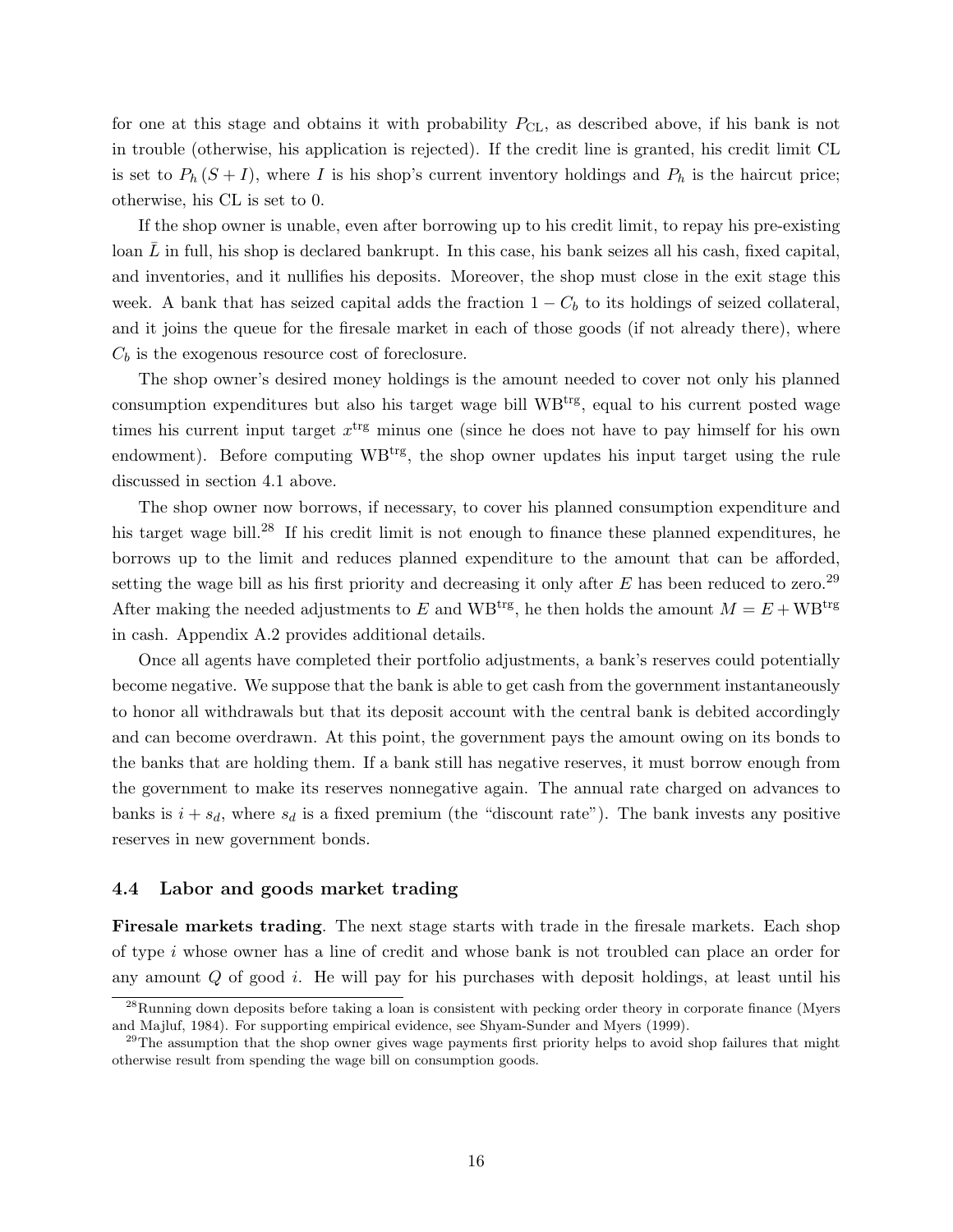for one at this stage and obtains it with probability  $P_{CL}$ , as described above, if his bank is not in trouble (otherwise, his application is rejected). If the credit line is granted, his credit limit CL is set to  $P_h (S + I)$ , where I is his shop's current inventory holdings and  $P_h$  is the haircut price; otherwise, his CL is set to 0.

If the shop owner is unable, even after borrowing up to his credit limit, to repay his pre-existing loan  $L$  in full, his shop is declared bankrupt. In this case, his bank seizes all his cash, fixed capital, and inventories, and it nullifies his deposits. Moreover, the shop must close in the exit stage this week. A bank that has seized capital adds the fraction  $1 - C<sub>b</sub>$  to its holdings of seized collateral, and it joins the queue for the firesale market in each of those goods (if not already there), where  $C_b$  is the exogenous resource cost of foreclosure.

The shop owner's desired money holdings is the amount needed to cover not only his planned consumption expenditures but also his target wage bill  $W B<sup>trg</sup>$ , equal to his current posted wage times his current input target  $x<sup>trg</sup>$  minus one (since he does not have to pay himself for his own endowment). Before computing  $WB<sup>trg</sup>$ , the shop owner updates his input target using the rule discussed in section [4.1](#page-9-1) above.

The shop owner now borrows, if necessary, to cover his planned consumption expenditure and his target wage bill.<sup>[28](#page-16-1)</sup> If his credit limit is not enough to finance these planned expenditures, he borrows up to the limit and reduces planned expenditure to the amount that can be afforded, setting the wage bill as his first priority and decreasing it only after  $E$  has been reduced to zero.<sup>[29](#page-16-2)</sup> After making the needed adjustments to E and WB<sup>trg</sup>, he then holds the amount  $M = E + WB^{\text{trg}}$ in cash. Appendix [A.2](#page-54-0) provides additional details.

Once all agents have completed their portfolio adjustments, a bank's reserves could potentially become negative. We suppose that the bank is able to get cash from the government instantaneously to honor all withdrawals but that its deposit account with the central bank is debited accordingly and can become overdrawn. At this point, the government pays the amount owing on its bonds to the banks that are holding them. If a bank still has negative reserves, it must borrow enough from the government to make its reserves nonnegative again. The annual rate charged on advances to banks is  $i + s_d$ , where  $s_d$  is a fixed premium (the "discount rate"). The bank invests any positive reserves in new government bonds.

#### <span id="page-16-0"></span>4.4 Labor and goods market trading

Firesale markets trading. The next stage starts with trade in the firesale markets. Each shop of type i whose owner has a line of credit and whose bank is not troubled can place an order for any amount  $Q$  of good  $i$ . He will pay for his purchases with deposit holdings, at least until his

<span id="page-16-1"></span><sup>&</sup>lt;sup>28</sup>Running down deposits before taking a loan is consistent with pecking order theory in corporate finance (Myers and Majluf, 1984). For supporting empirical evidence, see Shyam-Sunder and Myers (1999).

<span id="page-16-2"></span> $29$ The assumption that the shop owner gives wage payments first priority helps to avoid shop failures that might otherwise result from spending the wage bill on consumption goods.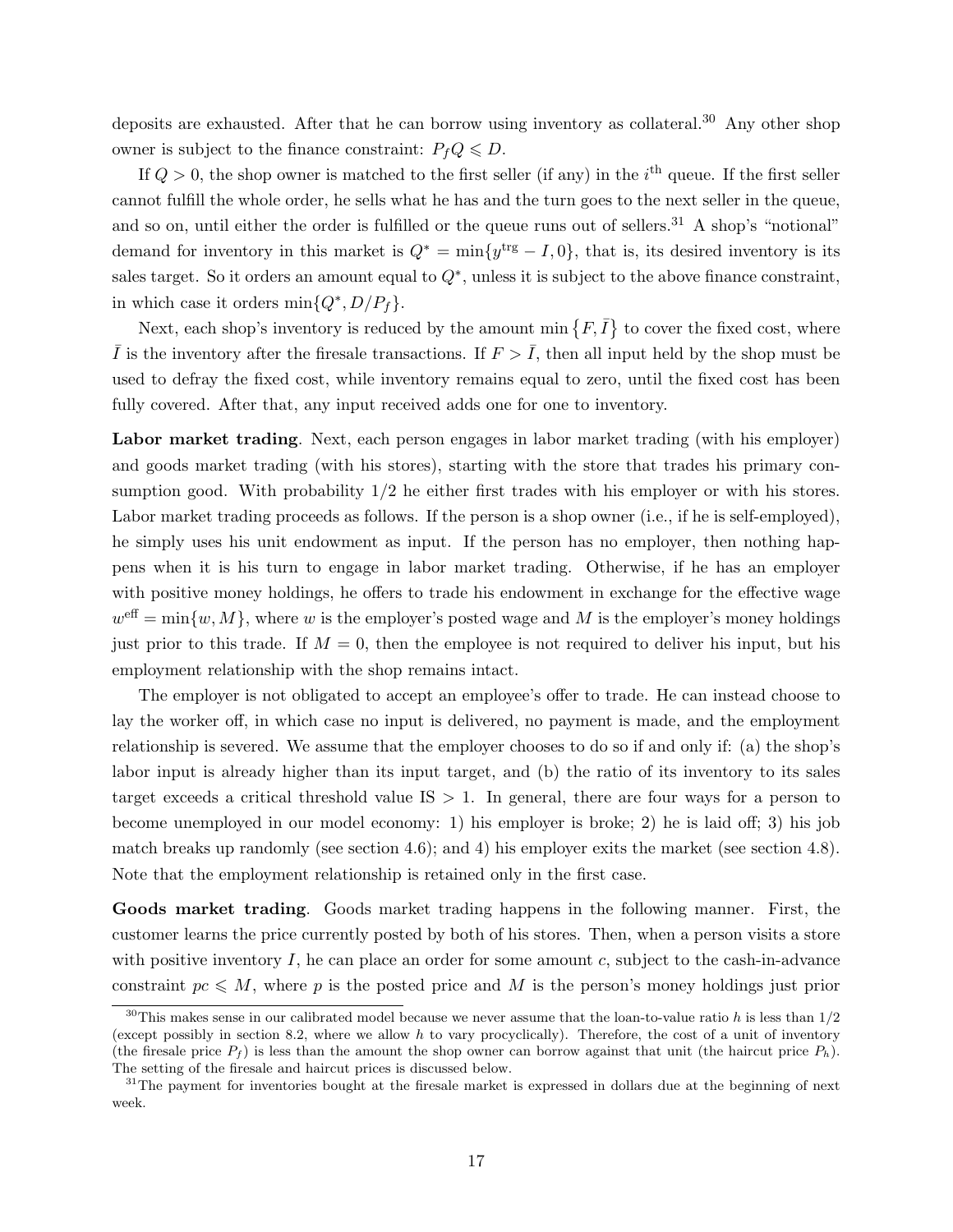deposits are exhausted. After that he can borrow using inventory as collateral.<sup>[30](#page-17-0)</sup> Any other shop owner is subject to the finance constraint:  $P_fQ \leq D$ .

If  $Q > 0$ , the shop owner is matched to the first seller (if any) in the i<sup>th</sup> queue. If the first seller cannot fulfill the whole order, he sells what he has and the turn goes to the next seller in the queue, and so on, until either the order is fulfilled or the queue runs out of sellers.<sup>[31](#page-17-1)</sup> A shop's "notional" demand for inventory in this market is  $Q^* = \min\{y^{\text{trg}} - I, 0\}$ , that is, its desired inventory is its sales target. So it orders an amount equal to  $Q^*$ , unless it is subject to the above finance constraint, in which case it orders  $\min\{Q^*, D/P_f\}.$ 

Next, each shop's inventory is reduced by the amount  $\min \{F, \bar{I}\}$  to cover the fixed cost, where  $\bar{I}$  is the inventory after the firesale transactions. If  $F > \bar{I}$ , then all input held by the shop must be used to defray the fixed cost, while inventory remains equal to zero, until the fixed cost has been fully covered. After that, any input received adds one for one to inventory.

Labor market trading. Next, each person engages in labor market trading (with his employer) and goods market trading (with his stores), starting with the store that trades his primary consumption good. With probability  $1/2$  he either first trades with his employer or with his stores. Labor market trading proceeds as follows. If the person is a shop owner (i.e., if he is self-employed), he simply uses his unit endowment as input. If the person has no employer, then nothing happens when it is his turn to engage in labor market trading. Otherwise, if he has an employer with positive money holdings, he offers to trade his endowment in exchange for the effective wage  $w^{\text{eff}} = \min\{w, M\}$ , where w is the employer's posted wage and M is the employer's money holdings just prior to this trade. If  $M = 0$ , then the employee is not required to deliver his input, but his employment relationship with the shop remains intact.

The employer is not obligated to accept an employee's offer to trade. He can instead choose to lay the worker off, in which case no input is delivered, no payment is made, and the employment relationship is severed. We assume that the employer chooses to do so if and only if: (a) the shop's labor input is already higher than its input target, and (b) the ratio of its inventory to its sales target exceeds a critical threshold value  $IS > 1$ . In general, there are four ways for a person to become unemployed in our model economy: 1) his employer is broke; 2) he is laid off; 3) his job match breaks up randomly (see section [4.6\)](#page-19-0); and 4) his employer exits the market (see section [4.8\)](#page-20-0). Note that the employment relationship is retained only in the first case.

Goods market trading. Goods market trading happens in the following manner. First, the customer learns the price currently posted by both of his stores. Then, when a person visits a store with positive inventory  $I$ , he can place an order for some amount c, subject to the cash-in-advance constraint  $pc \leq M$ , where p is the posted price and M is the person's money holdings just prior

<span id="page-17-0"></span><sup>&</sup>lt;sup>30</sup>This makes sense in our calibrated model because we never assume that the loan-to-value ratio h is less than  $1/2$ (except possibly in section [8.2,](#page-43-0) where we allow  $h$  to vary procyclically). Therefore, the cost of a unit of inventory (the firesale price  $P_f$ ) is less than the amount the shop owner can borrow against that unit (the haircut price  $P_h$ ). The setting of the firesale and haircut prices is discussed below.

<span id="page-17-1"></span><sup>&</sup>lt;sup>31</sup>The payment for inventories bought at the firesale market is expressed in dollars due at the beginning of next week.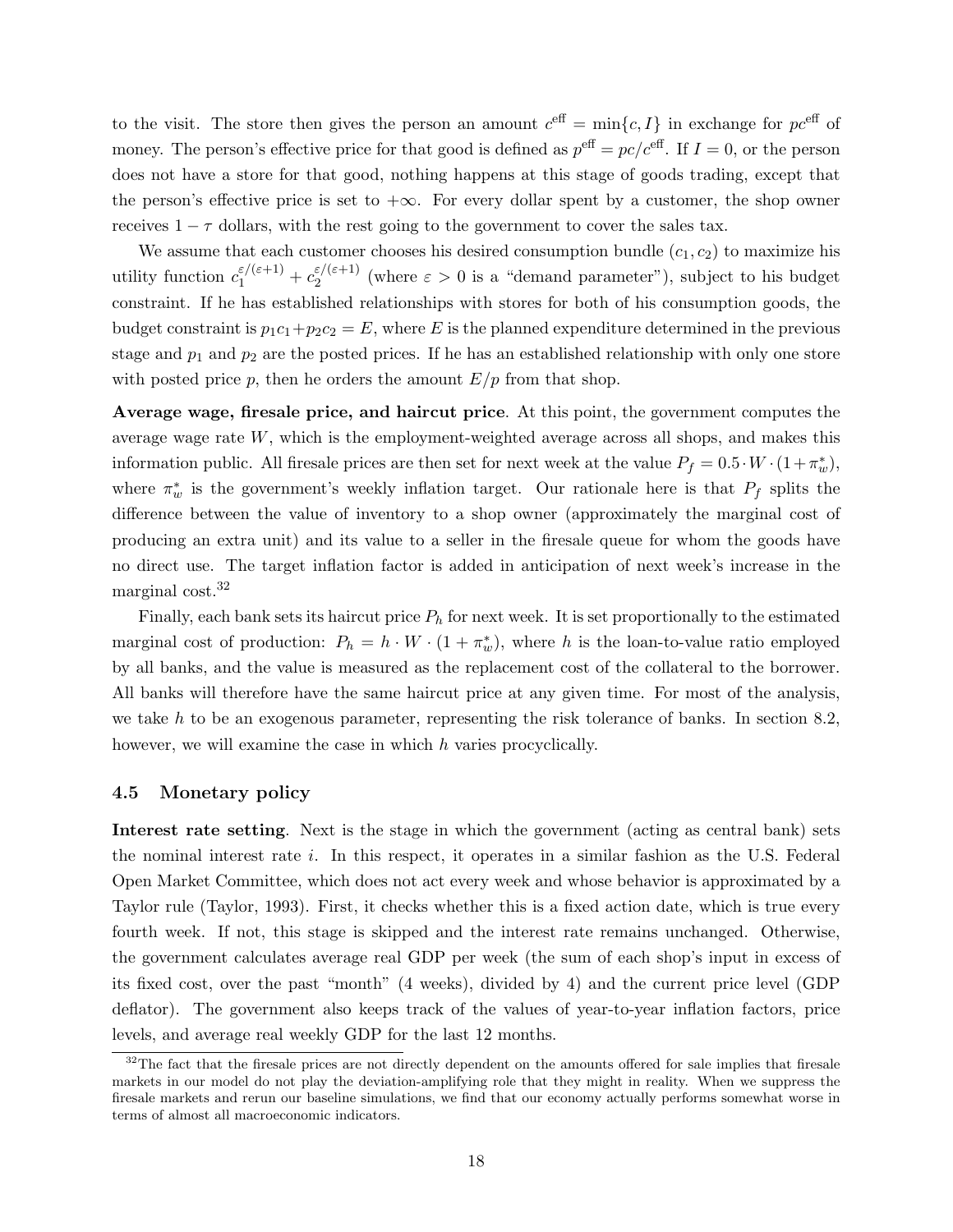to the visit. The store then gives the person an amount  $c^{\text{eff}} = \min\{c, I\}$  in exchange for  $pc^{\text{eff}}$  of money. The person's effective price for that good is defined as  $p^{\text{eff}} = pc/c^{\text{eff}}$ . If  $I = 0$ , or the person does not have a store for that good, nothing happens at this stage of goods trading, except that the person's effective price is set to  $+\infty$ . For every dollar spent by a customer, the shop owner receives  $1 - \tau$  dollars, with the rest going to the government to cover the sales tax.

We assume that each customer chooses his desired consumption bundle  $(c_1, c_2)$  to maximize his utility function  $c_1^{\varepsilon/(\varepsilon+1)} + c_2^{\varepsilon/(\varepsilon+1)}$  $\frac{\varepsilon}{2}$  (where  $\varepsilon > 0$  is a "demand parameter"), subject to his budget constraint. If he has established relationships with stores for both of his consumption goods, the budget constraint is  $p_1c_1+p_2c_2=E$ , where E is the planned expenditure determined in the previous stage and  $p_1$  and  $p_2$  are the posted prices. If he has an established relationship with only one store with posted price  $p$ , then he orders the amount  $E/p$  from that shop.

Average wage, firesale price, and haircut price. At this point, the government computes the average wage rate  $W$ , which is the employment-weighted average across all shops, and makes this information public. All firesale prices are then set for next week at the value  $P_f = 0.5 \cdot W \cdot (1 + \pi_w^*),$ where  $\pi_w^*$  is the government's weekly inflation target. Our rationale here is that  $P_f$  splits the difference between the value of inventory to a shop owner (approximately the marginal cost of producing an extra unit) and its value to a seller in the firesale queue for whom the goods have no direct use. The target inflation factor is added in anticipation of next week's increase in the marginal cost.[32](#page-18-1)

Finally, each bank sets its haircut price  $P_h$  for next week. It is set proportionally to the estimated marginal cost of production:  $P_h = h \cdot W \cdot (1 + \pi_w^*)$ , where h is the loan-to-value ratio employed by all banks, and the value is measured as the replacement cost of the collateral to the borrower. All banks will therefore have the same haircut price at any given time. For most of the analysis, we take  $h$  to be an exogenous parameter, representing the risk tolerance of banks. In section [8.2,](#page-43-0) however, we will examine the case in which h varies procyclically.

#### <span id="page-18-0"></span>4.5 Monetary policy

Interest rate setting. Next is the stage in which the government (acting as central bank) sets the nominal interest rate i. In this respect, it operates in a similar fashion as the U.S. Federal Open Market Committee, which does not act every week and whose behavior is approximated by a Taylor rule (Taylor, 1993). First, it checks whether this is a fixed action date, which is true every fourth week. If not, this stage is skipped and the interest rate remains unchanged. Otherwise, the government calculates average real GDP per week (the sum of each shop's input in excess of its fixed cost, over the past "month" (4 weeks), divided by 4) and the current price level (GDP deflator). The government also keeps track of the values of year-to-year inflation factors, price levels, and average real weekly GDP for the last 12 months.

<span id="page-18-1"></span> $32$ The fact that the firesale prices are not directly dependent on the amounts offered for sale implies that firesale markets in our model do not play the deviation-amplifying role that they might in reality. When we suppress the firesale markets and rerun our baseline simulations, we find that our economy actually performs somewhat worse in terms of almost all macroeconomic indicators.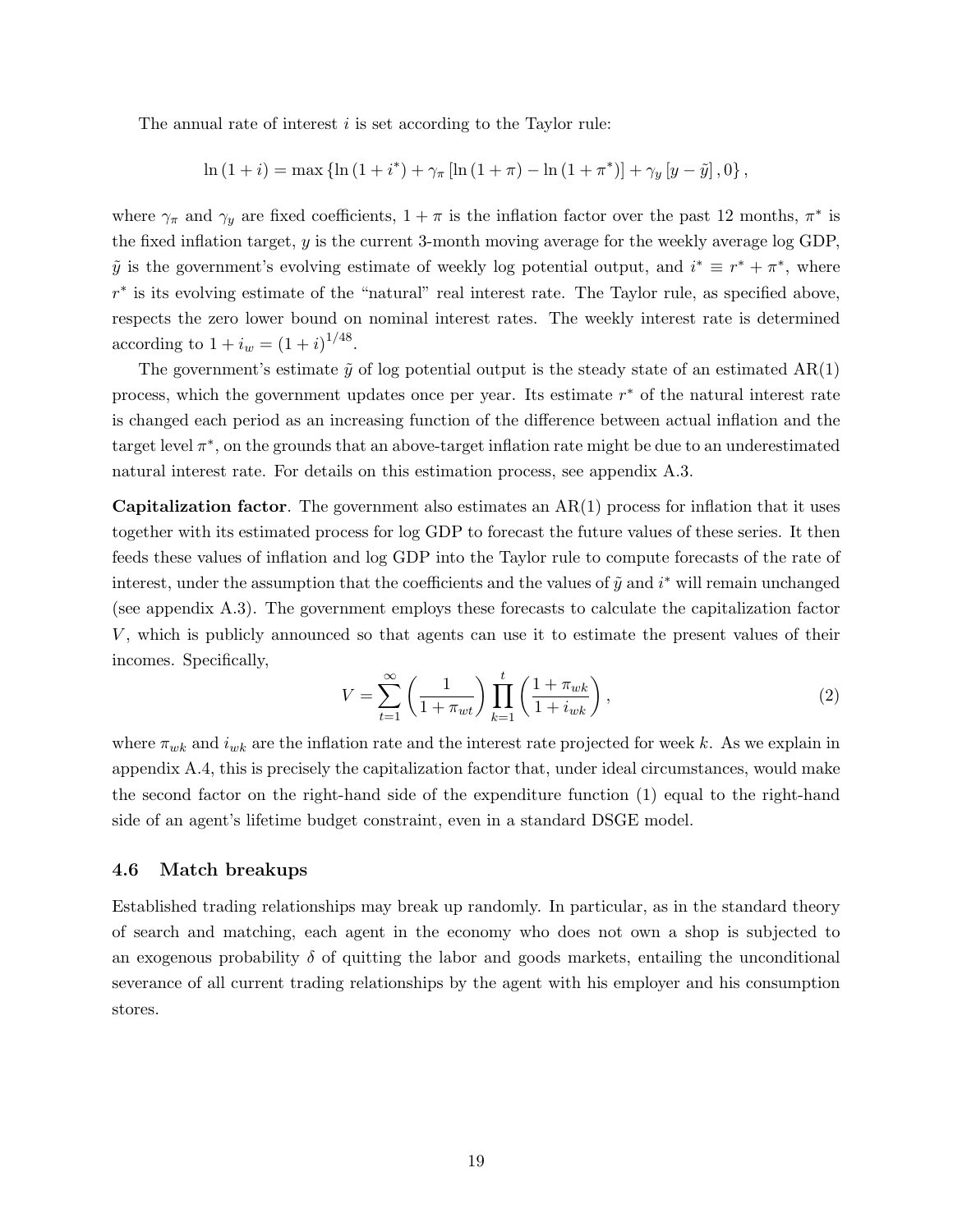The annual rate of interest  $i$  is set according to the Taylor rule:

$$
\ln (1 + i) = \max \left\{ \ln (1 + i^*) + \gamma_\pi \left[ \ln (1 + \pi) - \ln (1 + \pi^*) \right] + \gamma_y \left[ y - \tilde{y} \right], 0 \right\},\,
$$

where  $\gamma_{\pi}$  and  $\gamma_{y}$  are fixed coefficients,  $1 + \pi$  is the inflation factor over the past 12 months,  $\pi^{*}$  is the fixed inflation target,  $y$  is the current 3-month moving average for the weekly average log GDP,  $\tilde{y}$  is the government's evolving estimate of weekly log potential output, and  $i^* \equiv r^* + \pi^*$ , where r ∗ is its evolving estimate of the "natural" real interest rate. The Taylor rule, as specified above, respects the zero lower bound on nominal interest rates. The weekly interest rate is determined according to  $1 + i_w = (1 + i)^{1/48}$ .

The government's estimate  $\tilde{y}$  of log potential output is the steady state of an estimated AR(1) process, which the government updates once per year. Its estimate  $r^*$  of the natural interest rate is changed each period as an increasing function of the difference between actual inflation and the target level  $\pi^*$ , on the grounds that an above-target inflation rate might be due to an underestimated natural interest rate. For details on this estimation process, see appendix [A.3.](#page-55-0)

**Capitalization factor.** The government also estimates an  $AR(1)$  process for inflation that it uses together with its estimated process for log GDP to forecast the future values of these series. It then feeds these values of inflation and log GDP into the Taylor rule to compute forecasts of the rate of interest, under the assumption that the coefficients and the values of  $\tilde{y}$  and  $i^*$  will remain unchanged (see appendix [A.3\)](#page-55-0). The government employs these forecasts to calculate the capitalization factor V , which is publicly announced so that agents can use it to estimate the present values of their incomes. Specifically,

<span id="page-19-1"></span>
$$
V = \sum_{t=1}^{\infty} \left( \frac{1}{1 + \pi_{wt}} \right) \prod_{k=1}^{t} \left( \frac{1 + \pi_{wk}}{1 + i_{wk}} \right), \tag{2}
$$

where  $\pi_{wk}$  and  $i_{wk}$  are the inflation rate and the interest rate projected for week k. As we explain in appendix [A.4,](#page-56-0) this is precisely the capitalization factor that, under ideal circumstances, would make the second factor on the right-hand side of the expenditure function [\(1\)](#page-15-1) equal to the right-hand side of an agent's lifetime budget constraint, even in a standard DSGE model.

#### <span id="page-19-0"></span>4.6 Match breakups

Established trading relationships may break up randomly. In particular, as in the standard theory of search and matching, each agent in the economy who does not own a shop is subjected to an exogenous probability  $\delta$  of quitting the labor and goods markets, entailing the unconditional severance of all current trading relationships by the agent with his employer and his consumption stores.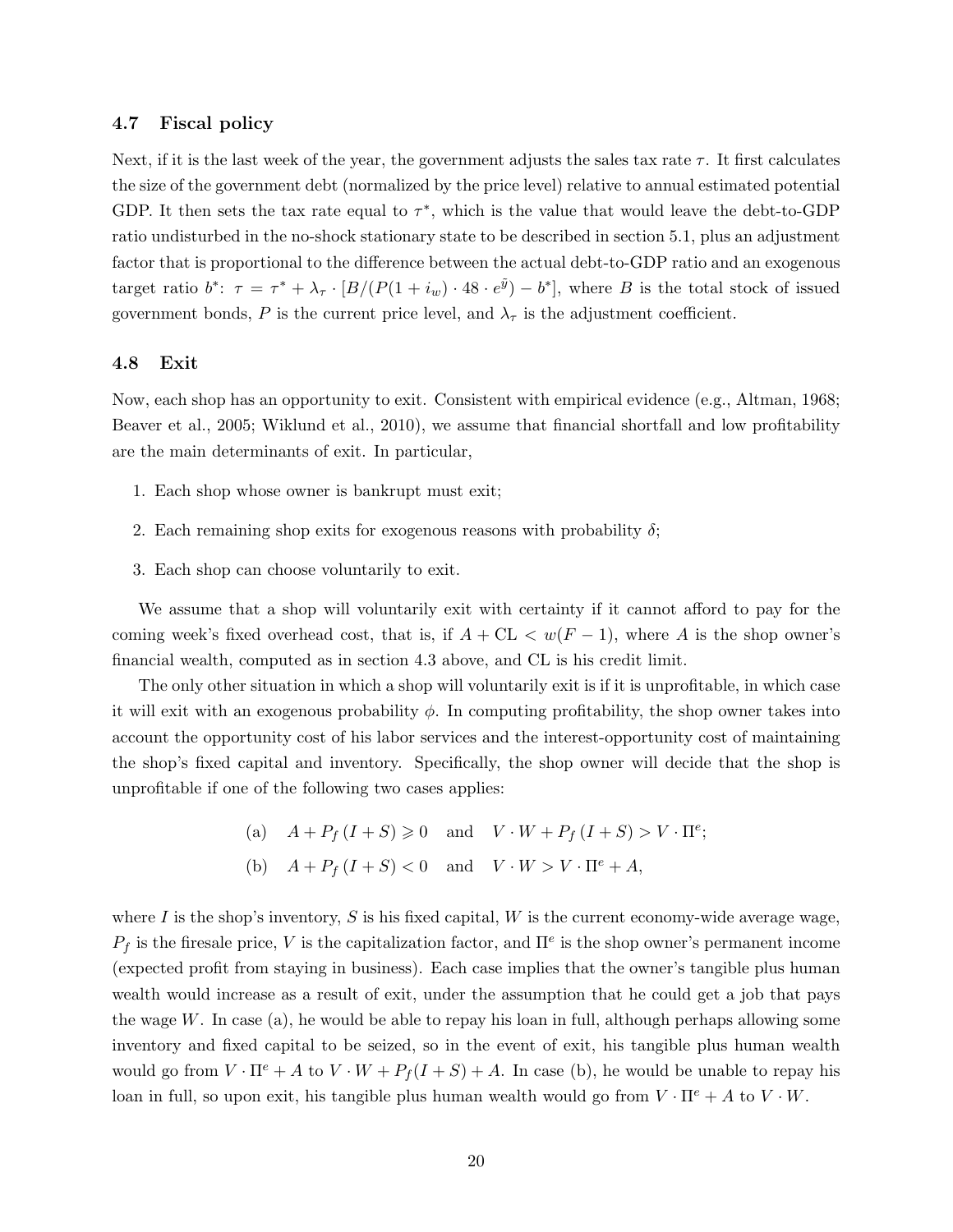#### <span id="page-20-1"></span>4.7 Fiscal policy

Next, if it is the last week of the year, the government adjusts the sales tax rate  $\tau$ . It first calculates the size of the government debt (normalized by the price level) relative to annual estimated potential GDP. It then sets the tax rate equal to  $\tau^*$ , which is the value that would leave the debt-to-GDP ratio undisturbed in the no-shock stationary state to be described in section [5.1,](#page-21-1) plus an adjustment factor that is proportional to the difference between the actual debt-to-GDP ratio and an exogenous target ratio  $b^*$ :  $\tau = \tau^* + \lambda_{\tau} \cdot [B/(P(1 + i_w) \cdot 48 \cdot e^{\tilde{y}}) - b^*]$ , where B is the total stock of issued government bonds, P is the current price level, and  $\lambda_{\tau}$  is the adjustment coefficient.

#### <span id="page-20-0"></span>4.8 Exit

Now, each shop has an opportunity to exit. Consistent with empirical evidence (e.g., Altman, 1968; Beaver et al., 2005; Wiklund et al., 2010), we assume that financial shortfall and low profitability are the main determinants of exit. In particular,

- 1. Each shop whose owner is bankrupt must exit;
- 2. Each remaining shop exits for exogenous reasons with probability  $\delta$ ;
- 3. Each shop can choose voluntarily to exit.

We assume that a shop will voluntarily exit with certainty if it cannot afford to pay for the coming week's fixed overhead cost, that is, if  $A + CL < w(F - 1)$ , where A is the shop owner's financial wealth, computed as in section [4.3](#page-13-0) above, and CL is his credit limit.

The only other situation in which a shop will voluntarily exit is if it is unprofitable, in which case it will exit with an exogenous probability  $\phi$ . In computing profitability, the shop owner takes into account the opportunity cost of his labor services and the interest-opportunity cost of maintaining the shop's fixed capital and inventory. Specifically, the shop owner will decide that the shop is unprofitable if one of the following two cases applies:

> (a)  $A + P_f (I + S) \geq 0$  and  $V \cdot W + P_f (I + S) > V \cdot \Pi^e$ ; (b)  $A + P_f (I + S) < 0$  and  $V \cdot W > V \cdot \Pi^e + A$ ,

where I is the shop's inventory, S is his fixed capital,  $W$  is the current economy-wide average wage,  $P_f$  is the firesale price, V is the capitalization factor, and  $\Pi^e$  is the shop owner's permanent income (expected profit from staying in business). Each case implies that the owner's tangible plus human wealth would increase as a result of exit, under the assumption that he could get a job that pays the wage W. In case (a), he would be able to repay his loan in full, although perhaps allowing some inventory and fixed capital to be seized, so in the event of exit, his tangible plus human wealth would go from  $V \cdot \Pi^e + A$  to  $V \cdot W + P_f(I + S) + A$ . In case (b), he would be unable to repay his loan in full, so upon exit, his tangible plus human wealth would go from  $V \cdot \Pi^e + A$  to  $V \cdot W$ .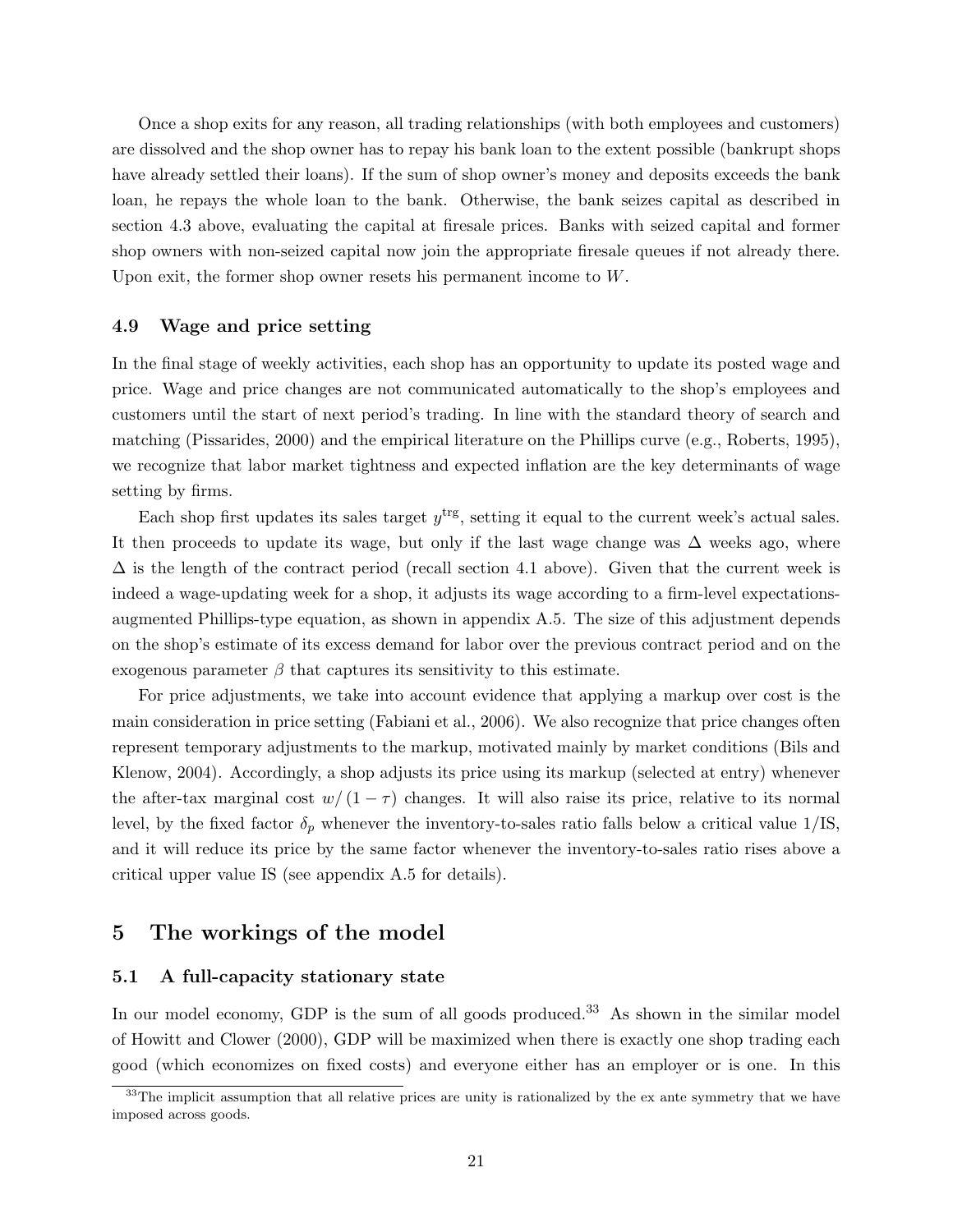Once a shop exits for any reason, all trading relationships (with both employees and customers) are dissolved and the shop owner has to repay his bank loan to the extent possible (bankrupt shops have already settled their loans). If the sum of shop owner's money and deposits exceeds the bank loan, he repays the whole loan to the bank. Otherwise, the bank seizes capital as described in section [4.3](#page-13-0) above, evaluating the capital at firesale prices. Banks with seized capital and former shop owners with non-seized capital now join the appropriate firesale queues if not already there. Upon exit, the former shop owner resets his permanent income to W.

#### 4.9 Wage and price setting

In the final stage of weekly activities, each shop has an opportunity to update its posted wage and price. Wage and price changes are not communicated automatically to the shop's employees and customers until the start of next period's trading. In line with the standard theory of search and matching (Pissarides, 2000) and the empirical literature on the Phillips curve (e.g., Roberts, 1995), we recognize that labor market tightness and expected inflation are the key determinants of wage setting by firms.

Each shop first updates its sales target  $y<sup>trg</sup>$ , setting it equal to the current week's actual sales. It then proceeds to update its wage, but only if the last wage change was  $\Delta$  weeks ago, where  $\Delta$  is the length of the contract period (recall section [4.1](#page-9-1) above). Given that the current week is indeed a wage-updating week for a shop, it adjusts its wage according to a firm-level expectationsaugmented Phillips-type equation, as shown in appendix [A.5.](#page-56-1) The size of this adjustment depends on the shop's estimate of its excess demand for labor over the previous contract period and on the exogenous parameter  $\beta$  that captures its sensitivity to this estimate.

For price adjustments, we take into account evidence that applying a markup over cost is the main consideration in price setting (Fabiani et al., 2006). We also recognize that price changes often represent temporary adjustments to the markup, motivated mainly by market conditions (Bils and Klenow, 2004). Accordingly, a shop adjusts its price using its markup (selected at entry) whenever the after-tax marginal cost  $w/(1-\tau)$  changes. It will also raise its price, relative to its normal level, by the fixed factor  $\delta_p$  whenever the inventory-to-sales ratio falls below a critical value 1/IS, and it will reduce its price by the same factor whenever the inventory-to-sales ratio rises above a critical upper value IS (see appendix [A.5](#page-56-1) for details).

## <span id="page-21-0"></span>5 The workings of the model

#### <span id="page-21-1"></span>5.1 A full-capacity stationary state

In our model economy, GDP is the sum of all goods produced.<sup>[33](#page-21-2)</sup> As shown in the similar model of Howitt and Clower (2000), GDP will be maximized when there is exactly one shop trading each good (which economizes on fixed costs) and everyone either has an employer or is one. In this

<span id="page-21-2"></span><sup>&</sup>lt;sup>33</sup>The implicit assumption that all relative prices are unity is rationalized by the ex ante symmetry that we have imposed across goods.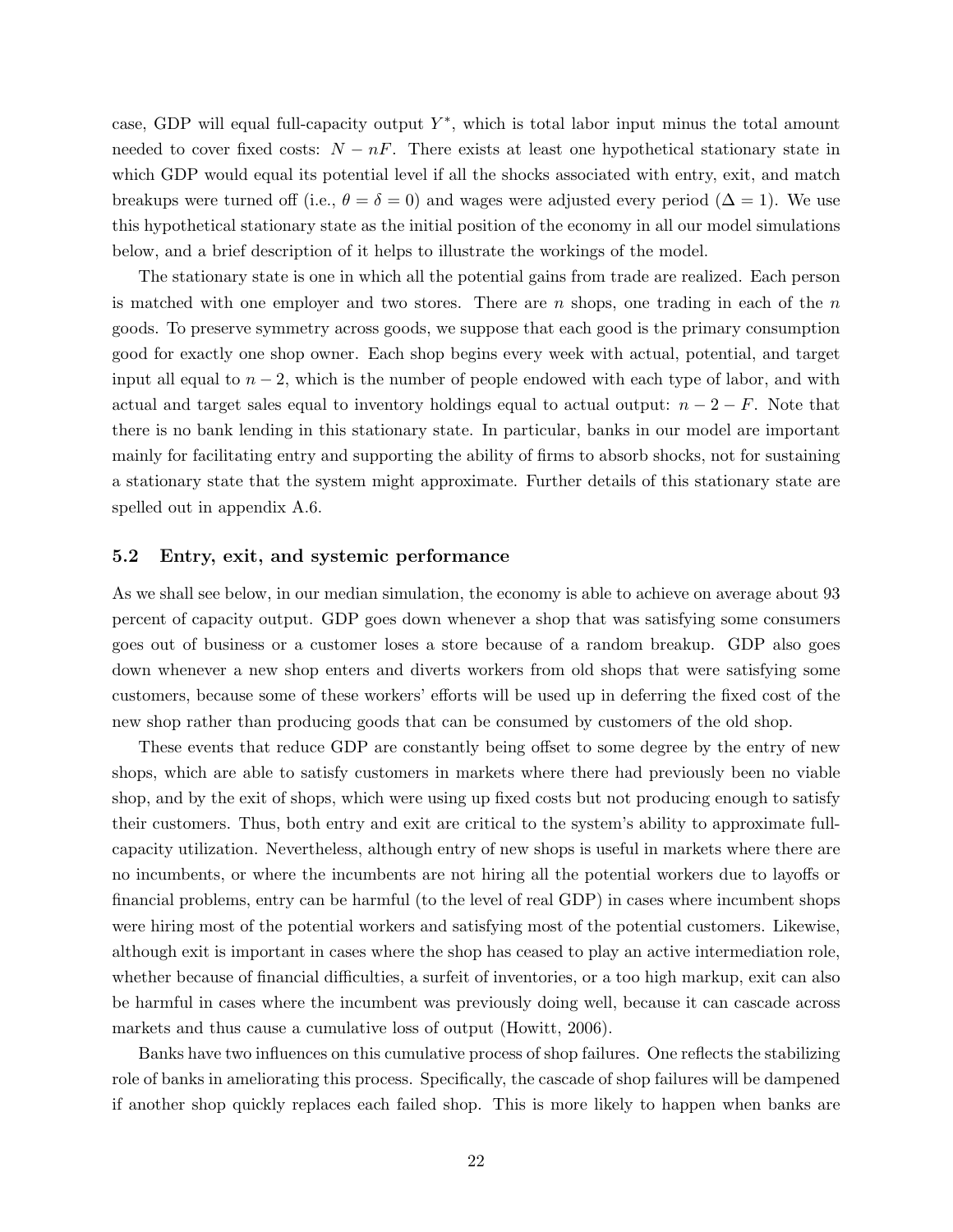case, GDP will equal full-capacity output  $Y^*$ , which is total labor input minus the total amount needed to cover fixed costs:  $N - nF$ . There exists at least one hypothetical stationary state in which GDP would equal its potential level if all the shocks associated with entry, exit, and match breakups were turned off (i.e.,  $\theta = \delta = 0$ ) and wages were adjusted every period ( $\Delta = 1$ ). We use this hypothetical stationary state as the initial position of the economy in all our model simulations below, and a brief description of it helps to illustrate the workings of the model.

The stationary state is one in which all the potential gains from trade are realized. Each person is matched with one employer and two stores. There are  $n$  shops, one trading in each of the  $n$ goods. To preserve symmetry across goods, we suppose that each good is the primary consumption good for exactly one shop owner. Each shop begins every week with actual, potential, and target input all equal to  $n-2$ , which is the number of people endowed with each type of labor, and with actual and target sales equal to inventory holdings equal to actual output:  $n-2-F$ . Note that there is no bank lending in this stationary state. In particular, banks in our model are important mainly for facilitating entry and supporting the ability of firms to absorb shocks, not for sustaining a stationary state that the system might approximate. Further details of this stationary state are spelled out in appendix [A.6.](#page-57-0)

#### 5.2 Entry, exit, and systemic performance

As we shall see below, in our median simulation, the economy is able to achieve on average about 93 percent of capacity output. GDP goes down whenever a shop that was satisfying some consumers goes out of business or a customer loses a store because of a random breakup. GDP also goes down whenever a new shop enters and diverts workers from old shops that were satisfying some customers, because some of these workers' efforts will be used up in deferring the fixed cost of the new shop rather than producing goods that can be consumed by customers of the old shop.

These events that reduce GDP are constantly being offset to some degree by the entry of new shops, which are able to satisfy customers in markets where there had previously been no viable shop, and by the exit of shops, which were using up fixed costs but not producing enough to satisfy their customers. Thus, both entry and exit are critical to the system's ability to approximate fullcapacity utilization. Nevertheless, although entry of new shops is useful in markets where there are no incumbents, or where the incumbents are not hiring all the potential workers due to layoffs or financial problems, entry can be harmful (to the level of real GDP) in cases where incumbent shops were hiring most of the potential workers and satisfying most of the potential customers. Likewise, although exit is important in cases where the shop has ceased to play an active intermediation role, whether because of financial difficulties, a surfeit of inventories, or a too high markup, exit can also be harmful in cases where the incumbent was previously doing well, because it can cascade across markets and thus cause a cumulative loss of output (Howitt, 2006).

Banks have two influences on this cumulative process of shop failures. One reflects the stabilizing role of banks in ameliorating this process. Specifically, the cascade of shop failures will be dampened if another shop quickly replaces each failed shop. This is more likely to happen when banks are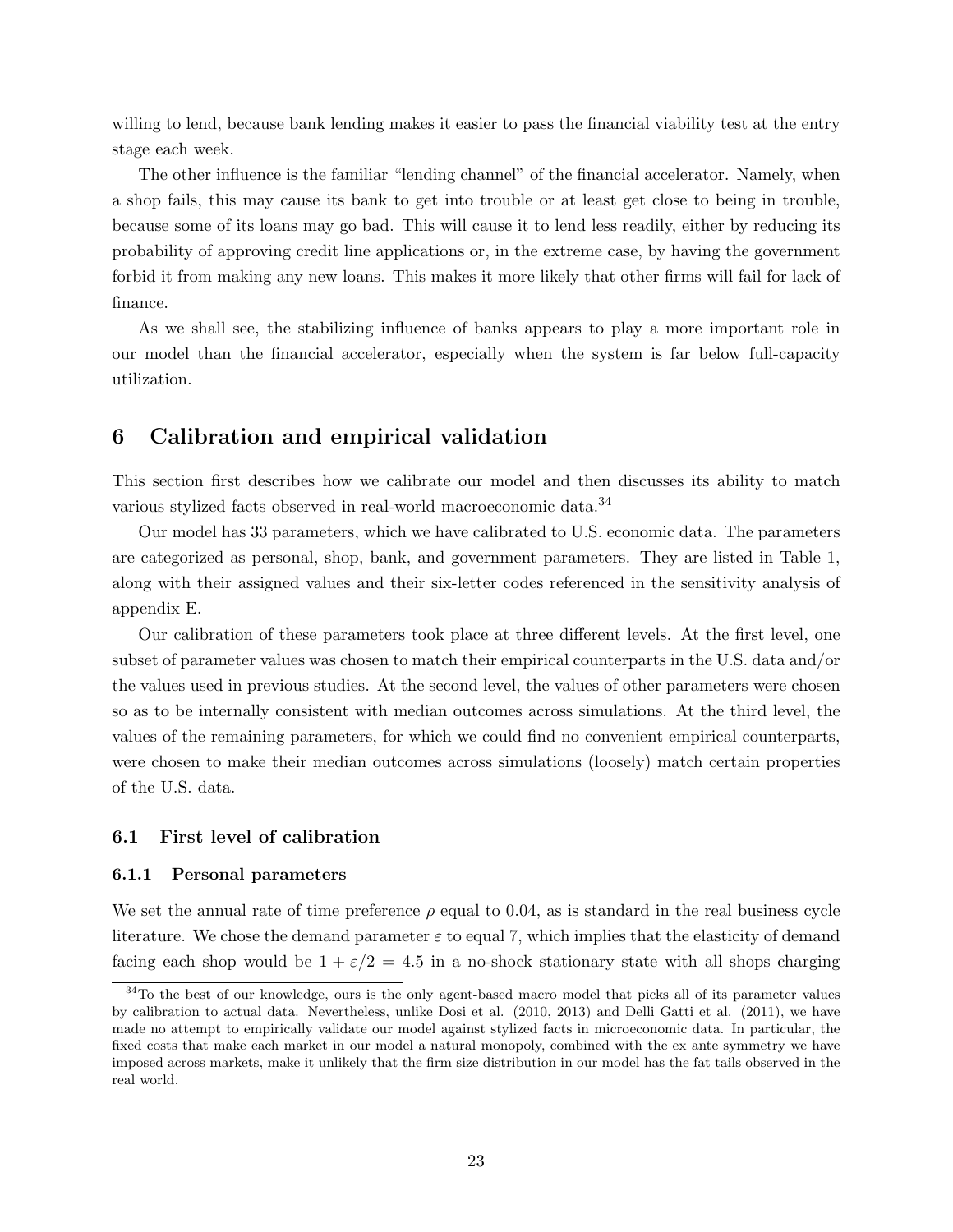willing to lend, because bank lending makes it easier to pass the financial viability test at the entry stage each week.

The other influence is the familiar "lending channel" of the financial accelerator. Namely, when a shop fails, this may cause its bank to get into trouble or at least get close to being in trouble, because some of its loans may go bad. This will cause it to lend less readily, either by reducing its probability of approving credit line applications or, in the extreme case, by having the government forbid it from making any new loans. This makes it more likely that other firms will fail for lack of finance.

As we shall see, the stabilizing influence of banks appears to play a more important role in our model than the financial accelerator, especially when the system is far below full-capacity utilization.

## <span id="page-23-0"></span>6 Calibration and empirical validation

This section first describes how we calibrate our model and then discusses its ability to match various stylized facts observed in real-world macroeconomic data.[34](#page-23-1)

Our model has 33 parameters, which we have calibrated to U.S. economic data. The parameters are categorized as personal, shop, bank, and government parameters. They are listed in Table [1,](#page-24-0) along with their assigned values and their six-letter codes referenced in the sensitivity analysis of appendix [E.](#page-60-0)

Our calibration of these parameters took place at three different levels. At the first level, one subset of parameter values was chosen to match their empirical counterparts in the U.S. data and/or the values used in previous studies. At the second level, the values of other parameters were chosen so as to be internally consistent with median outcomes across simulations. At the third level, the values of the remaining parameters, for which we could find no convenient empirical counterparts, were chosen to make their median outcomes across simulations (loosely) match certain properties of the U.S. data.

#### 6.1 First level of calibration

#### 6.1.1 Personal parameters

We set the annual rate of time preference  $\rho$  equal to 0.04, as is standard in the real business cycle literature. We chose the demand parameter  $\varepsilon$  to equal 7, which implies that the elasticity of demand facing each shop would be  $1 + \varepsilon/2 = 4.5$  in a no-shock stationary state with all shops charging

<span id="page-23-1"></span><sup>&</sup>lt;sup>34</sup>To the best of our knowledge, ours is the only agent-based macro model that picks all of its parameter values by calibration to actual data. Nevertheless, unlike Dosi et al. (2010, 2013) and Delli Gatti et al. (2011), we have made no attempt to empirically validate our model against stylized facts in microeconomic data. In particular, the fixed costs that make each market in our model a natural monopoly, combined with the ex ante symmetry we have imposed across markets, make it unlikely that the firm size distribution in our model has the fat tails observed in the real world.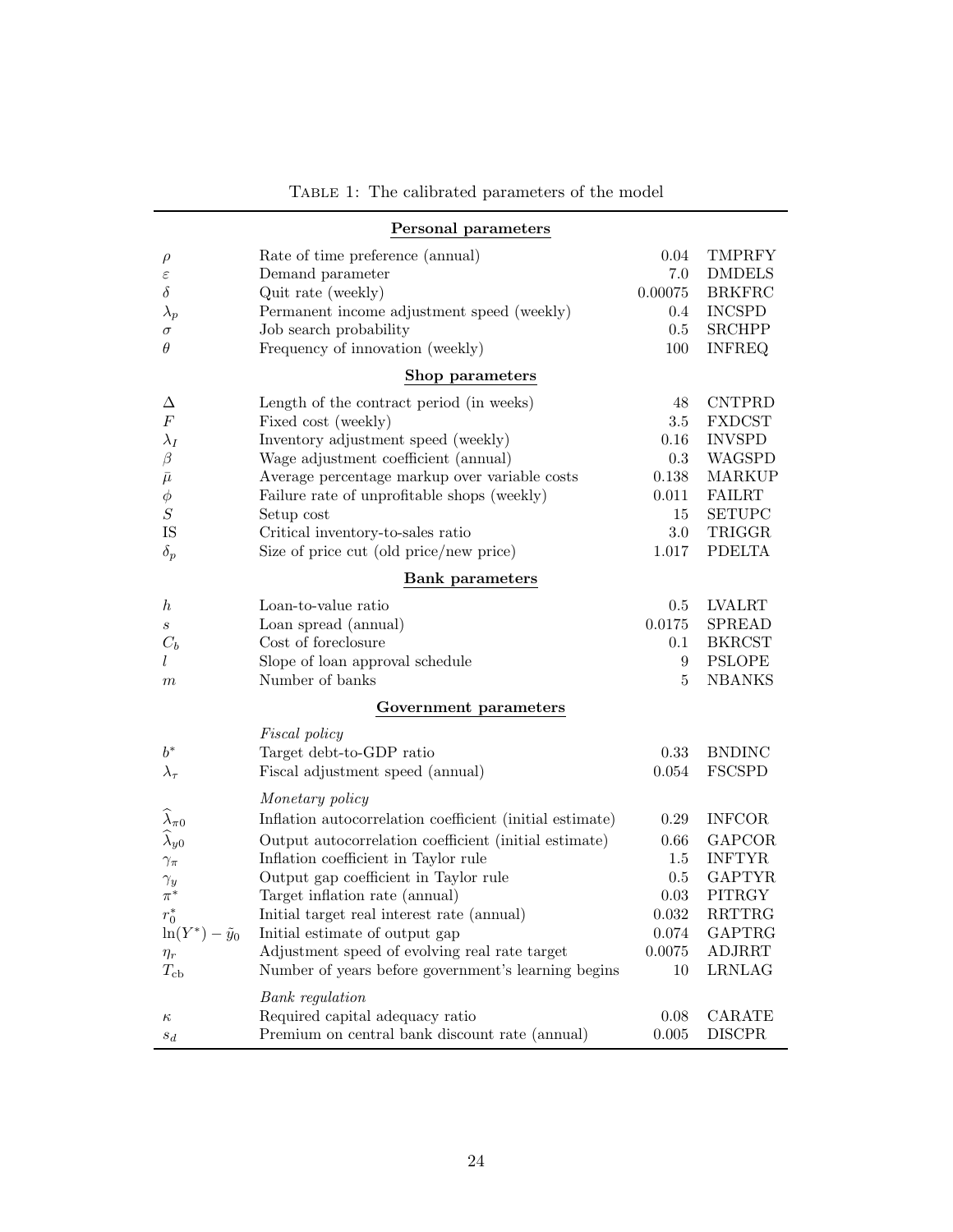|  |  |  | TABLE 1: The calibrated parameters of the model |  |  |  |
|--|--|--|-------------------------------------------------|--|--|--|
|--|--|--|-------------------------------------------------|--|--|--|

<span id="page-24-0"></span>

| Personal parameters                                  |                                                          |         |               |  |  |  |  |  |  |
|------------------------------------------------------|----------------------------------------------------------|---------|---------------|--|--|--|--|--|--|
| $\rho$                                               | Rate of time preference (annual)                         | 0.04    | <b>TMPRFY</b> |  |  |  |  |  |  |
| $\varepsilon$                                        | Demand parameter                                         | 7.0     | <b>DMDELS</b> |  |  |  |  |  |  |
| $\delta$                                             | Quit rate (weekly)                                       | 0.00075 | <b>BRKFRC</b> |  |  |  |  |  |  |
| $\lambda_p$                                          | Permanent income adjustment speed (weekly)               | 0.4     | <b>INCSPD</b> |  |  |  |  |  |  |
| $\sigma$                                             | Job search probability                                   | 0.5     | <b>SRCHPP</b> |  |  |  |  |  |  |
| $\theta$                                             | Frequency of innovation (weekly)                         | 100     | <b>INFREQ</b> |  |  |  |  |  |  |
| Shop parameters                                      |                                                          |         |               |  |  |  |  |  |  |
| Δ                                                    | Length of the contract period (in weeks)                 | 48      | <b>CNTPRD</b> |  |  |  |  |  |  |
| $\boldsymbol{F}$                                     | Fixed cost (weekly)                                      | $3.5\,$ | <b>FXDCST</b> |  |  |  |  |  |  |
| $\lambda_I$                                          | Inventory adjustment speed (weekly)                      | 0.16    | <b>INVSPD</b> |  |  |  |  |  |  |
| $\beta$                                              | Wage adjustment coefficient (annual)                     | 0.3     | WAGSPD        |  |  |  |  |  |  |
| $\bar{\mu}$                                          | Average percentage markup over variable costs            | 0.138   | <b>MARKUP</b> |  |  |  |  |  |  |
| $\phi$                                               | Failure rate of unprofitable shops (weekly)              | 0.011   | <b>FAILRT</b> |  |  |  |  |  |  |
| $\cal S$                                             | Setup cost                                               | 15      | <b>SETUPC</b> |  |  |  |  |  |  |
| IS                                                   | Critical inventory-to-sales ratio                        | 3.0     | TRIGGR        |  |  |  |  |  |  |
| $\delta_p$                                           | Size of price cut (old price/new price)                  | 1.017   | <b>PDELTA</b> |  |  |  |  |  |  |
|                                                      | <b>Bank</b> parameters                                   |         |               |  |  |  |  |  |  |
| $\boldsymbol{h}$                                     | Loan-to-value ratio                                      | $0.5\,$ | <b>LVALRT</b> |  |  |  |  |  |  |
| $\boldsymbol{s}$                                     | Loan spread (annual)                                     | 0.0175  | <b>SPREAD</b> |  |  |  |  |  |  |
| $C_b$                                                | Cost of foreclosure                                      | $0.1\,$ | <b>BKRCST</b> |  |  |  |  |  |  |
| l                                                    | Slope of loan approval schedule                          | 9       | <b>PSLOPE</b> |  |  |  |  |  |  |
| $\,m$                                                | Number of banks                                          | 5       | <b>NBANKS</b> |  |  |  |  |  |  |
|                                                      | Government parameters                                    |         |               |  |  |  |  |  |  |
|                                                      | Fiscal policy                                            |         |               |  |  |  |  |  |  |
| $b^*$                                                | Target debt-to-GDP ratio                                 | 0.33    | <b>BNDINC</b> |  |  |  |  |  |  |
| $\lambda_\tau$                                       | Fiscal adjustment speed (annual)                         | 0.054   | <b>FSCSPD</b> |  |  |  |  |  |  |
|                                                      | Monetary policy                                          |         |               |  |  |  |  |  |  |
| $\widehat{\lambda}_{\pi 0}$ $\widehat{\lambda}_{y0}$ | Inflation autocorrelation coefficient (initial estimate) | 0.29    | <b>INFCOR</b> |  |  |  |  |  |  |
|                                                      | Output autocorrelation coefficient (initial estimate)    | 0.66    | GAPCOR        |  |  |  |  |  |  |
| $\gamma_\pi$                                         | Inflation coefficient in Taylor rule                     | 1.5     | <b>INFTYR</b> |  |  |  |  |  |  |
| $\gamma_y$                                           | Output gap coefficient in Taylor rule                    | 0.5     | <b>GAPTYR</b> |  |  |  |  |  |  |
| $\pi^*$                                              | Target inflation rate (annual)                           | 0.03    | PITRGY        |  |  |  |  |  |  |
| $r_0^*$                                              | Initial target real interest rate (annual)               | 0.032   | RRTTRG        |  |  |  |  |  |  |
| $\ln(Y^*) - \tilde{y}_0$                             | Initial estimate of output gap                           | 0.074   | GAPTRG        |  |  |  |  |  |  |
| $\eta_r$                                             | Adjustment speed of evolving real rate target            | 0.0075  | ADJRRT        |  |  |  |  |  |  |
| $T_{\rm cb}$                                         | Number of years before government's learning begins      | 10      | LRNLAG        |  |  |  |  |  |  |
|                                                      | <b>Bank</b> regulation                                   |         |               |  |  |  |  |  |  |
| $\kappa$                                             | Required capital adequacy ratio                          | 0.08    | CARATE        |  |  |  |  |  |  |
| $\mathfrak{s}_d$                                     | Premium on central bank discount rate (annual)           | 0.005   | <b>DISCPR</b> |  |  |  |  |  |  |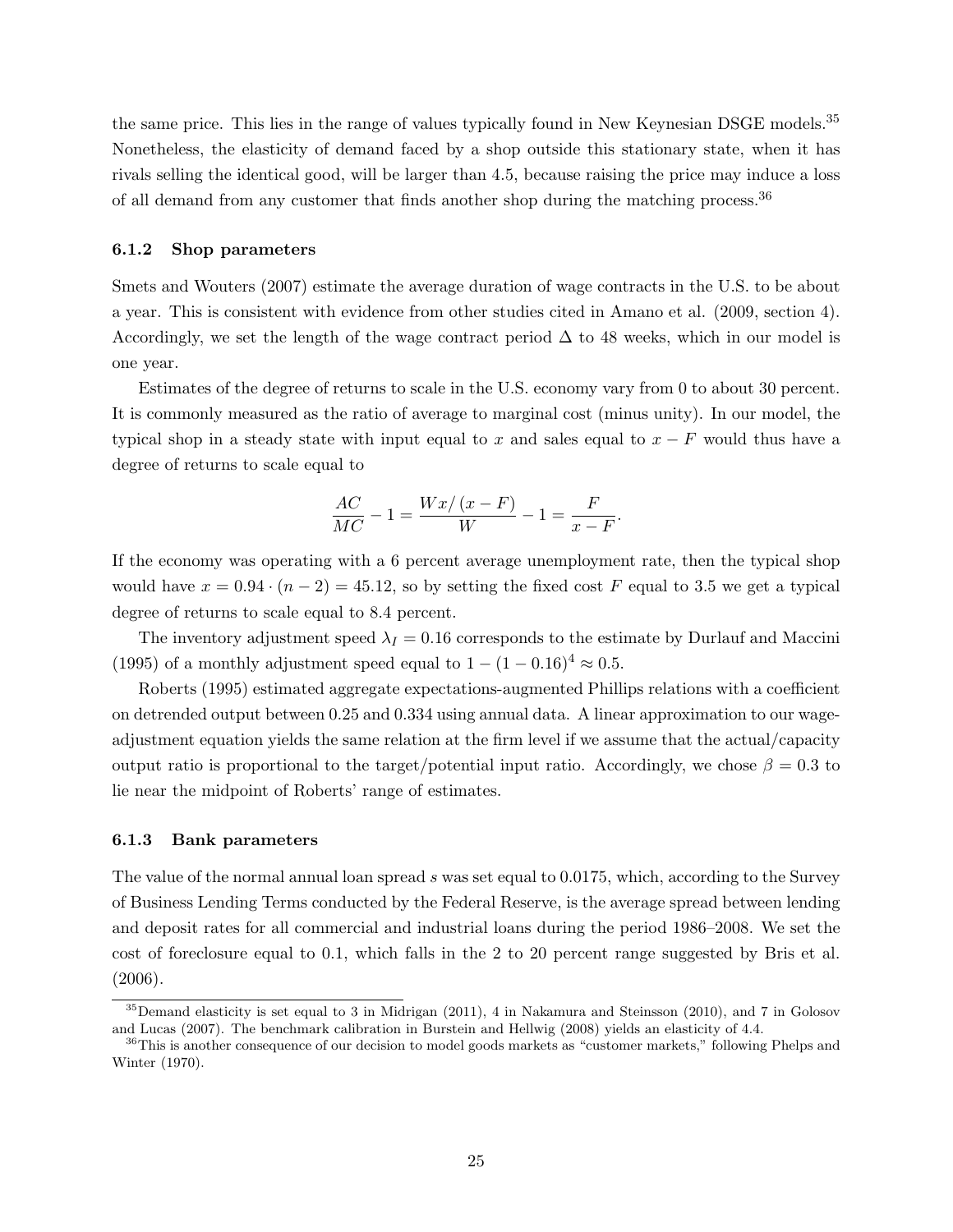the same price. This lies in the range of values typically found in New Keynesian DSGE models.<sup>[35](#page-25-0)</sup> Nonetheless, the elasticity of demand faced by a shop outside this stationary state, when it has rivals selling the identical good, will be larger than 4.5, because raising the price may induce a loss of all demand from any customer that finds another shop during the matching process.<sup>[36](#page-25-1)</sup>

#### 6.1.2 Shop parameters

Smets and Wouters (2007) estimate the average duration of wage contracts in the U.S. to be about a year. This is consistent with evidence from other studies cited in Amano et al. (2009, section 4). Accordingly, we set the length of the wage contract period  $\Delta$  to 48 weeks, which in our model is one year.

Estimates of the degree of returns to scale in the U.S. economy vary from 0 to about 30 percent. It is commonly measured as the ratio of average to marginal cost (minus unity). In our model, the typical shop in a steady state with input equal to x and sales equal to  $x - F$  would thus have a degree of returns to scale equal to

$$
\frac{AC}{MC} - 1 = \frac{Wx/(x - F)}{W} - 1 = \frac{F}{x - F}.
$$

If the economy was operating with a 6 percent average unemployment rate, then the typical shop would have  $x = 0.94 \cdot (n-2) = 45.12$ , so by setting the fixed cost F equal to 3.5 we get a typical degree of returns to scale equal to 8.4 percent.

The inventory adjustment speed  $\lambda_I = 0.16$  corresponds to the estimate by Durlauf and Maccini (1995) of a monthly adjustment speed equal to  $1 - (1 - 0.16)^4 \approx 0.5$ .

Roberts (1995) estimated aggregate expectations-augmented Phillips relations with a coefficient on detrended output between 0.25 and 0.334 using annual data. A linear approximation to our wageadjustment equation yields the same relation at the firm level if we assume that the actual/capacity output ratio is proportional to the target/potential input ratio. Accordingly, we chose  $\beta = 0.3$  to lie near the midpoint of Roberts' range of estimates.

#### 6.1.3 Bank parameters

The value of the normal annual loan spread s was set equal to 0.0175, which, according to the Survey of Business Lending Terms conducted by the Federal Reserve, is the average spread between lending and deposit rates for all commercial and industrial loans during the period 1986–2008. We set the cost of foreclosure equal to 0.1, which falls in the 2 to 20 percent range suggested by Bris et al. (2006).

<span id="page-25-0"></span><sup>35</sup>Demand elasticity is set equal to 3 in Midrigan (2011), 4 in Nakamura and Steinsson (2010), and 7 in Golosov and Lucas (2007). The benchmark calibration in Burstein and Hellwig (2008) yields an elasticity of 4.4.

<span id="page-25-1"></span><sup>&</sup>lt;sup>36</sup>This is another consequence of our decision to model goods markets as "customer markets," following Phelps and Winter (1970).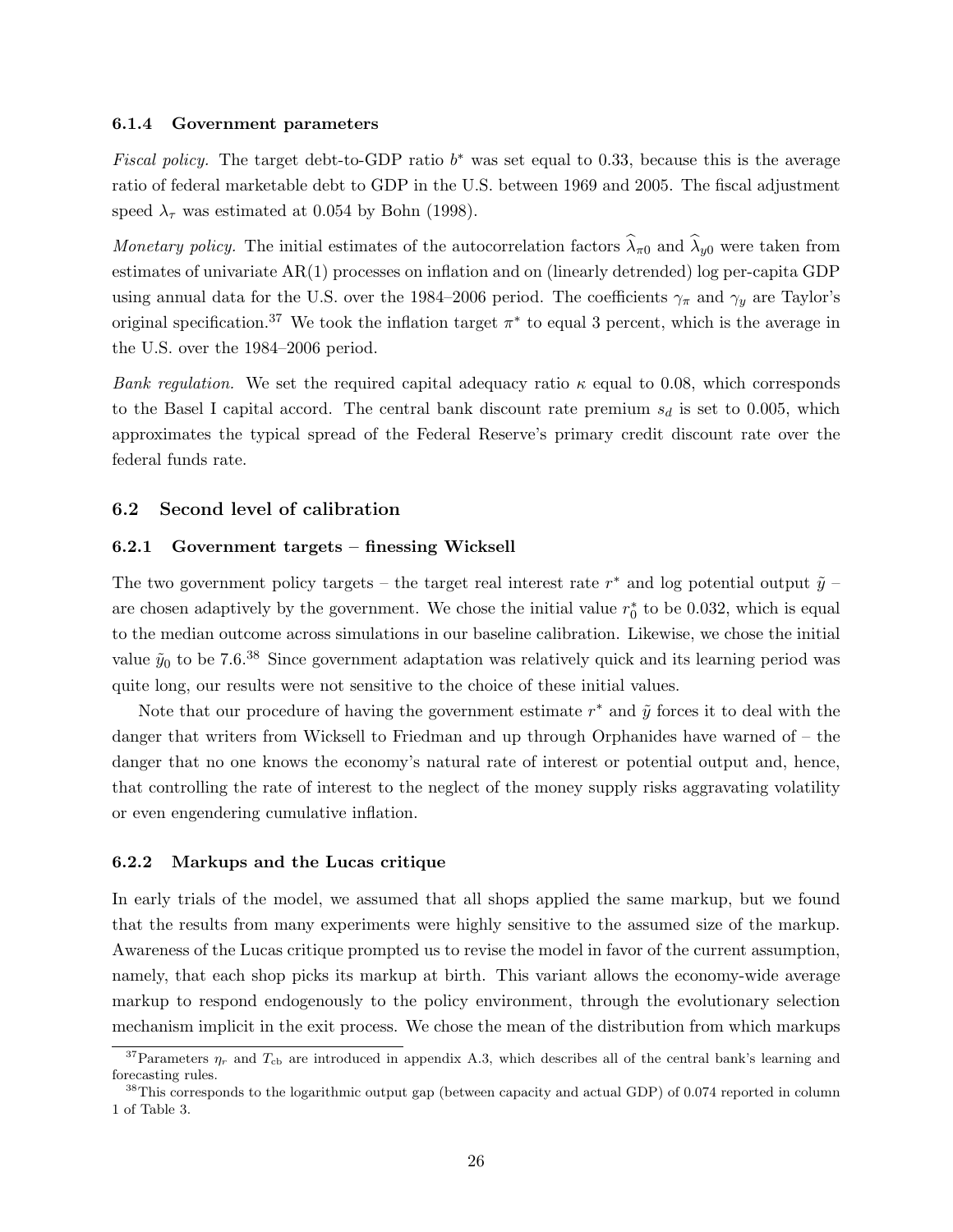#### 6.1.4 Government parameters

Fiscal policy. The target debt-to-GDP ratio  $b^*$  was set equal to 0.33, because this is the average ratio of federal marketable debt to GDP in the U.S. between 1969 and 2005. The fiscal adjustment speed  $\lambda_{\tau}$  was estimated at 0.054 by Bohn (1998).

Monetary policy. The initial estimates of the autocorrelation factors  $\hat{\lambda}_{\pi 0}$  and  $\hat{\lambda}_{y0}$  were taken from estimates of univariate AR(1) processes on inflation and on (linearly detrended) log per-capita GDP using annual data for the U.S. over the 1984–2006 period. The coefficients  $\gamma_{\pi}$  and  $\gamma_{y}$  are Taylor's original specification.<sup>[37](#page-26-0)</sup> We took the inflation target  $\pi^*$  to equal 3 percent, which is the average in the U.S. over the 1984–2006 period.

Bank regulation. We set the required capital adequacy ratio  $\kappa$  equal to 0.08, which corresponds to the Basel I capital accord. The central bank discount rate premium  $s_d$  is set to 0.005, which approximates the typical spread of the Federal Reserve's primary credit discount rate over the federal funds rate.

#### 6.2 Second level of calibration

#### 6.2.1 Government targets – finessing Wicksell

The two government policy targets – the target real interest rate  $r^*$  and log potential output  $\tilde{y}$  – are chosen adaptively by the government. We chose the initial value  $r_0^*$  to be 0.032, which is equal to the median outcome across simulations in our baseline calibration. Likewise, we chose the initial value  $\tilde{y}_0$  to be 7.6.<sup>[38](#page-26-1)</sup> Since government adaptation was relatively quick and its learning period was quite long, our results were not sensitive to the choice of these initial values.

Note that our procedure of having the government estimate  $r^*$  and  $\tilde{y}$  forces it to deal with the danger that writers from Wicksell to Friedman and up through Orphanides have warned of – the danger that no one knows the economy's natural rate of interest or potential output and, hence, that controlling the rate of interest to the neglect of the money supply risks aggravating volatility or even engendering cumulative inflation.

#### 6.2.2 Markups and the Lucas critique

In early trials of the model, we assumed that all shops applied the same markup, but we found that the results from many experiments were highly sensitive to the assumed size of the markup. Awareness of the Lucas critique prompted us to revise the model in favor of the current assumption, namely, that each shop picks its markup at birth. This variant allows the economy-wide average markup to respond endogenously to the policy environment, through the evolutionary selection mechanism implicit in the exit process. We chose the mean of the distribution from which markups

<span id="page-26-0"></span><sup>&</sup>lt;sup>37</sup>Parameters  $\eta_r$  and  $T_{cb}$  are introduced in appendix [A.3,](#page-55-0) which describes all of the central bank's learning and forecasting rules.

<span id="page-26-1"></span><sup>&</sup>lt;sup>38</sup>This corresponds to the logarithmic output gap (between capacity and actual GDP) of 0.074 reported in column 1 of Table [3.](#page-35-0)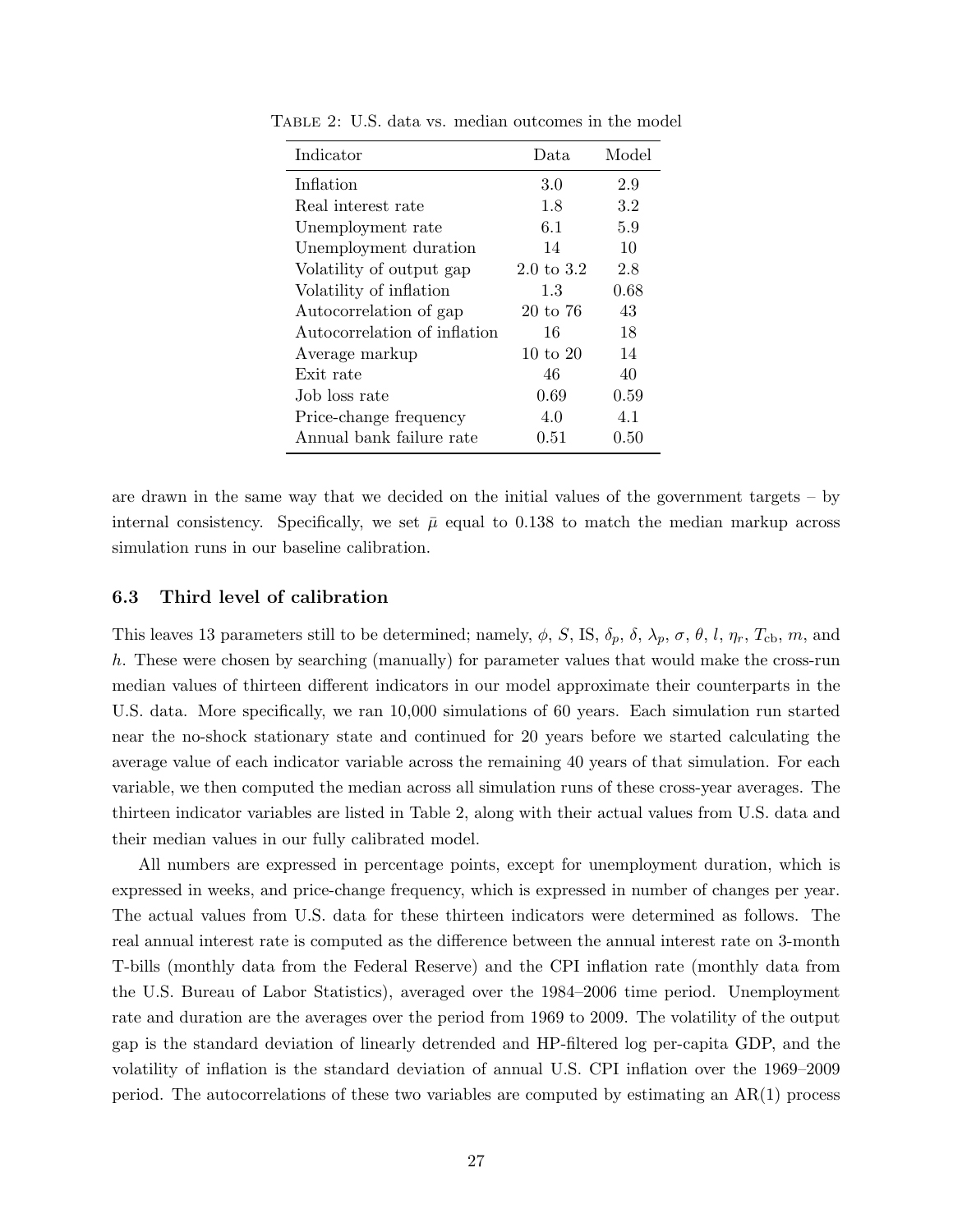| Indicator                    | Data.                 | Model |
|------------------------------|-----------------------|-------|
| Inflation                    | 3.0                   | 2.9   |
| Real interest rate           | 1.8                   | 3.2   |
| Unemployment rate            | 6.1                   | 5.9   |
| Unemployment duration        | 14                    | 10    |
| Volatility of output gap     | $2.0 \text{ to } 3.2$ | 2.8   |
| Volatility of inflation      | 1.3                   | 0.68  |
| Autocorrelation of gap       | 20 to 76              | 43    |
| Autocorrelation of inflation | 16                    | 18    |
| Average markup               | 10 to 20              | 14    |
| Exit rate                    | 46                    | 40    |
| Job loss rate                | 0.69                  | 0.59  |
| Price-change frequency       | 4.0                   | 4.1   |
| Annual bank failure rate     | 0.51                  | 0.50  |

<span id="page-27-0"></span>Table 2: U.S. data vs. median outcomes in the model

are drawn in the same way that we decided on the initial values of the government targets – by internal consistency. Specifically, we set  $\bar{\mu}$  equal to 0.138 to match the median markup across simulation runs in our baseline calibration.

#### 6.3 Third level of calibration

This leaves 13 parameters still to be determined; namely,  $\phi$ , S, IS,  $\delta_p$ ,  $\delta$ ,  $\lambda_p$ ,  $\sigma$ ,  $\theta$ ,  $l$ ,  $\eta_r$ ,  $T_{cb}$ ,  $m$ , and h. These were chosen by searching (manually) for parameter values that would make the cross-run median values of thirteen different indicators in our model approximate their counterparts in the U.S. data. More specifically, we ran 10,000 simulations of 60 years. Each simulation run started near the no-shock stationary state and continued for 20 years before we started calculating the average value of each indicator variable across the remaining 40 years of that simulation. For each variable, we then computed the median across all simulation runs of these cross-year averages. The thirteen indicator variables are listed in Table [2,](#page-27-0) along with their actual values from U.S. data and their median values in our fully calibrated model.

All numbers are expressed in percentage points, except for unemployment duration, which is expressed in weeks, and price-change frequency, which is expressed in number of changes per year. The actual values from U.S. data for these thirteen indicators were determined as follows. The real annual interest rate is computed as the difference between the annual interest rate on 3-month T-bills (monthly data from the Federal Reserve) and the CPI inflation rate (monthly data from the U.S. Bureau of Labor Statistics), averaged over the 1984–2006 time period. Unemployment rate and duration are the averages over the period from 1969 to 2009. The volatility of the output gap is the standard deviation of linearly detrended and HP-filtered log per-capita GDP, and the volatility of inflation is the standard deviation of annual U.S. CPI inflation over the 1969–2009 period. The autocorrelations of these two variables are computed by estimating an AR(1) process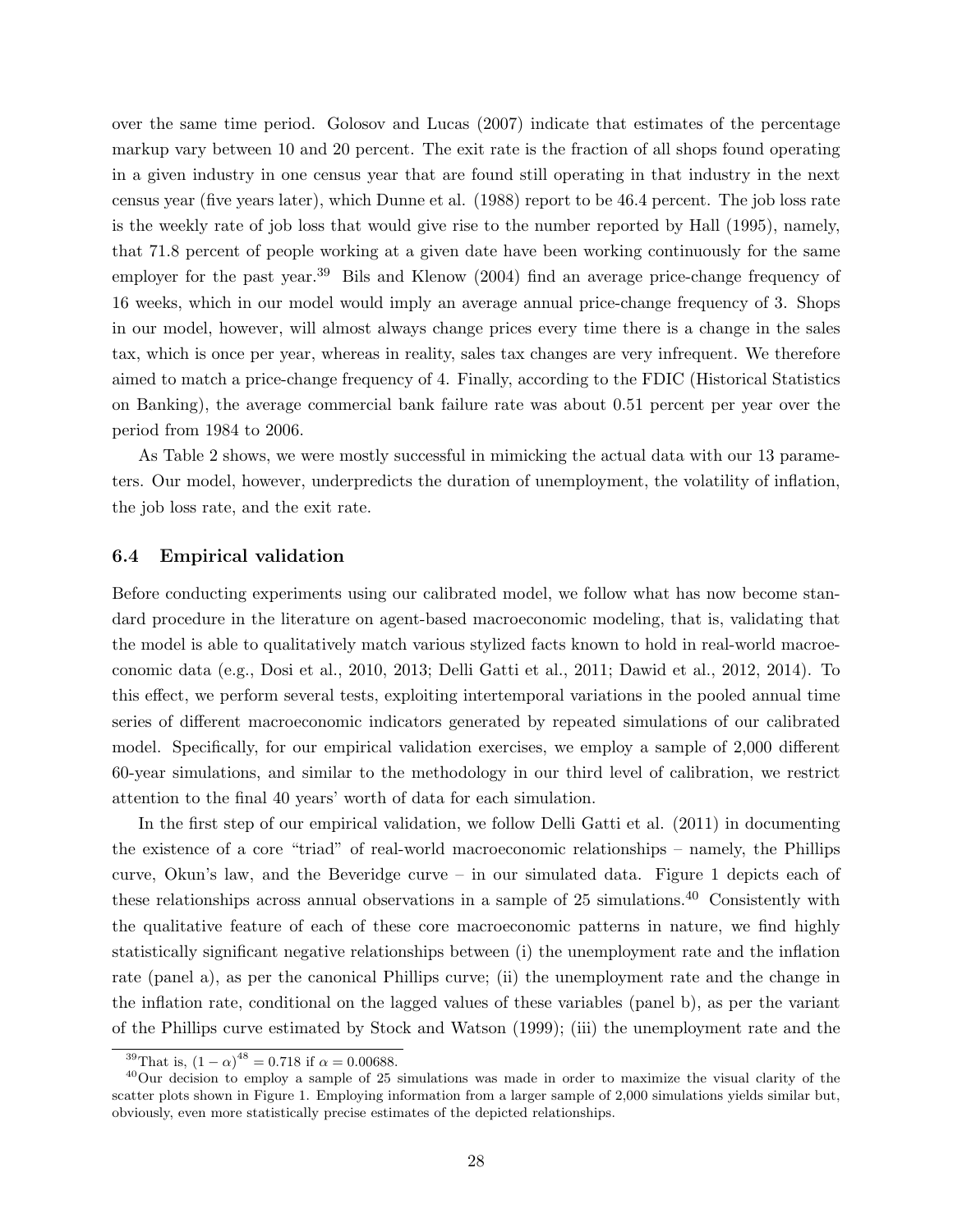over the same time period. Golosov and Lucas (2007) indicate that estimates of the percentage markup vary between 10 and 20 percent. The exit rate is the fraction of all shops found operating in a given industry in one census year that are found still operating in that industry in the next census year (five years later), which Dunne et al. (1988) report to be 46.4 percent. The job loss rate is the weekly rate of job loss that would give rise to the number reported by Hall (1995), namely, that 71.8 percent of people working at a given date have been working continuously for the same employer for the past year.<sup>[39](#page-28-0)</sup> Bils and Klenow (2004) find an average price-change frequency of 16 weeks, which in our model would imply an average annual price-change frequency of 3. Shops in our model, however, will almost always change prices every time there is a change in the sales tax, which is once per year, whereas in reality, sales tax changes are very infrequent. We therefore aimed to match a price-change frequency of 4. Finally, according to the FDIC (Historical Statistics on Banking), the average commercial bank failure rate was about 0.51 percent per year over the period from 1984 to 2006.

As Table [2](#page-27-0) shows, we were mostly successful in mimicking the actual data with our 13 parameters. Our model, however, underpredicts the duration of unemployment, the volatility of inflation, the job loss rate, and the exit rate.

#### 6.4 Empirical validation

Before conducting experiments using our calibrated model, we follow what has now become standard procedure in the literature on agent-based macroeconomic modeling, that is, validating that the model is able to qualitatively match various stylized facts known to hold in real-world macroeconomic data (e.g., Dosi et al., 2010, 2013; Delli Gatti et al., 2011; Dawid et al., 2012, 2014). To this effect, we perform several tests, exploiting intertemporal variations in the pooled annual time series of different macroeconomic indicators generated by repeated simulations of our calibrated model. Specifically, for our empirical validation exercises, we employ a sample of 2,000 different 60-year simulations, and similar to the methodology in our third level of calibration, we restrict attention to the final 40 years' worth of data for each simulation.

In the first step of our empirical validation, we follow Delli Gatti et al. (2011) in documenting the existence of a core "triad" of real-world macroeconomic relationships – namely, the Phillips curve, Okun's law, and the Beveridge curve – in our simulated data. Figure 1 depicts each of these relationships across annual observations in a sample of  $25$  simulations.<sup>[40](#page-28-1)</sup> Consistently with the qualitative feature of each of these core macroeconomic patterns in nature, we find highly statistically significant negative relationships between (i) the unemployment rate and the inflation rate (panel a), as per the canonical Phillips curve; (ii) the unemployment rate and the change in the inflation rate, conditional on the lagged values of these variables (panel b), as per the variant of the Phillips curve estimated by Stock and Watson (1999); (iii) the unemployment rate and the

<span id="page-28-1"></span><span id="page-28-0"></span><sup>&</sup>lt;sup>39</sup>That is,  $(1 - \alpha)^{48} = 0.718$  if  $\alpha = 0.00688$ .

<sup>&</sup>lt;sup>40</sup>Our decision to employ a sample of 25 simulations was made in order to maximize the visual clarity of the scatter plots shown in Figure [1.](#page-29-0) Employing information from a larger sample of 2,000 simulations yields similar but, obviously, even more statistically precise estimates of the depicted relationships.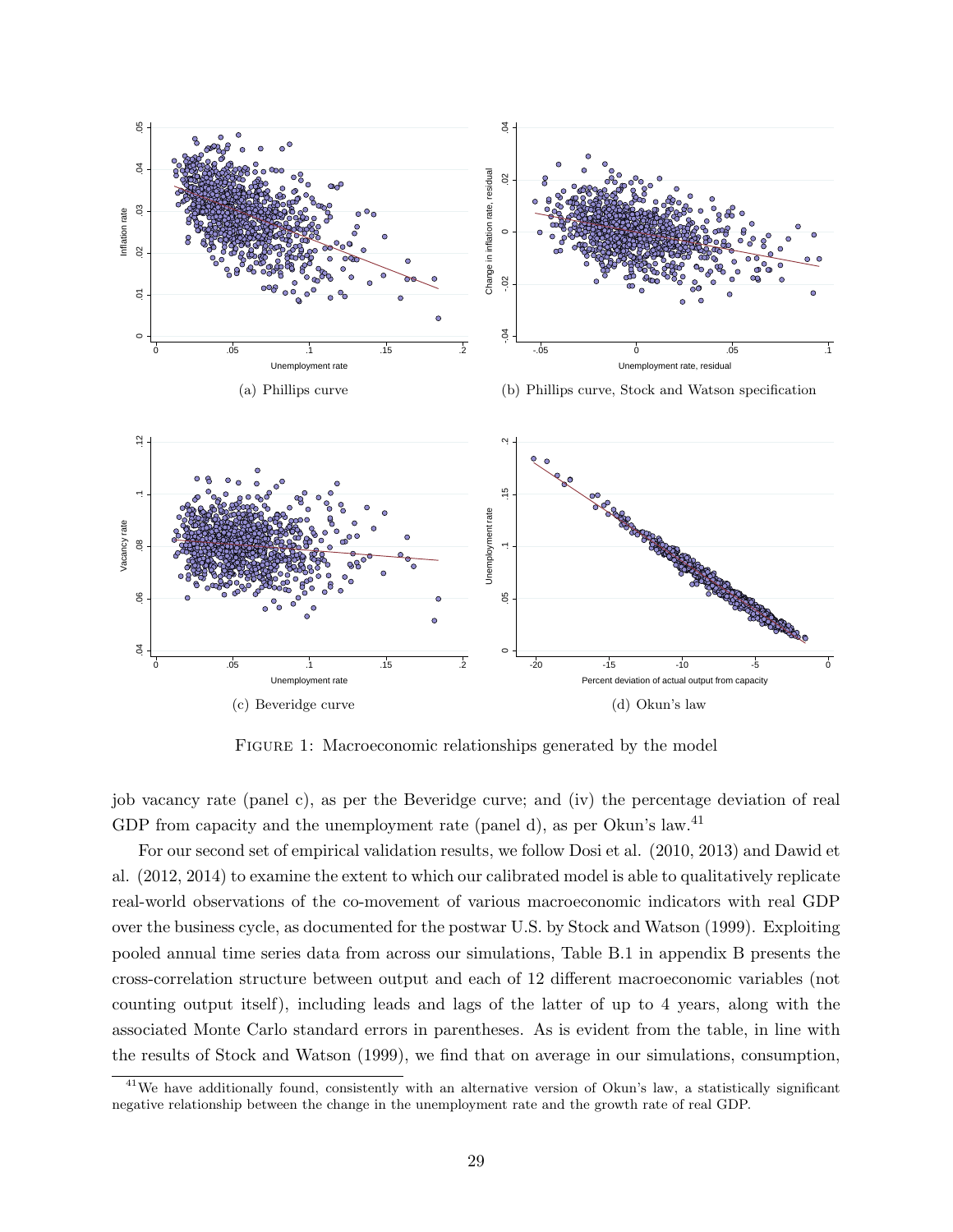<span id="page-29-0"></span>

FIGURE 1: Macroeconomic relationships generated by the model

job vacancy rate (panel c), as per the Beveridge curve; and (iv) the percentage deviation of real GDP from capacity and the unemployment rate (panel d), as per Okun's law.<sup>[41](#page-29-1)</sup>

For our second set of empirical validation results, we follow Dosi et al. (2010, 2013) and Dawid et al. (2012, 2014) to examine the extent to which our calibrated model is able to qualitatively replicate real-world observations of the co-movement of various macroeconomic indicators with real GDP over the business cycle, as documented for the postwar U.S. by Stock and Watson (1999). Exploiting pooled annual time series data from across our simulations, Table [B.1](#page-58-0) in appendix [B](#page-58-1) presents the cross-correlation structure between output and each of 12 different macroeconomic variables (not counting output itself), including leads and lags of the latter of up to 4 years, along with the associated Monte Carlo standard errors in parentheses. As is evident from the table, in line with the results of Stock and Watson (1999), we find that on average in our simulations, consumption,

<span id="page-29-1"></span> $41$ We have additionally found, consistently with an alternative version of Okun's law, a statistically significant negative relationship between the change in the unemployment rate and the growth rate of real GDP.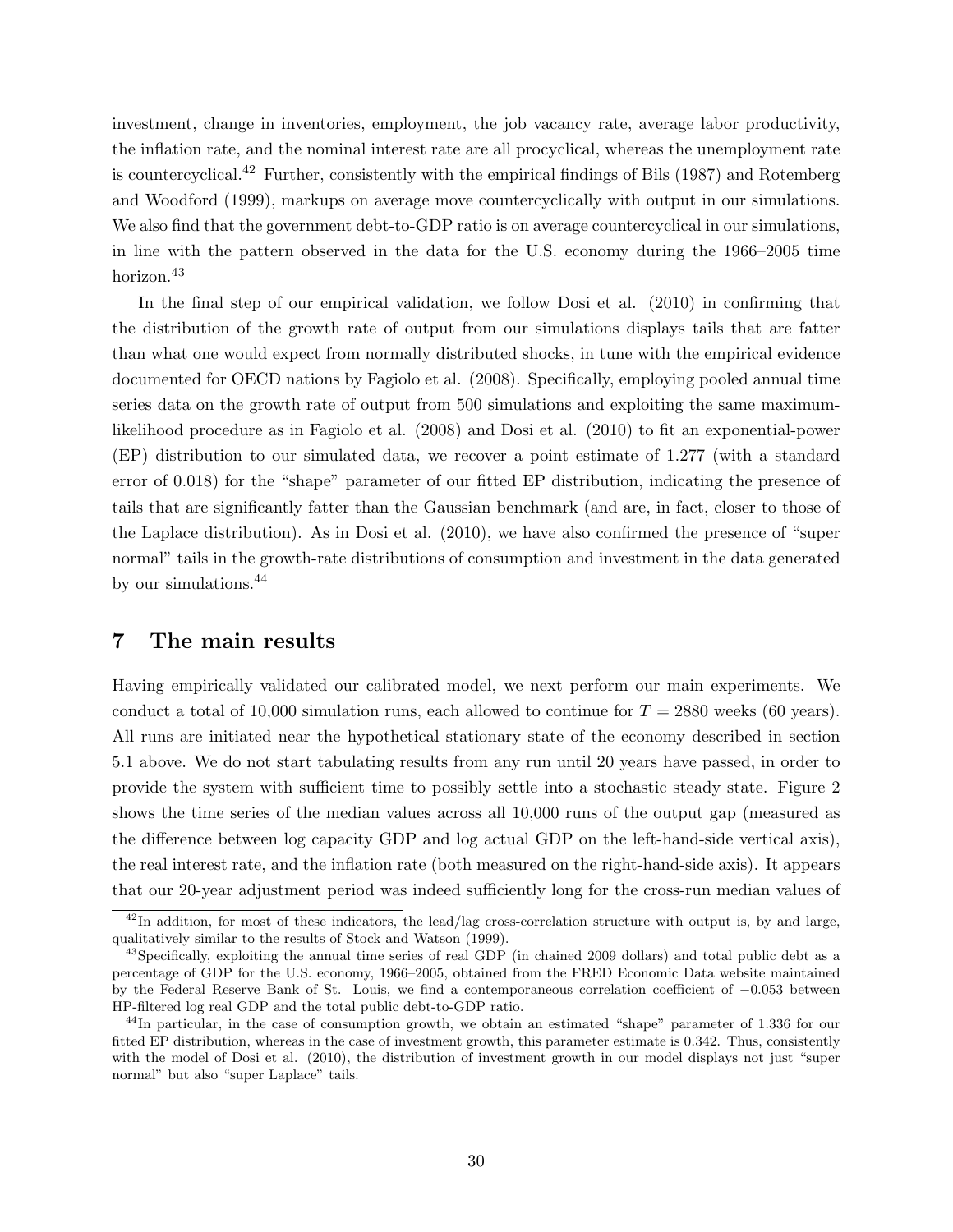investment, change in inventories, employment, the job vacancy rate, average labor productivity, the inflation rate, and the nominal interest rate are all procyclical, whereas the unemployment rate is countercyclical.<sup>[42](#page-30-1)</sup> Further, consistently with the empirical findings of Bils (1987) and Rotemberg and Woodford (1999), markups on average move countercyclically with output in our simulations. We also find that the government debt-to-GDP ratio is on average countercyclical in our simulations, in line with the pattern observed in the data for the U.S. economy during the 1966–2005 time horizon.<sup>[43](#page-30-2)</sup>

In the final step of our empirical validation, we follow Dosi et al. (2010) in confirming that the distribution of the growth rate of output from our simulations displays tails that are fatter than what one would expect from normally distributed shocks, in tune with the empirical evidence documented for OECD nations by Fagiolo et al. (2008). Specifically, employing pooled annual time series data on the growth rate of output from 500 simulations and exploiting the same maximumlikelihood procedure as in Fagiolo et al. (2008) and Dosi et al. (2010) to fit an exponential-power (EP) distribution to our simulated data, we recover a point estimate of 1.277 (with a standard error of 0.018) for the "shape" parameter of our fitted EP distribution, indicating the presence of tails that are significantly fatter than the Gaussian benchmark (and are, in fact, closer to those of the Laplace distribution). As in Dosi et al. (2010), we have also confirmed the presence of "super normal" tails in the growth-rate distributions of consumption and investment in the data generated by our simulations.[44](#page-30-3)

## <span id="page-30-0"></span>7 The main results

Having empirically validated our calibrated model, we next perform our main experiments. We conduct a total of 10,000 simulation runs, each allowed to continue for  $T = 2880$  weeks (60 years). All runs are initiated near the hypothetical stationary state of the economy described in section [5.1](#page-21-1) above. We do not start tabulating results from any run until 20 years have passed, in order to provide the system with sufficient time to possibly settle into a stochastic steady state. Figure [2](#page-31-0) shows the time series of the median values across all 10,000 runs of the output gap (measured as the difference between log capacity GDP and log actual GDP on the left-hand-side vertical axis), the real interest rate, and the inflation rate (both measured on the right-hand-side axis). It appears that our 20-year adjustment period was indeed sufficiently long for the cross-run median values of

<span id="page-30-1"></span> $^{42}$ In addition, for most of these indicators, the lead/lag cross-correlation structure with output is, by and large, qualitatively similar to the results of Stock and Watson (1999).

<span id="page-30-2"></span><sup>&</sup>lt;sup>43</sup>Specifically, exploiting the annual time series of real GDP (in chained 2009 dollars) and total public debt as a percentage of GDP for the U.S. economy, 1966–2005, obtained from the FRED Economic Data website maintained by the Federal Reserve Bank of St. Louis, we find a contemporaneous correlation coefficient of −0.053 between HP-filtered log real GDP and the total public debt-to-GDP ratio.

<span id="page-30-3"></span><sup>&</sup>lt;sup>44</sup>In particular, in the case of consumption growth, we obtain an estimated "shape" parameter of 1.336 for our fitted EP distribution, whereas in the case of investment growth, this parameter estimate is 0.342. Thus, consistently with the model of Dosi et al. (2010), the distribution of investment growth in our model displays not just "super normal" but also "super Laplace" tails.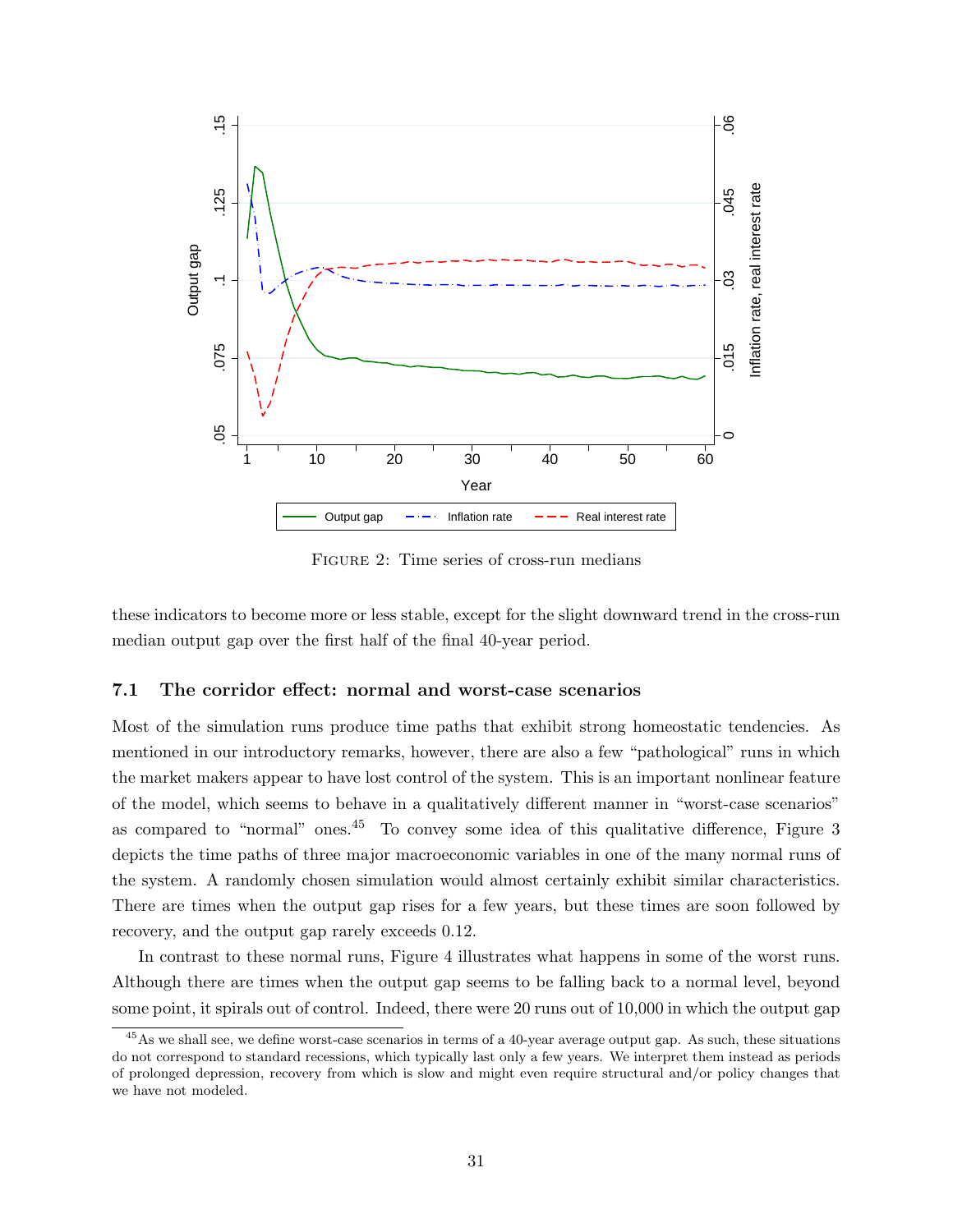<span id="page-31-0"></span>

FIGURE 2: Time series of cross-run medians

these indicators to become more or less stable, except for the slight downward trend in the cross-run median output gap over the first half of the final 40-year period.

#### 7.1 The corridor effect: normal and worst-case scenarios

Most of the simulation runs produce time paths that exhibit strong homeostatic tendencies. As mentioned in our introductory remarks, however, there are also a few "pathological" runs in which the market makers appear to have lost control of the system. This is an important nonlinear feature of the model, which seems to behave in a qualitatively different manner in "worst-case scenarios" as compared to "normal" ones.<sup>[45](#page-31-1)</sup> To convey some idea of this qualitative difference, Figure [3](#page-32-0) depicts the time paths of three major macroeconomic variables in one of the many normal runs of the system. A randomly chosen simulation would almost certainly exhibit similar characteristics. There are times when the output gap rises for a few years, but these times are soon followed by recovery, and the output gap rarely exceeds 0.12.

In contrast to these normal runs, Figure [4](#page-32-1) illustrates what happens in some of the worst runs. Although there are times when the output gap seems to be falling back to a normal level, beyond some point, it spirals out of control. Indeed, there were 20 runs out of 10,000 in which the output gap

<span id="page-31-1"></span><sup>&</sup>lt;sup>45</sup>As we shall see, we define worst-case scenarios in terms of a 40-year average output gap. As such, these situations do not correspond to standard recessions, which typically last only a few years. We interpret them instead as periods of prolonged depression, recovery from which is slow and might even require structural and/or policy changes that we have not modeled.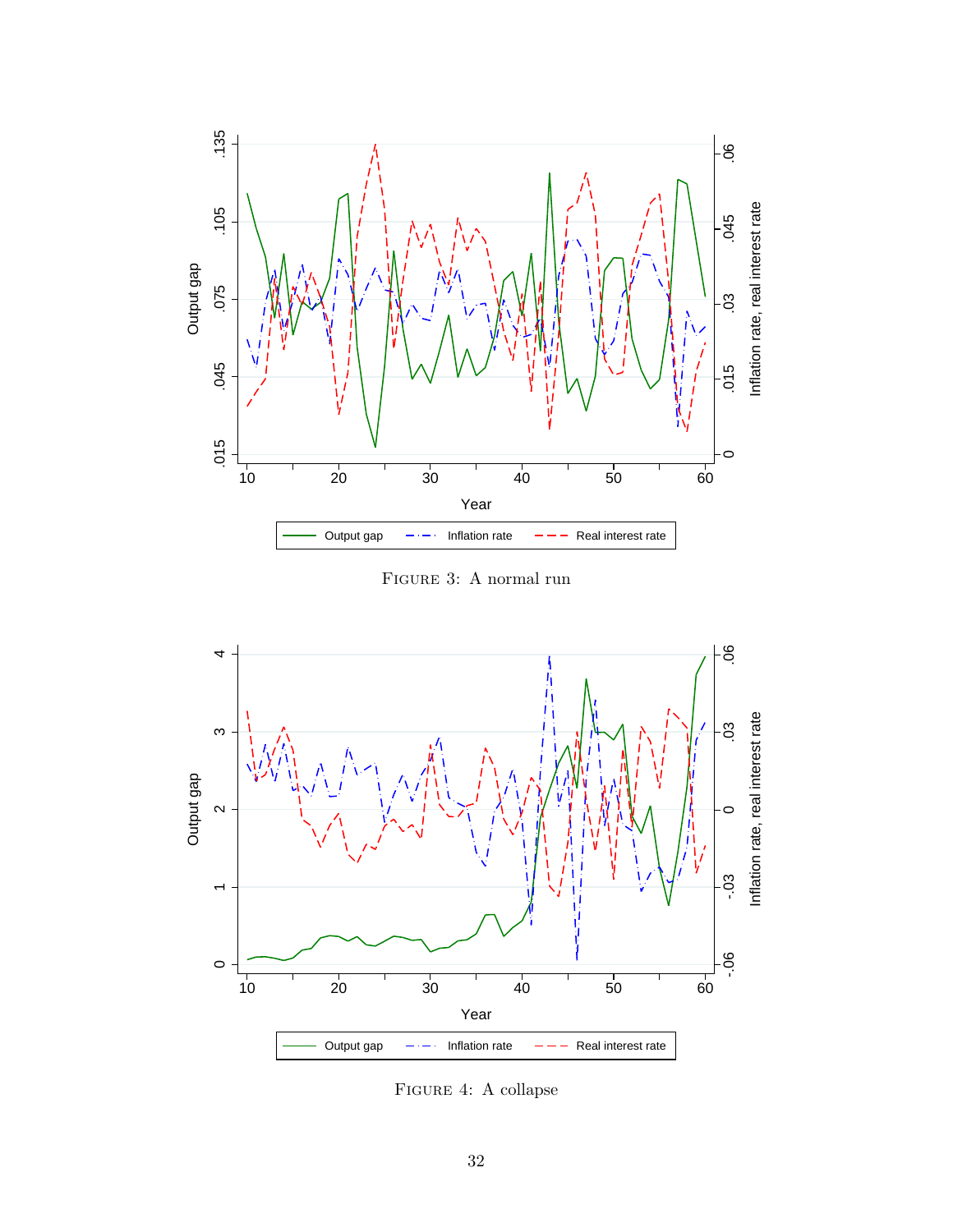<span id="page-32-0"></span>

FIGURE 3: A normal run

<span id="page-32-1"></span>

FIGURE 4: A collapse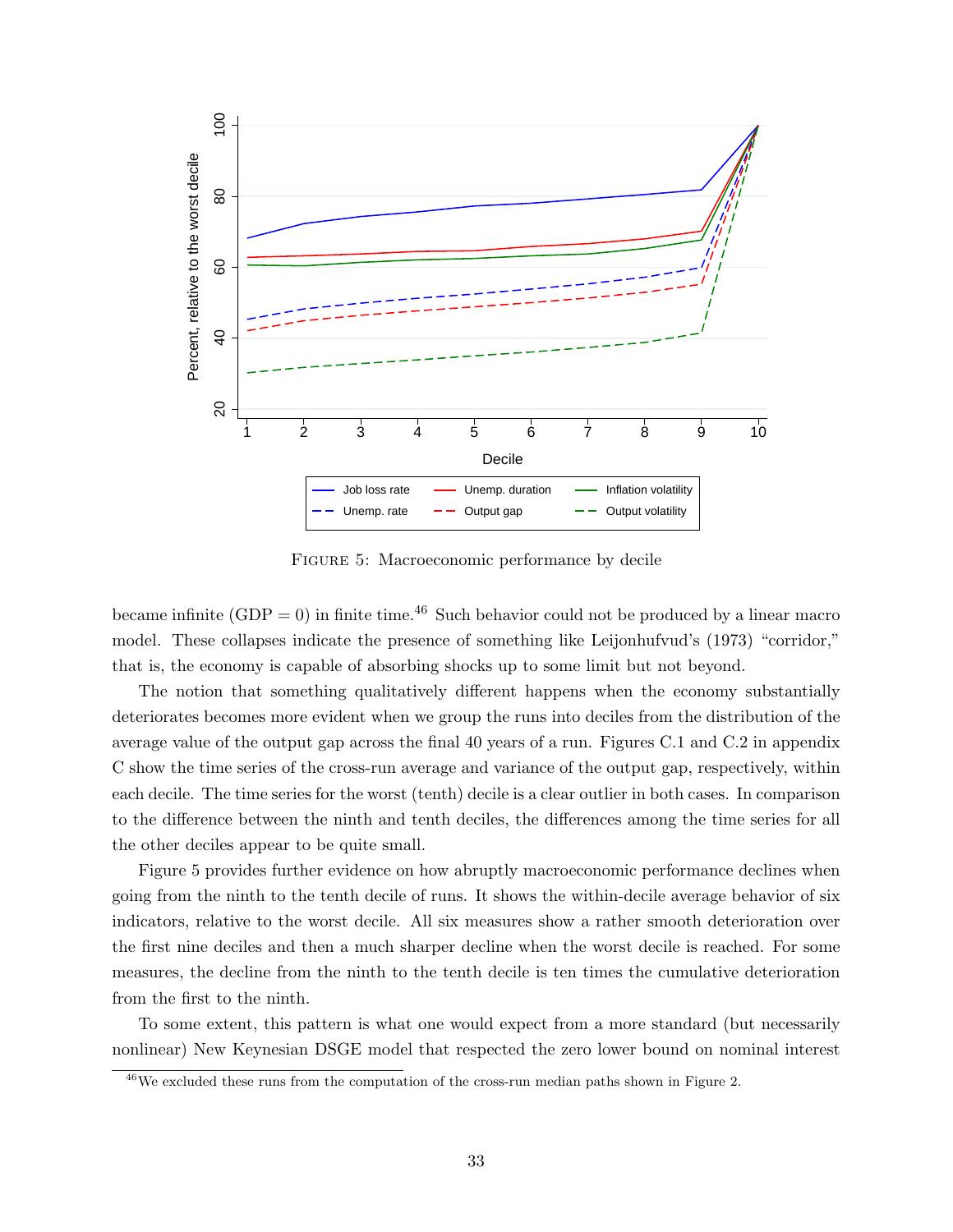<span id="page-33-1"></span>

Figure 5: Macroeconomic performance by decile

became infinite  $(GDP = 0)$  in finite time.<sup>[46](#page-33-0)</sup> Such behavior could not be produced by a linear macro model. These collapses indicate the presence of something like Leijonhufvud's (1973) "corridor," that is, the economy is capable of absorbing shocks up to some limit but not beyond.

The notion that something qualitatively different happens when the economy substantially deteriorates becomes more evident when we group the runs into deciles from the distribution of the average value of the output gap across the final 40 years of a run. Figures [C.1](#page-59-0) and [C.2](#page-59-1) in appendix [C](#page-59-2) show the time series of the cross-run average and variance of the output gap, respectively, within each decile. The time series for the worst (tenth) decile is a clear outlier in both cases. In comparison to the difference between the ninth and tenth deciles, the differences among the time series for all the other deciles appear to be quite small.

Figure [5](#page-33-1) provides further evidence on how abruptly macroeconomic performance declines when going from the ninth to the tenth decile of runs. It shows the within-decile average behavior of six indicators, relative to the worst decile. All six measures show a rather smooth deterioration over the first nine deciles and then a much sharper decline when the worst decile is reached. For some measures, the decline from the ninth to the tenth decile is ten times the cumulative deterioration from the first to the ninth.

To some extent, this pattern is what one would expect from a more standard (but necessarily nonlinear) New Keynesian DSGE model that respected the zero lower bound on nominal interest

<span id="page-33-0"></span> $46\text{We excluded these runs from the computation of the cross-run median paths shown in Figure 2.}$  $46\text{We excluded these runs from the computation of the cross-run median paths shown in Figure 2.}$  $46\text{We excluded these runs from the computation of the cross-run median paths shown in Figure 2.}$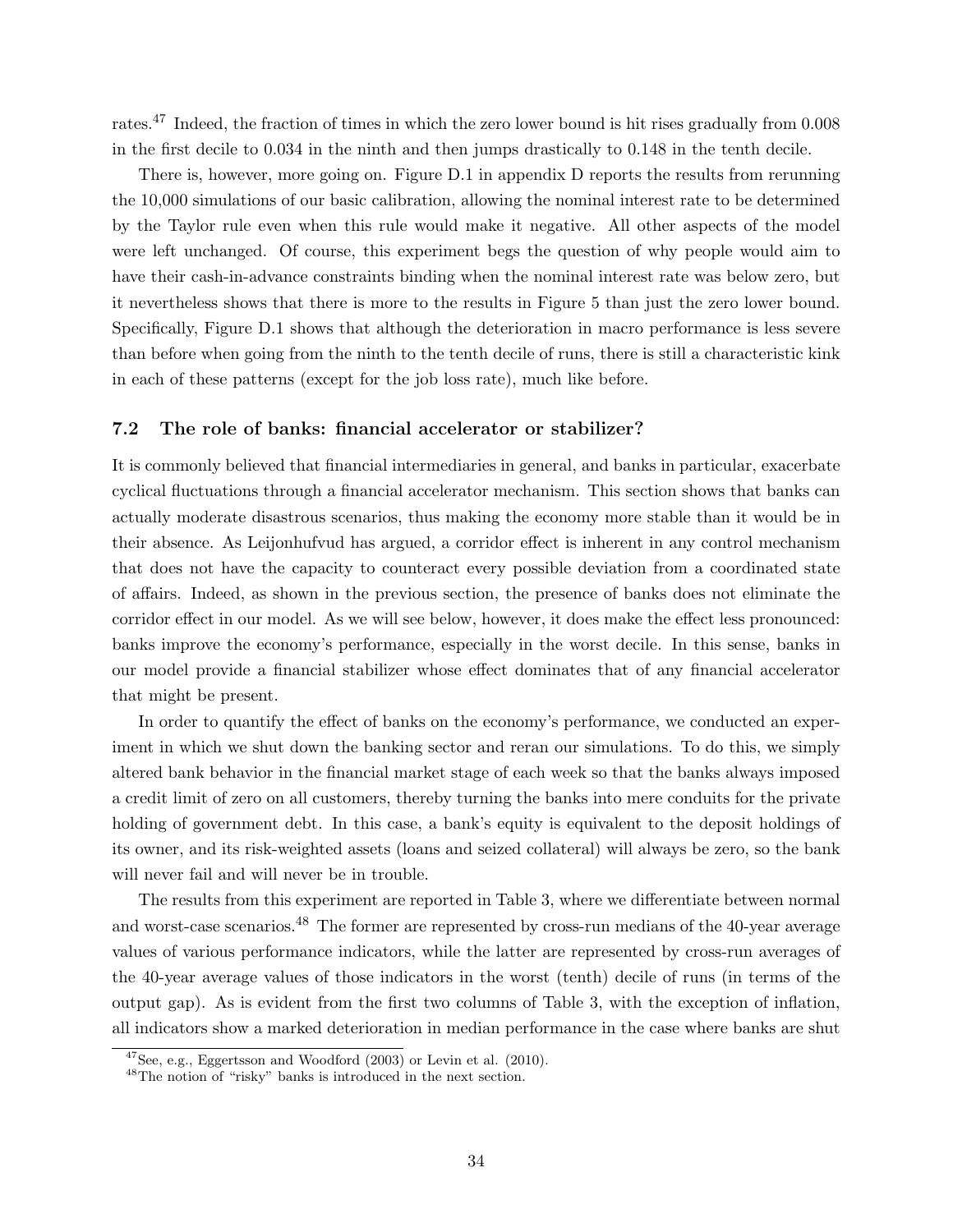rates.[47](#page-34-0) Indeed, the fraction of times in which the zero lower bound is hit rises gradually from 0.008 in the first decile to 0.034 in the ninth and then jumps drastically to 0.148 in the tenth decile.

There is, however, more going on. Figure [D.1](#page-60-1) in appendix [D](#page-60-2) reports the results from rerunning the 10,000 simulations of our basic calibration, allowing the nominal interest rate to be determined by the Taylor rule even when this rule would make it negative. All other aspects of the model were left unchanged. Of course, this experiment begs the question of why people would aim to have their cash-in-advance constraints binding when the nominal interest rate was below zero, but it nevertheless shows that there is more to the results in Figure [5](#page-33-1) than just the zero lower bound. Specifically, Figure [D.1](#page-60-1) shows that although the deterioration in macro performance is less severe than before when going from the ninth to the tenth decile of runs, there is still a characteristic kink in each of these patterns (except for the job loss rate), much like before.

#### 7.2 The role of banks: financial accelerator or stabilizer?

It is commonly believed that financial intermediaries in general, and banks in particular, exacerbate cyclical fluctuations through a financial accelerator mechanism. This section shows that banks can actually moderate disastrous scenarios, thus making the economy more stable than it would be in their absence. As Leijonhufvud has argued, a corridor effect is inherent in any control mechanism that does not have the capacity to counteract every possible deviation from a coordinated state of affairs. Indeed, as shown in the previous section, the presence of banks does not eliminate the corridor effect in our model. As we will see below, however, it does make the effect less pronounced: banks improve the economy's performance, especially in the worst decile. In this sense, banks in our model provide a financial stabilizer whose effect dominates that of any financial accelerator that might be present.

In order to quantify the effect of banks on the economy's performance, we conducted an experiment in which we shut down the banking sector and reran our simulations. To do this, we simply altered bank behavior in the financial market stage of each week so that the banks always imposed a credit limit of zero on all customers, thereby turning the banks into mere conduits for the private holding of government debt. In this case, a bank's equity is equivalent to the deposit holdings of its owner, and its risk-weighted assets (loans and seized collateral) will always be zero, so the bank will never fail and will never be in trouble.

The results from this experiment are reported in Table [3,](#page-35-0) where we differentiate between normal and worst-case scenarios.<sup>[48](#page-34-1)</sup> The former are represented by cross-run medians of the 40-year average values of various performance indicators, while the latter are represented by cross-run averages of the 40-year average values of those indicators in the worst (tenth) decile of runs (in terms of the output gap). As is evident from the first two columns of Table [3,](#page-35-0) with the exception of inflation, all indicators show a marked deterioration in median performance in the case where banks are shut

<span id="page-34-0"></span> $^{47}$ See, e.g., Eggertsson and Woodford (2003) or Levin et al. (2010).

<span id="page-34-1"></span><sup>48</sup>The notion of "risky" banks is introduced in the next section.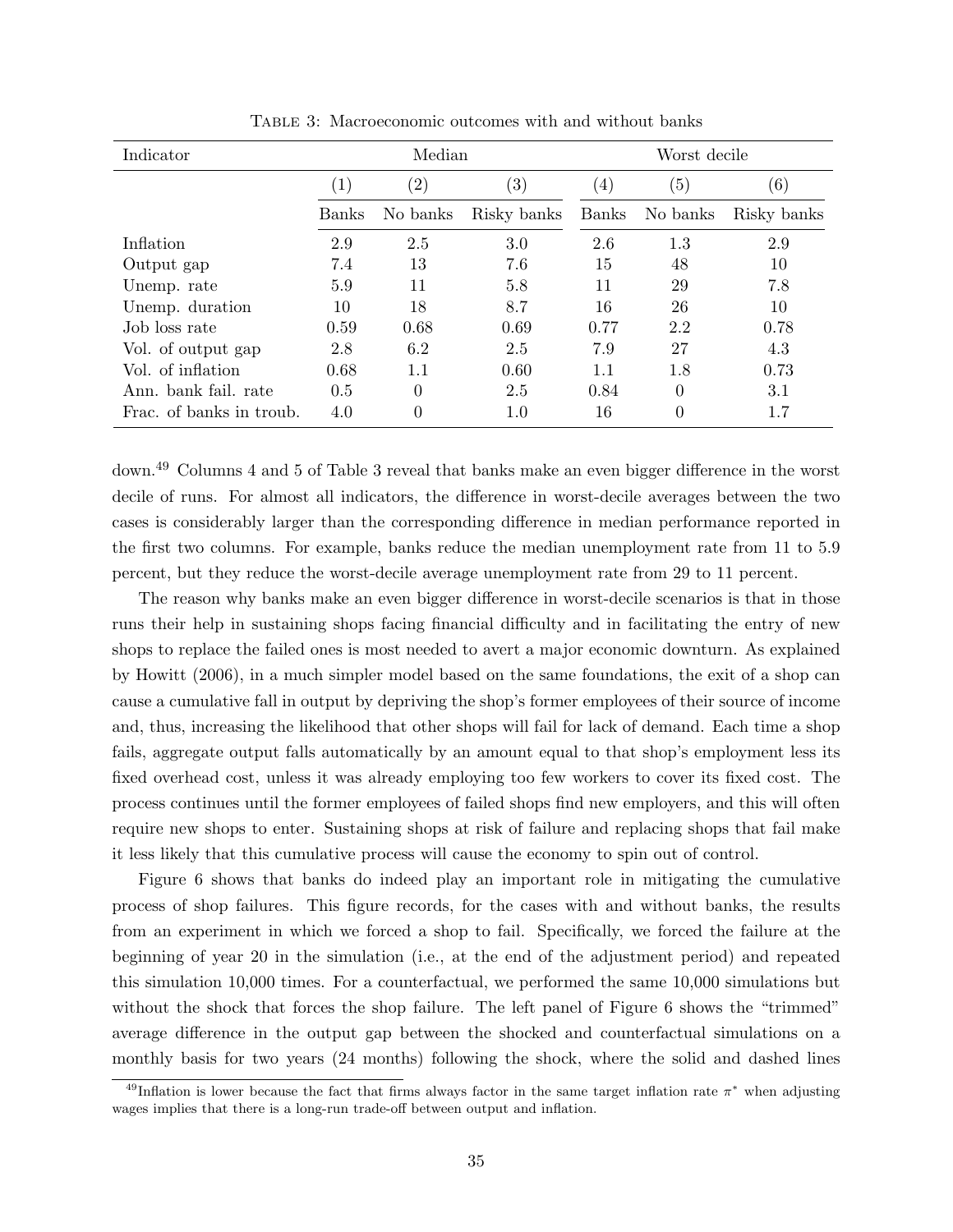<span id="page-35-0"></span>

| Indicator                |                  | Median            |                   | Worst decile     |          |             |  |
|--------------------------|------------------|-------------------|-------------------|------------------|----------|-------------|--|
|                          | $\left  \right $ | $\left( 2\right)$ | $\left( 3\right)$ | $\left(4\right)$ | (5)      | (6)         |  |
|                          | Banks            | No banks          | Risky banks       | Banks            | No banks | Risky banks |  |
| Inflation                | 2.9              | 2.5               | 3.0               | 2.6              | $1.3\,$  | 2.9         |  |
| Output gap               | 7.4              | 13                | 7.6               | 15               | 48       | 10          |  |
| Unemp. rate              | 5.9              | 11                | 5.8               | 11               | 29       | 7.8         |  |
| Unemp. duration          | 10               | 18                | 8.7               | 16               | 26       | 10          |  |
| Job loss rate            | 0.59             | 0.68              | 0.69              | 0.77             | 2.2      | 0.78        |  |
| Vol. of output gap       | 2.8              | 6.2               | 2.5               | 7.9              | 27       | 4.3         |  |
| Vol. of inflation        | 0.68             | $1.1\,$           | 0.60              | 1.1              | $1.8\,$  | 0.73        |  |
| Ann. bank fail. rate     | 0.5              | $\Omega$          | 2.5               | 0.84             | 0        | 3.1         |  |
| Frac. of banks in troub. | 4.0              | 0                 | $1.0\,$           | 16               | 0        | $1.7\,$     |  |

Table 3: Macroeconomic outcomes with and without banks

down.[49](#page-35-1) Columns 4 and 5 of Table [3](#page-35-0) reveal that banks make an even bigger difference in the worst decile of runs. For almost all indicators, the difference in worst-decile averages between the two cases is considerably larger than the corresponding difference in median performance reported in the first two columns. For example, banks reduce the median unemployment rate from 11 to 5.9 percent, but they reduce the worst-decile average unemployment rate from 29 to 11 percent.

The reason why banks make an even bigger difference in worst-decile scenarios is that in those runs their help in sustaining shops facing financial difficulty and in facilitating the entry of new shops to replace the failed ones is most needed to avert a major economic downturn. As explained by Howitt (2006), in a much simpler model based on the same foundations, the exit of a shop can cause a cumulative fall in output by depriving the shop's former employees of their source of income and, thus, increasing the likelihood that other shops will fail for lack of demand. Each time a shop fails, aggregate output falls automatically by an amount equal to that shop's employment less its fixed overhead cost, unless it was already employing too few workers to cover its fixed cost. The process continues until the former employees of failed shops find new employers, and this will often require new shops to enter. Sustaining shops at risk of failure and replacing shops that fail make it less likely that this cumulative process will cause the economy to spin out of control.

Figure [6](#page-36-0) shows that banks do indeed play an important role in mitigating the cumulative process of shop failures. This figure records, for the cases with and without banks, the results from an experiment in which we forced a shop to fail. Specifically, we forced the failure at the beginning of year 20 in the simulation (i.e., at the end of the adjustment period) and repeated this simulation 10,000 times. For a counterfactual, we performed the same 10,000 simulations but without the shock that forces the shop failure. The left panel of Figure [6](#page-36-0) shows the "trimmed" average difference in the output gap between the shocked and counterfactual simulations on a monthly basis for two years (24 months) following the shock, where the solid and dashed lines

<span id="page-35-1"></span><sup>&</sup>lt;sup>49</sup>Inflation is lower because the fact that firms always factor in the same target inflation rate  $\pi^*$  when adjusting wages implies that there is a long-run trade-off between output and inflation.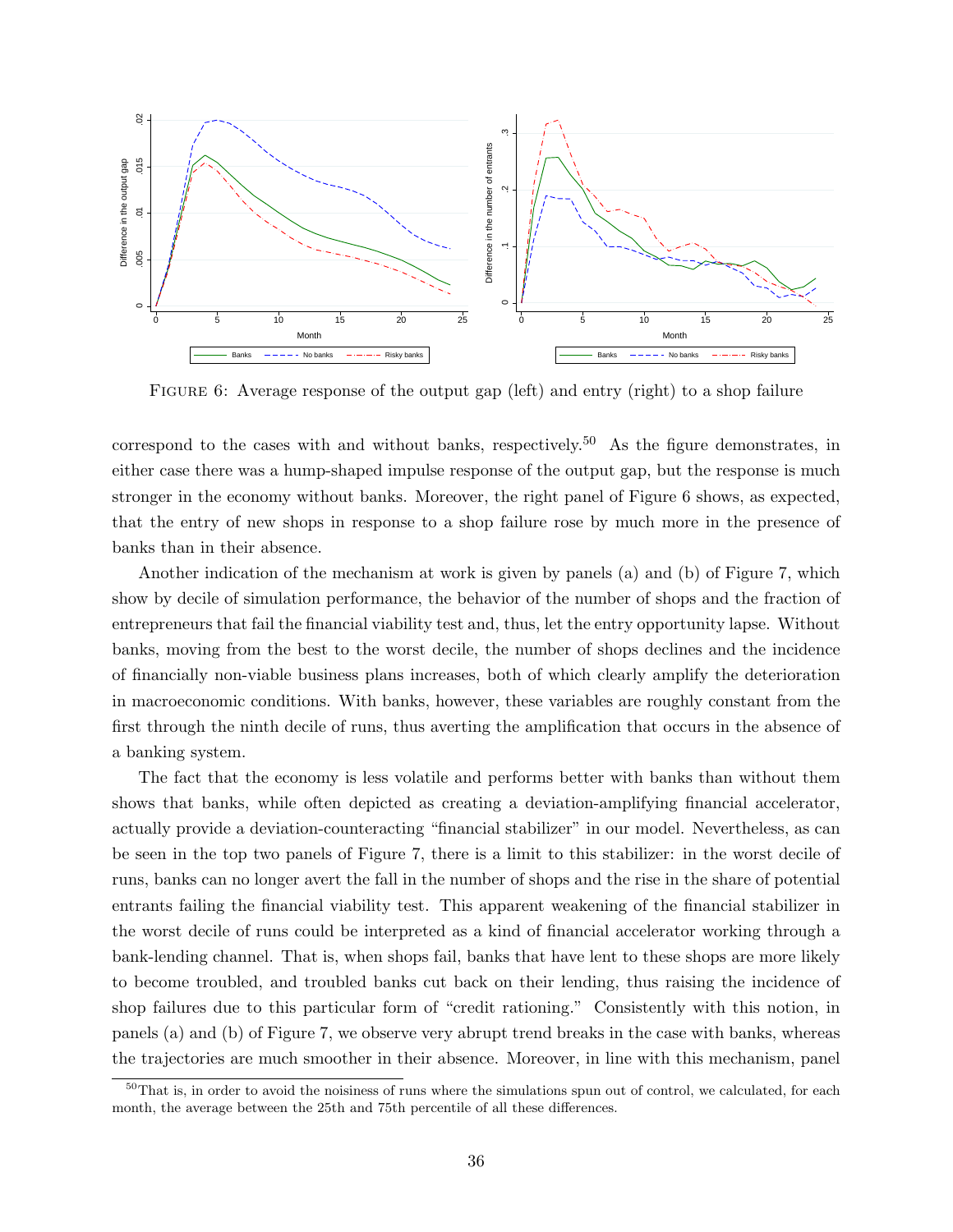<span id="page-36-0"></span>

FIGURE 6: Average response of the output gap (left) and entry (right) to a shop failure

correspond to the cases with and without banks, respectively.<sup>[50](#page-36-1)</sup> As the figure demonstrates, in either case there was a hump-shaped impulse response of the output gap, but the response is much stronger in the economy without banks. Moreover, the right panel of Figure [6](#page-36-0) shows, as expected, that the entry of new shops in response to a shop failure rose by much more in the presence of banks than in their absence.

Another indication of the mechanism at work is given by panels (a) and (b) of Figure [7,](#page-37-0) which show by decile of simulation performance, the behavior of the number of shops and the fraction of entrepreneurs that fail the financial viability test and, thus, let the entry opportunity lapse. Without banks, moving from the best to the worst decile, the number of shops declines and the incidence of financially non-viable business plans increases, both of which clearly amplify the deterioration in macroeconomic conditions. With banks, however, these variables are roughly constant from the first through the ninth decile of runs, thus averting the amplification that occurs in the absence of a banking system.

The fact that the economy is less volatile and performs better with banks than without them shows that banks, while often depicted as creating a deviation-amplifying financial accelerator, actually provide a deviation-counteracting "financial stabilizer" in our model. Nevertheless, as can be seen in the top two panels of Figure [7,](#page-37-0) there is a limit to this stabilizer: in the worst decile of runs, banks can no longer avert the fall in the number of shops and the rise in the share of potential entrants failing the financial viability test. This apparent weakening of the financial stabilizer in the worst decile of runs could be interpreted as a kind of financial accelerator working through a bank-lending channel. That is, when shops fail, banks that have lent to these shops are more likely to become troubled, and troubled banks cut back on their lending, thus raising the incidence of shop failures due to this particular form of "credit rationing." Consistently with this notion, in panels (a) and (b) of Figure [7,](#page-37-0) we observe very abrupt trend breaks in the case with banks, whereas the trajectories are much smoother in their absence. Moreover, in line with this mechanism, panel

<span id="page-36-1"></span> $50$ That is, in order to avoid the noisiness of runs where the simulations spun out of control, we calculated, for each month, the average between the 25th and 75th percentile of all these differences.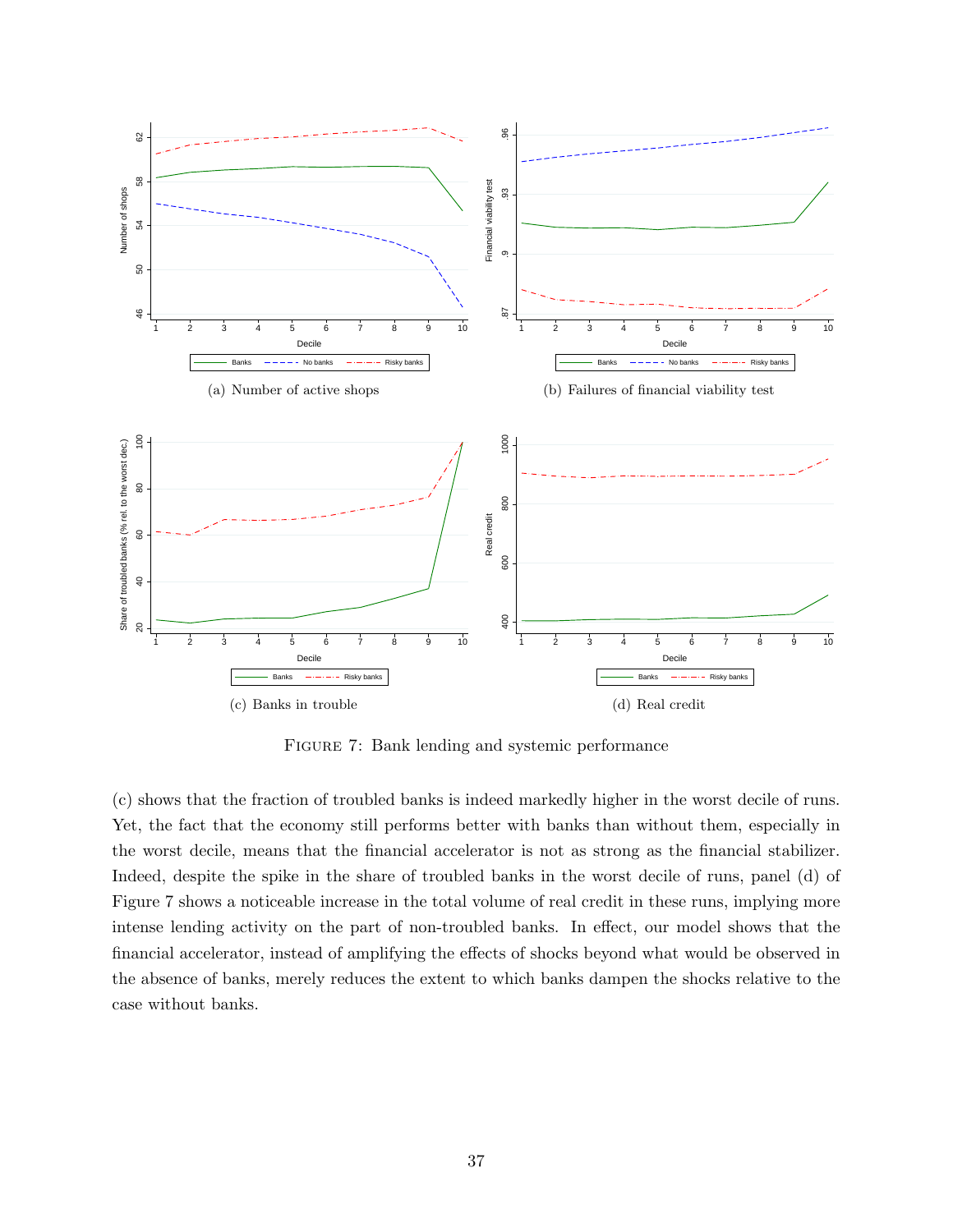<span id="page-37-0"></span>![](_page_37_Figure_0.jpeg)

Figure 7: Bank lending and systemic performance

(c) shows that the fraction of troubled banks is indeed markedly higher in the worst decile of runs. Yet, the fact that the economy still performs better with banks than without them, especially in the worst decile, means that the financial accelerator is not as strong as the financial stabilizer. Indeed, despite the spike in the share of troubled banks in the worst decile of runs, panel (d) of Figure [7](#page-37-0) shows a noticeable increase in the total volume of real credit in these runs, implying more intense lending activity on the part of non-troubled banks. In effect, our model shows that the financial accelerator, instead of amplifying the effects of shocks beyond what would be observed in the absence of banks, merely reduces the extent to which banks dampen the shocks relative to the case without banks.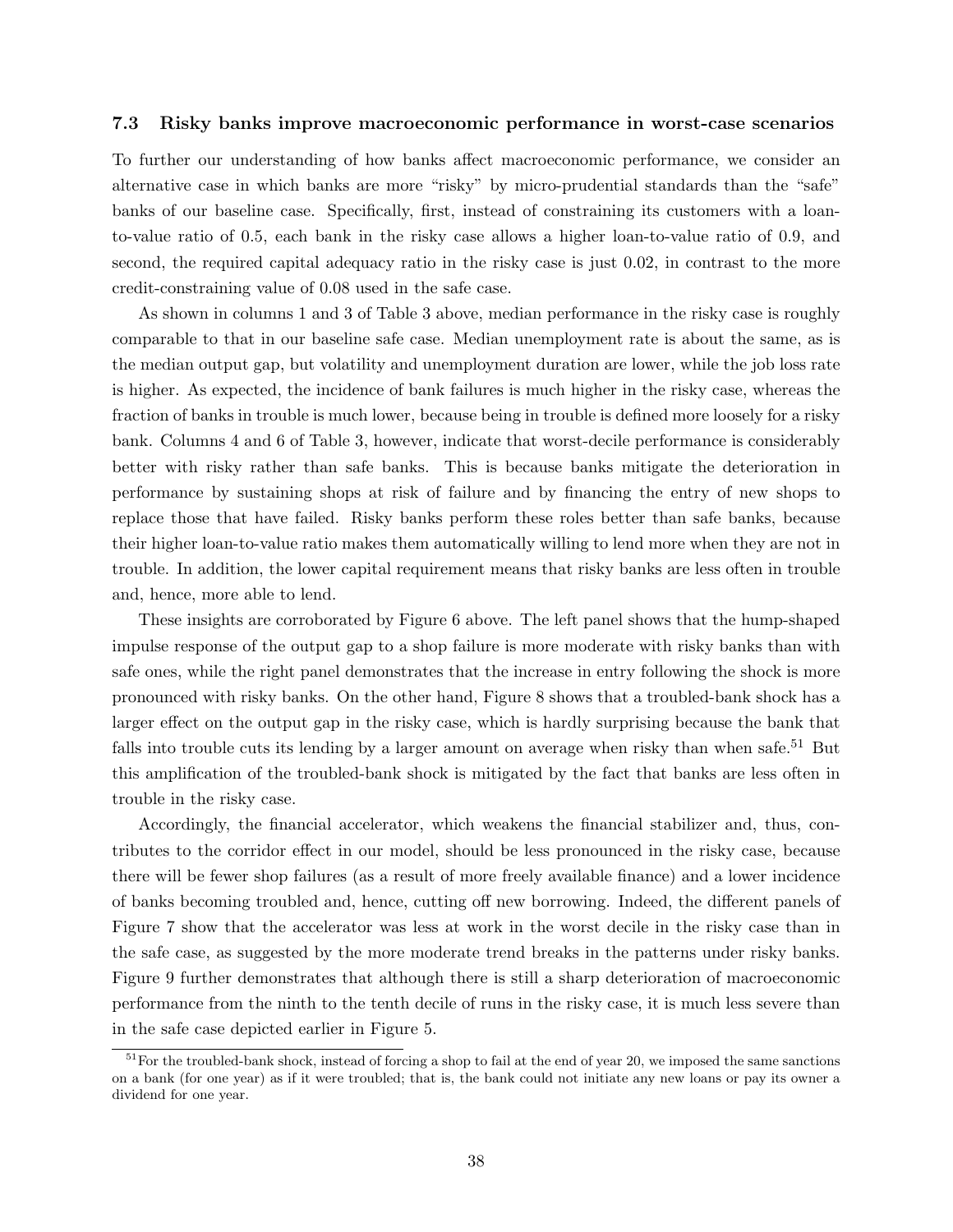#### 7.3 Risky banks improve macroeconomic performance in worst-case scenarios

To further our understanding of how banks affect macroeconomic performance, we consider an alternative case in which banks are more "risky" by micro-prudential standards than the "safe" banks of our baseline case. Specifically, first, instead of constraining its customers with a loanto-value ratio of 0.5, each bank in the risky case allows a higher loan-to-value ratio of 0.9, and second, the required capital adequacy ratio in the risky case is just 0.02, in contrast to the more credit-constraining value of 0.08 used in the safe case.

As shown in columns 1 and 3 of Table [3](#page-35-0) above, median performance in the risky case is roughly comparable to that in our baseline safe case. Median unemployment rate is about the same, as is the median output gap, but volatility and unemployment duration are lower, while the job loss rate is higher. As expected, the incidence of bank failures is much higher in the risky case, whereas the fraction of banks in trouble is much lower, because being in trouble is defined more loosely for a risky bank. Columns 4 and 6 of Table [3,](#page-35-0) however, indicate that worst-decile performance is considerably better with risky rather than safe banks. This is because banks mitigate the deterioration in performance by sustaining shops at risk of failure and by financing the entry of new shops to replace those that have failed. Risky banks perform these roles better than safe banks, because their higher loan-to-value ratio makes them automatically willing to lend more when they are not in trouble. In addition, the lower capital requirement means that risky banks are less often in trouble and, hence, more able to lend.

These insights are corroborated by Figure [6](#page-36-0) above. The left panel shows that the hump-shaped impulse response of the output gap to a shop failure is more moderate with risky banks than with safe ones, while the right panel demonstrates that the increase in entry following the shock is more pronounced with risky banks. On the other hand, Figure [8](#page-39-0) shows that a troubled-bank shock has a larger effect on the output gap in the risky case, which is hardly surprising because the bank that falls into trouble cuts its lending by a larger amount on average when risky than when safe.<sup>[51](#page-38-0)</sup> But this amplification of the troubled-bank shock is mitigated by the fact that banks are less often in trouble in the risky case.

Accordingly, the financial accelerator, which weakens the financial stabilizer and, thus, contributes to the corridor effect in our model, should be less pronounced in the risky case, because there will be fewer shop failures (as a result of more freely available finance) and a lower incidence of banks becoming troubled and, hence, cutting off new borrowing. Indeed, the different panels of Figure [7](#page-37-0) show that the accelerator was less at work in the worst decile in the risky case than in the safe case, as suggested by the more moderate trend breaks in the patterns under risky banks. Figure [9](#page-39-1) further demonstrates that although there is still a sharp deterioration of macroeconomic performance from the ninth to the tenth decile of runs in the risky case, it is much less severe than in the safe case depicted earlier in Figure [5.](#page-33-1)

<span id="page-38-0"></span> $51$  For the troubled-bank shock, instead of forcing a shop to fail at the end of year 20, we imposed the same sanctions on a bank (for one year) as if it were troubled; that is, the bank could not initiate any new loans or pay its owner a dividend for one year.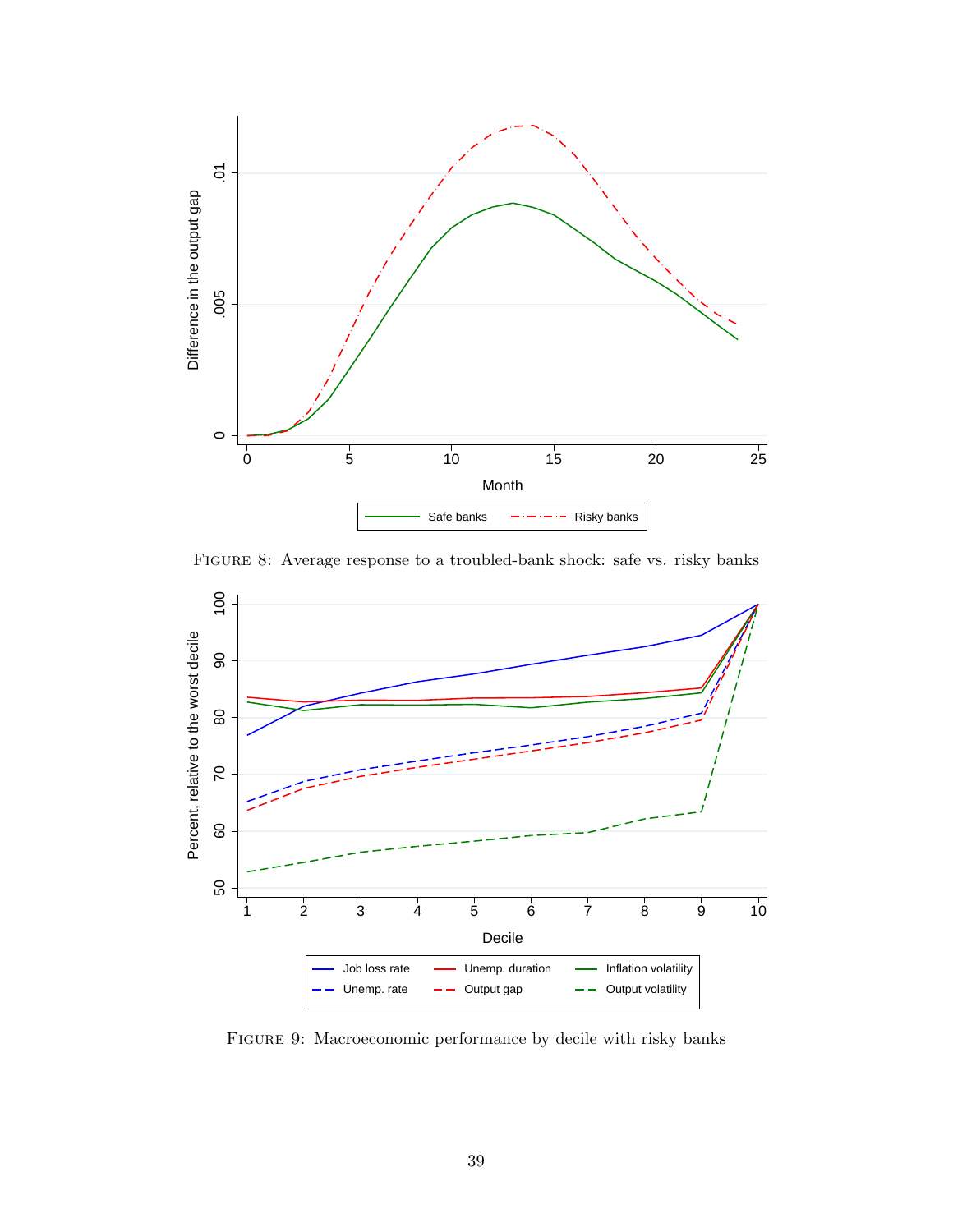<span id="page-39-0"></span>![](_page_39_Figure_0.jpeg)

Figure 8: Average response to a troubled-bank shock: safe vs. risky banks

<span id="page-39-1"></span>![](_page_39_Figure_2.jpeg)

FIGURE 9: Macroeconomic performance by decile with risky banks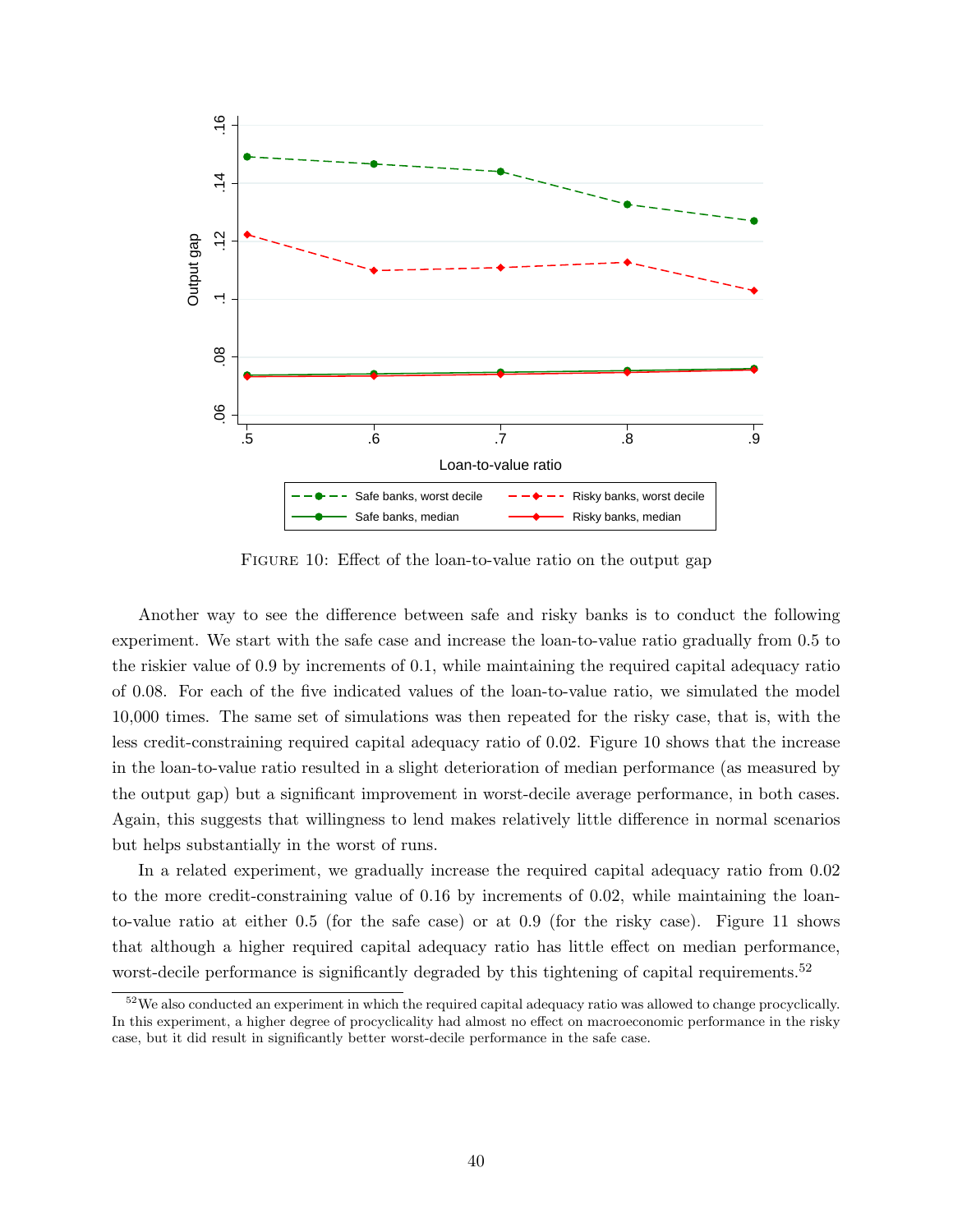<span id="page-40-0"></span>![](_page_40_Figure_0.jpeg)

FIGURE 10: Effect of the loan-to-value ratio on the output gap

Another way to see the difference between safe and risky banks is to conduct the following experiment. We start with the safe case and increase the loan-to-value ratio gradually from 0.5 to the riskier value of 0.9 by increments of 0.1, while maintaining the required capital adequacy ratio of 0.08. For each of the five indicated values of the loan-to-value ratio, we simulated the model 10,000 times. The same set of simulations was then repeated for the risky case, that is, with the less credit-constraining required capital adequacy ratio of 0.02. Figure [10](#page-40-0) shows that the increase in the loan-to-value ratio resulted in a slight deterioration of median performance (as measured by the output gap) but a significant improvement in worst-decile average performance, in both cases. Again, this suggests that willingness to lend makes relatively little difference in normal scenarios but helps substantially in the worst of runs.

In a related experiment, we gradually increase the required capital adequacy ratio from 0.02 to the more credit-constraining value of 0.16 by increments of 0.02, while maintaining the loanto-value ratio at either 0.5 (for the safe case) or at 0.9 (for the risky case). Figure [11](#page-41-1) shows that although a higher required capital adequacy ratio has little effect on median performance, worst-decile performance is significantly degraded by this tightening of capital requirements.<sup>[52](#page-40-1)</sup>

<span id="page-40-1"></span><sup>52</sup>We also conducted an experiment in which the required capital adequacy ratio was allowed to change procyclically. In this experiment, a higher degree of procyclicality had almost no effect on macroeconomic performance in the risky case, but it did result in significantly better worst-decile performance in the safe case.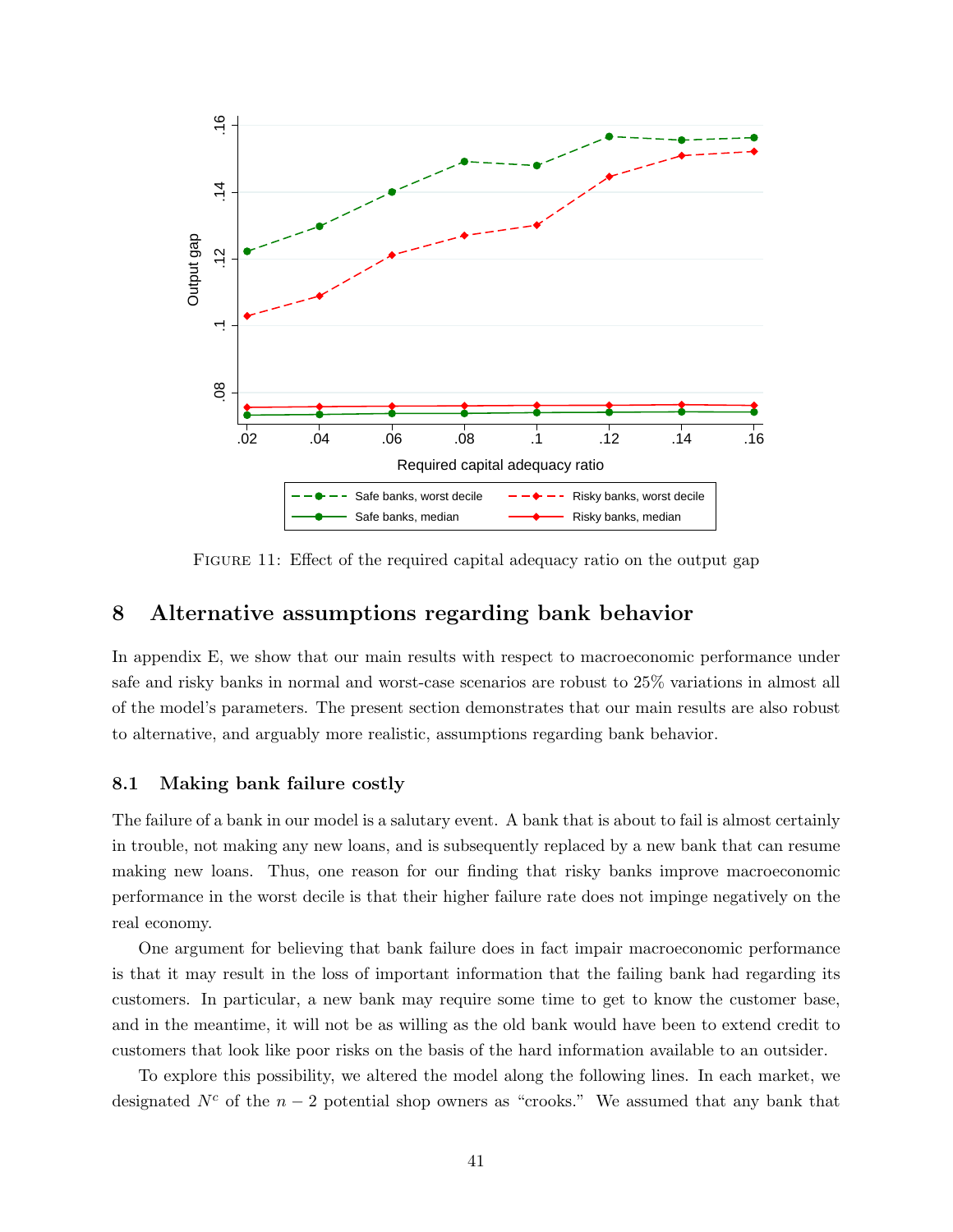<span id="page-41-1"></span>![](_page_41_Figure_0.jpeg)

FIGURE 11: Effect of the required capital adequacy ratio on the output gap

## <span id="page-41-0"></span>8 Alternative assumptions regarding bank behavior

In appendix E, we show that our main results with respect to macroeconomic performance under safe and risky banks in normal and worst-case scenarios are robust to 25% variations in almost all of the model's parameters. The present section demonstrates that our main results are also robust to alternative, and arguably more realistic, assumptions regarding bank behavior.

#### 8.1 Making bank failure costly

The failure of a bank in our model is a salutary event. A bank that is about to fail is almost certainly in trouble, not making any new loans, and is subsequently replaced by a new bank that can resume making new loans. Thus, one reason for our finding that risky banks improve macroeconomic performance in the worst decile is that their higher failure rate does not impinge negatively on the real economy.

One argument for believing that bank failure does in fact impair macroeconomic performance is that it may result in the loss of important information that the failing bank had regarding its customers. In particular, a new bank may require some time to get to know the customer base, and in the meantime, it will not be as willing as the old bank would have been to extend credit to customers that look like poor risks on the basis of the hard information available to an outsider.

To explore this possibility, we altered the model along the following lines. In each market, we designated  $N^c$  of the  $n-2$  potential shop owners as "crooks." We assumed that any bank that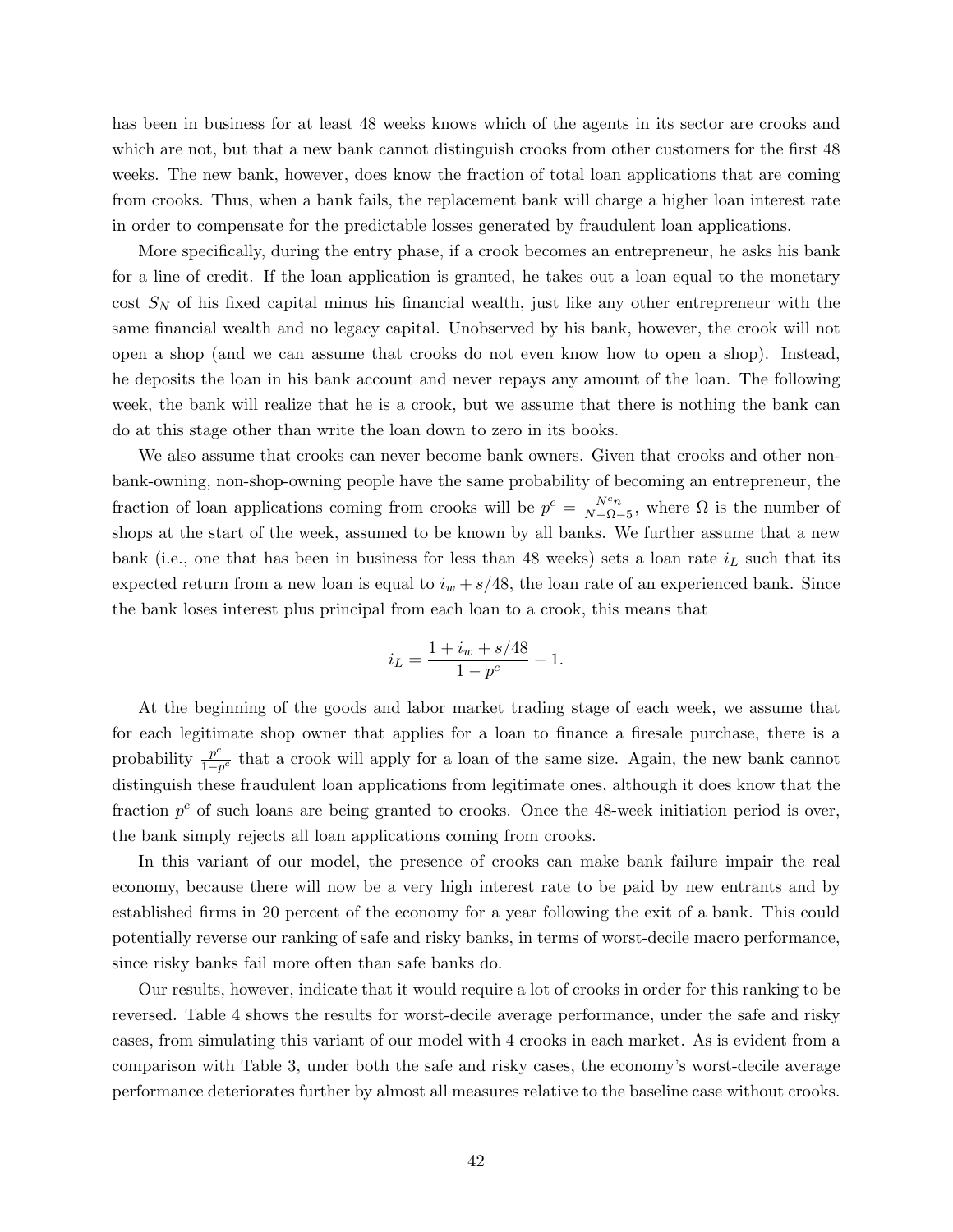has been in business for at least 48 weeks knows which of the agents in its sector are crooks and which are not, but that a new bank cannot distinguish crooks from other customers for the first 48 weeks. The new bank, however, does know the fraction of total loan applications that are coming from crooks. Thus, when a bank fails, the replacement bank will charge a higher loan interest rate in order to compensate for the predictable losses generated by fraudulent loan applications.

More specifically, during the entry phase, if a crook becomes an entrepreneur, he asks his bank for a line of credit. If the loan application is granted, he takes out a loan equal to the monetary cost  $S_N$  of his fixed capital minus his financial wealth, just like any other entrepreneur with the same financial wealth and no legacy capital. Unobserved by his bank, however, the crook will not open a shop (and we can assume that crooks do not even know how to open a shop). Instead, he deposits the loan in his bank account and never repays any amount of the loan. The following week, the bank will realize that he is a crook, but we assume that there is nothing the bank can do at this stage other than write the loan down to zero in its books.

We also assume that crooks can never become bank owners. Given that crooks and other nonbank-owning, non-shop-owning people have the same probability of becoming an entrepreneur, the fraction of loan applications coming from crooks will be  $p^c = \frac{N^c n}{N - \Omega}$  $\frac{N^c n}{N-\Omega-5}$ , where  $\Omega$  is the number of shops at the start of the week, assumed to be known by all banks. We further assume that a new bank (i.e., one that has been in business for less than 48 weeks) sets a loan rate  $i_L$  such that its expected return from a new loan is equal to  $i_w + s/48$ , the loan rate of an experienced bank. Since the bank loses interest plus principal from each loan to a crook, this means that

$$
i_L = \frac{1 + i_w + s/48}{1 - p^c} - 1.
$$

At the beginning of the goods and labor market trading stage of each week, we assume that for each legitimate shop owner that applies for a loan to finance a firesale purchase, there is a probability  $\frac{p^c}{1-p}$  $\frac{p^{\circ}}{1-p^{\circ}}$  that a crook will apply for a loan of the same size. Again, the new bank cannot distinguish these fraudulent loan applications from legitimate ones, although it does know that the fraction  $p^c$  of such loans are being granted to crooks. Once the 48-week initiation period is over, the bank simply rejects all loan applications coming from crooks.

In this variant of our model, the presence of crooks can make bank failure impair the real economy, because there will now be a very high interest rate to be paid by new entrants and by established firms in 20 percent of the economy for a year following the exit of a bank. This could potentially reverse our ranking of safe and risky banks, in terms of worst-decile macro performance, since risky banks fail more often than safe banks do.

Our results, however, indicate that it would require a lot of crooks in order for this ranking to be reversed. Table [4](#page-43-1) shows the results for worst-decile average performance, under the safe and risky cases, from simulating this variant of our model with 4 crooks in each market. As is evident from a comparison with Table [3,](#page-35-0) under both the safe and risky cases, the economy's worst-decile average performance deteriorates further by almost all measures relative to the baseline case without crooks.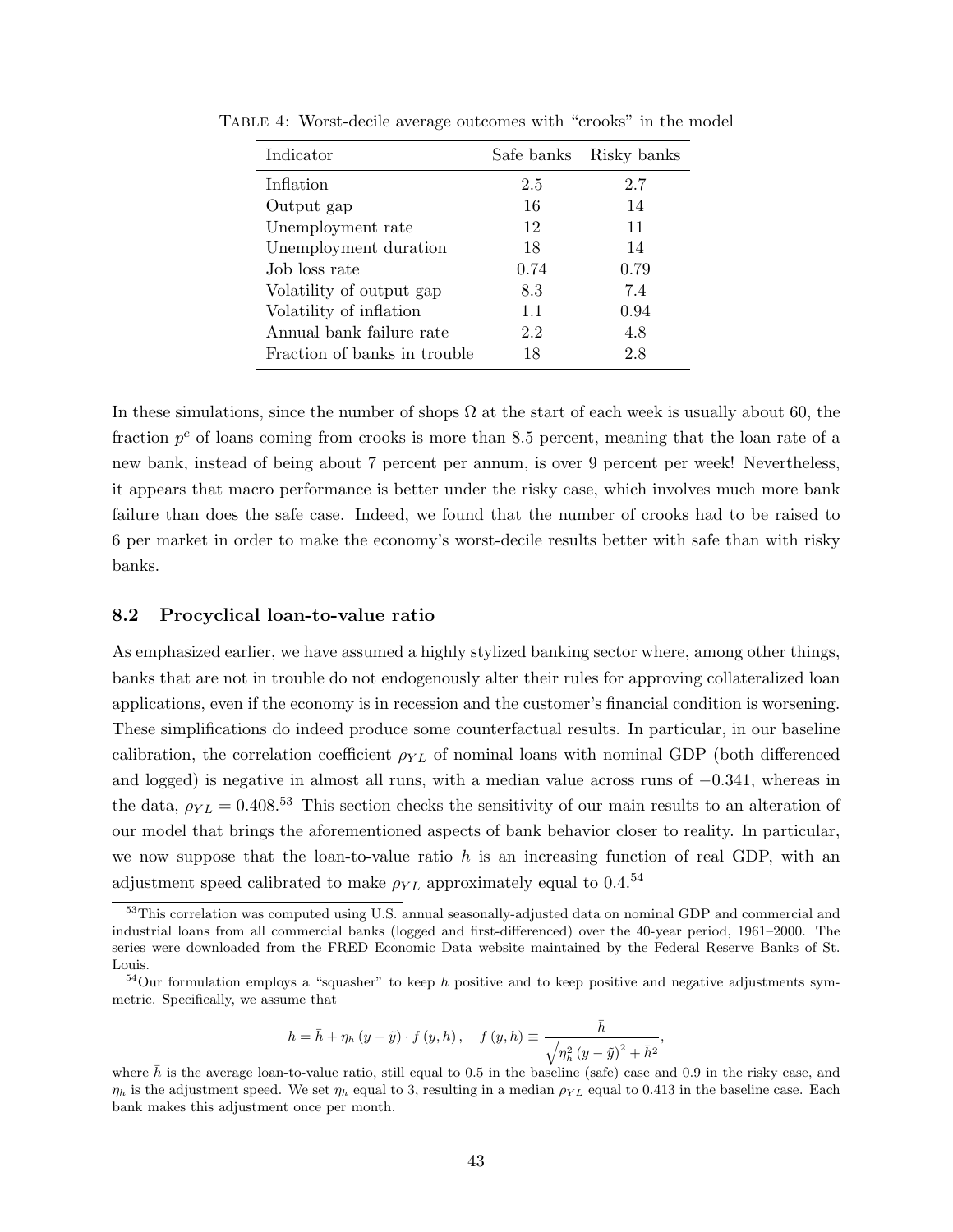| Indicator                    | Safe banks | Risky banks |
|------------------------------|------------|-------------|
| Inflation                    | 2.5        | 2.7         |
| Output gap                   | 16         | 14          |
| Unemployment rate            | 12         | 11          |
| Unemployment duration        | 18         | 14          |
| Job loss rate                | 0.74       | 0.79        |
| Volatility of output gap     | 8.3        | 7.4         |
| Volatility of inflation      | 1.1        | 0.94        |
| Annual bank failure rate     | 2.2        | 4.8         |
| Fraction of banks in trouble | 18         | 2.8         |

<span id="page-43-1"></span>Table 4: Worst-decile average outcomes with "crooks" in the model

In these simulations, since the number of shops  $\Omega$  at the start of each week is usually about 60, the fraction  $p^c$  of loans coming from crooks is more than 8.5 percent, meaning that the loan rate of a new bank, instead of being about 7 percent per annum, is over 9 percent per week! Nevertheless, it appears that macro performance is better under the risky case, which involves much more bank failure than does the safe case. Indeed, we found that the number of crooks had to be raised to 6 per market in order to make the economy's worst-decile results better with safe than with risky banks.

#### <span id="page-43-0"></span>8.2 Procyclical loan-to-value ratio

As emphasized earlier, we have assumed a highly stylized banking sector where, among other things, banks that are not in trouble do not endogenously alter their rules for approving collateralized loan applications, even if the economy is in recession and the customer's financial condition is worsening. These simplifications do indeed produce some counterfactual results. In particular, in our baseline calibration, the correlation coefficient  $\rho_{YL}$  of nominal loans with nominal GDP (both differenced and logged) is negative in almost all runs, with a median value across runs of −0.341, whereas in the data,  $\rho_{YL} = 0.408^{53}$  $\rho_{YL} = 0.408^{53}$  $\rho_{YL} = 0.408^{53}$  This section checks the sensitivity of our main results to an alteration of our model that brings the aforementioned aspects of bank behavior closer to reality. In particular, we now suppose that the loan-to-value ratio  $h$  is an increasing function of real GDP, with an adjustment speed calibrated to make  $\rho_{YL}$  approximately equal to 0.4.<sup>[54](#page-43-3)</sup>

$$
h = \bar{h} + \eta_h (y - \tilde{y}) \cdot f(y, h), \quad f(y, h) \equiv \frac{\bar{h}}{\sqrt{\eta_h^2 (y - \tilde{y})^2 + \bar{h}^2}},
$$

<span id="page-43-2"></span><sup>&</sup>lt;sup>53</sup>This correlation was computed using U.S. annual seasonally-adjusted data on nominal GDP and commercial and industrial loans from all commercial banks (logged and first-differenced) over the 40-year period, 1961–2000. The series were downloaded from the FRED Economic Data website maintained by the Federal Reserve Banks of St. Louis.

<span id="page-43-3"></span> $54$ Our formulation employs a "squasher" to keep h positive and to keep positive and negative adjustments symmetric. Specifically, we assume that

where  $\bar{h}$  is the average loan-to-value ratio, still equal to 0.5 in the baseline (safe) case and 0.9 in the risky case, and where  $\bar{h}$  is the average loan-to-value ratio, still equal to 0.5 in the baseline (safe) c  $\eta_h$  is the adjustment speed. We set  $\eta_h$  equal to 3, resulting in a median  $\rho_{YL}$  equal to 0.413 in the baseline case. Each bank makes this adjustment once per month.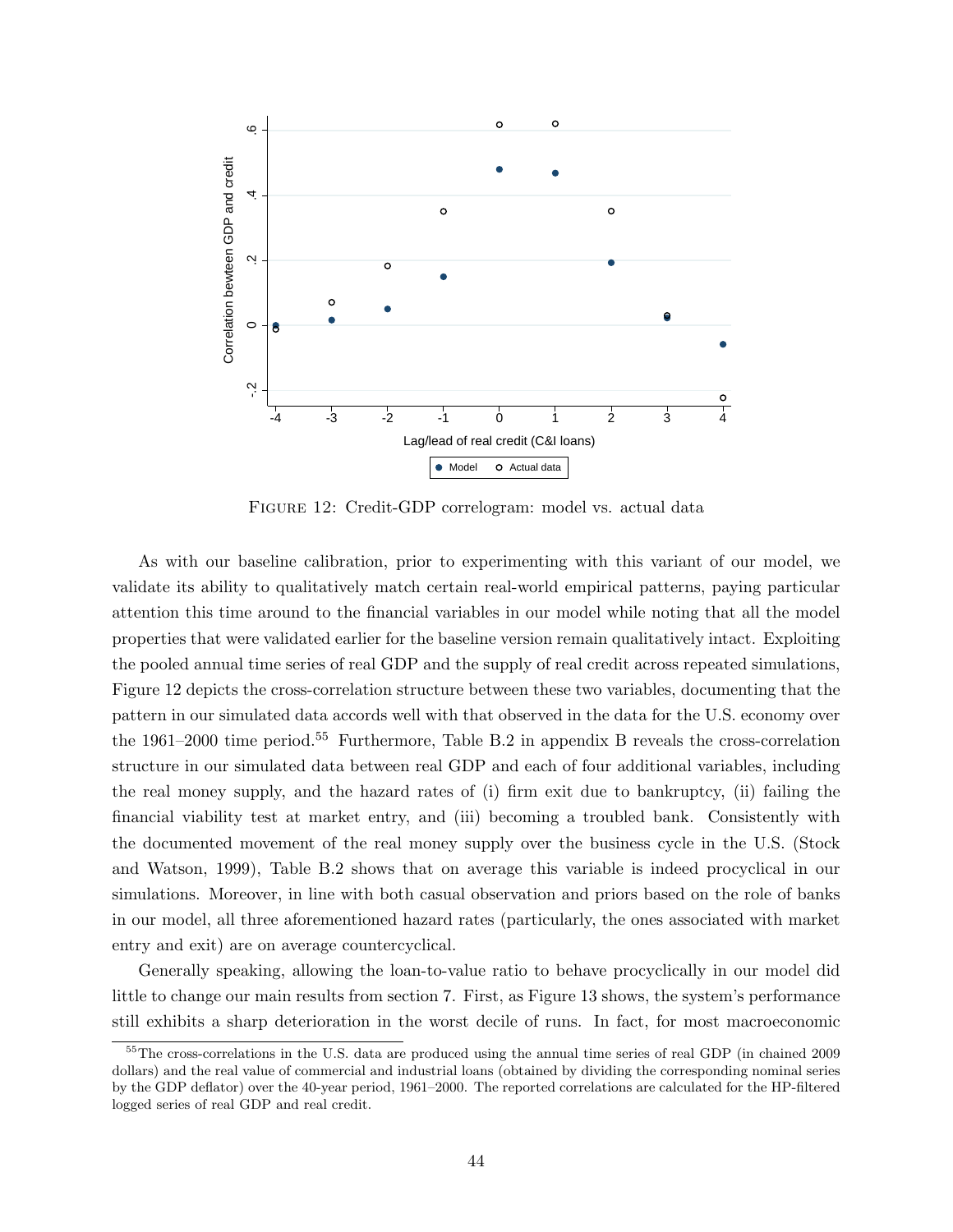<span id="page-44-0"></span>![](_page_44_Figure_0.jpeg)

Figure 12: Credit-GDP correlogram: model vs. actual data

As with our baseline calibration, prior to experimenting with this variant of our model, we validate its ability to qualitatively match certain real-world empirical patterns, paying particular attention this time around to the financial variables in our model while noting that all the model properties that were validated earlier for the baseline version remain qualitatively intact. Exploiting the pooled annual time series of real GDP and the supply of real credit across repeated simulations, Figure [12](#page-44-0) depicts the cross-correlation structure between these two variables, documenting that the pattern in our simulated data accords well with that observed in the data for the U.S. economy over the  $1961-2000$  time period.<sup>[55](#page-44-1)</sup> Furthermore, Table [B.2](#page-59-3) in appendix [B](#page-58-1) reveals the cross-correlation structure in our simulated data between real GDP and each of four additional variables, including the real money supply, and the hazard rates of (i) firm exit due to bankruptcy, (ii) failing the financial viability test at market entry, and (iii) becoming a troubled bank. Consistently with the documented movement of the real money supply over the business cycle in the U.S. (Stock and Watson, 1999), Table [B.2](#page-59-3) shows that on average this variable is indeed procyclical in our simulations. Moreover, in line with both casual observation and priors based on the role of banks in our model, all three aforementioned hazard rates (particularly, the ones associated with market entry and exit) are on average countercyclical.

Generally speaking, allowing the loan-to-value ratio to behave procyclically in our model did little to change our main results from section [7.](#page-30-0) First, as Figure [13](#page-45-1) shows, the system's performance still exhibits a sharp deterioration in the worst decile of runs. In fact, for most macroeconomic

<span id="page-44-1"></span><sup>55</sup>The cross-correlations in the U.S. data are produced using the annual time series of real GDP (in chained 2009 dollars) and the real value of commercial and industrial loans (obtained by dividing the corresponding nominal series by the GDP deflator) over the 40-year period, 1961–2000. The reported correlations are calculated for the HP-filtered logged series of real GDP and real credit.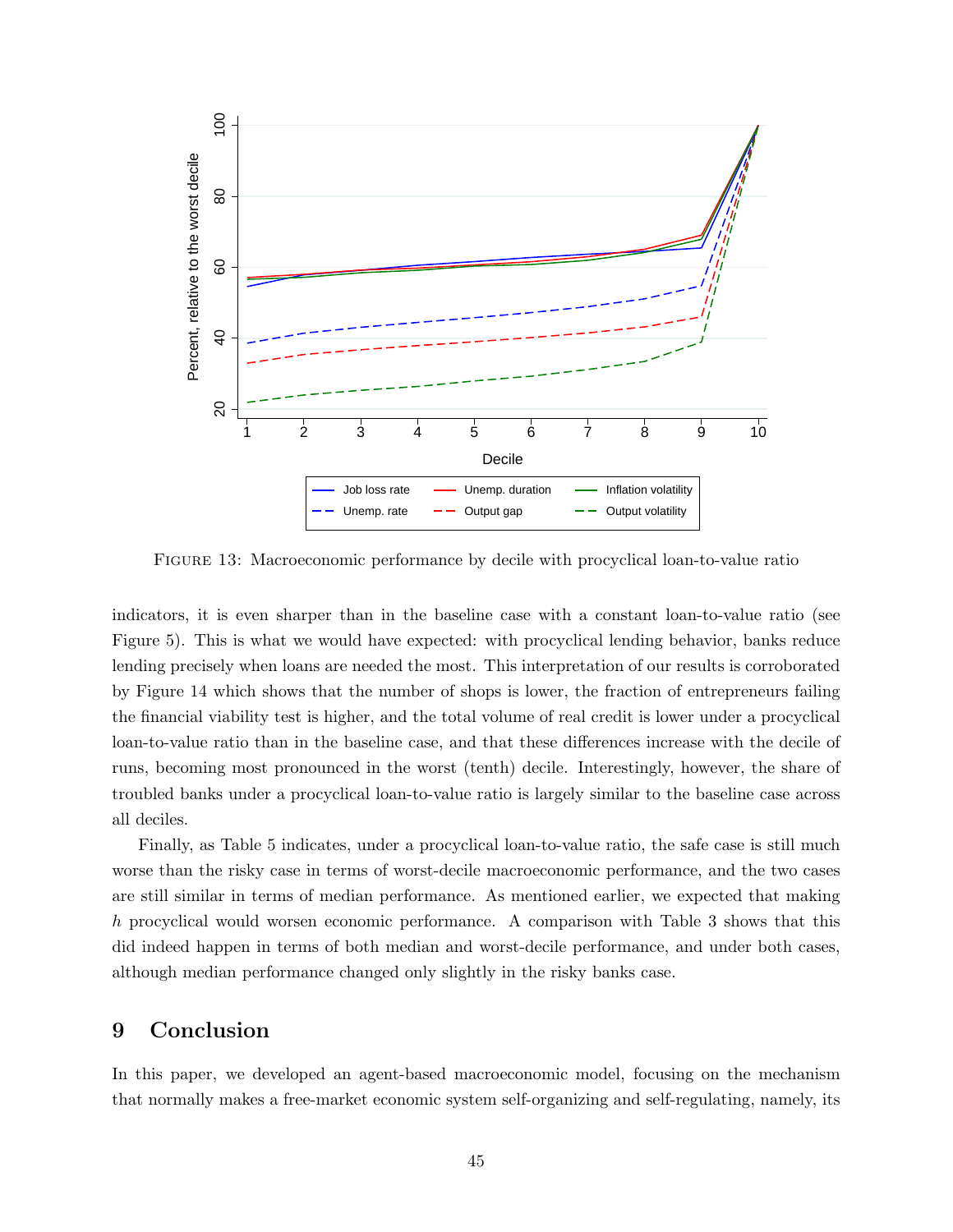<span id="page-45-1"></span>![](_page_45_Figure_0.jpeg)

Figure 13: Macroeconomic performance by decile with procyclical loan-to-value ratio

indicators, it is even sharper than in the baseline case with a constant loan-to-value ratio (see Figure [5\)](#page-33-1). This is what we would have expected: with procyclical lending behavior, banks reduce lending precisely when loans are needed the most. This interpretation of our results is corroborated by Figure [14](#page-46-0) which shows that the number of shops is lower, the fraction of entrepreneurs failing the financial viability test is higher, and the total volume of real credit is lower under a procyclical loan-to-value ratio than in the baseline case, and that these differences increase with the decile of runs, becoming most pronounced in the worst (tenth) decile. Interestingly, however, the share of troubled banks under a procyclical loan-to-value ratio is largely similar to the baseline case across all deciles.

Finally, as Table [5](#page-46-1) indicates, under a procyclical loan-to-value ratio, the safe case is still much worse than the risky case in terms of worst-decile macroeconomic performance, and the two cases are still similar in terms of median performance. As mentioned earlier, we expected that making h procyclical would worsen economic performance. A comparison with Table [3](#page-35-0) shows that this did indeed happen in terms of both median and worst-decile performance, and under both cases, although median performance changed only slightly in the risky banks case.

## <span id="page-45-0"></span>9 Conclusion

In this paper, we developed an agent-based macroeconomic model, focusing on the mechanism that normally makes a free-market economic system self-organizing and self-regulating, namely, its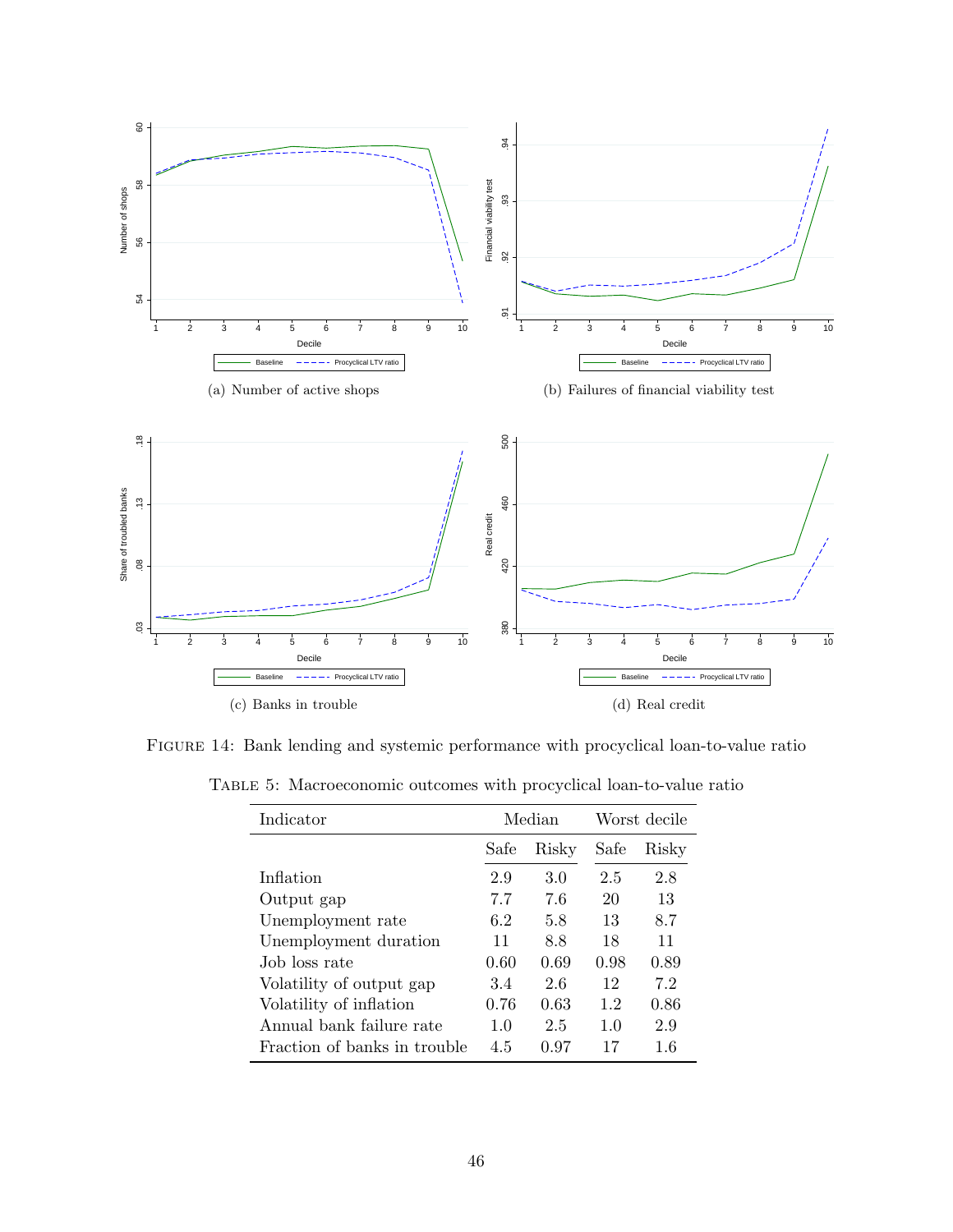<span id="page-46-0"></span>![](_page_46_Figure_0.jpeg)

<span id="page-46-1"></span>Figure 14: Bank lending and systemic performance with procyclical loan-to-value ratio

| Indicator                    |      | Median | Worst decile |       |  |
|------------------------------|------|--------|--------------|-------|--|
|                              | Safe | Risky  | Safe         | Risky |  |
| Inflation                    | 2.9  | 3.0    | 2.5          | 2.8   |  |
| Output gap                   | 7.7  | 7.6    | 20           | 13    |  |
| Unemployment rate            | 6.2  | 5.8    | 13           | 8.7   |  |
| Unemployment duration        | 11   | 8.8    | 18           | 11    |  |
| Job loss rate                | 0.60 | 0.69   | 0.98         | 0.89  |  |
| Volatility of output gap     | 3.4  | 2.6    | 12           | 7.2   |  |
| Volatility of inflation      | 0.76 | 0.63   | 1.2          | 0.86  |  |
| Annual bank failure rate     | 1.0  | 2.5    | 1.0          | 2.9   |  |
| Fraction of banks in trouble | 4.5  | 0.97   | 17           | 1.6   |  |

Table 5: Macroeconomic outcomes with procyclical loan-to-value ratio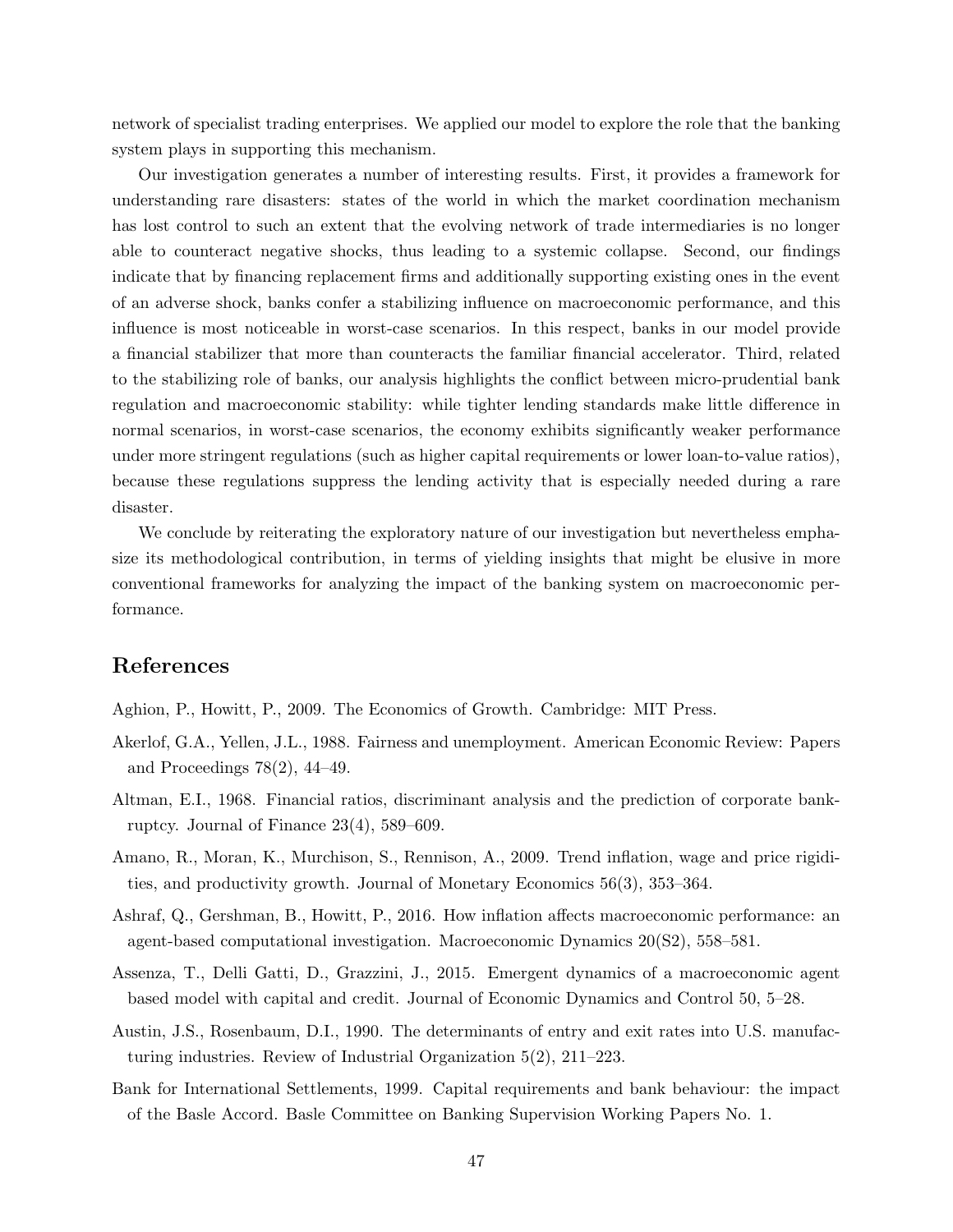network of specialist trading enterprises. We applied our model to explore the role that the banking system plays in supporting this mechanism.

Our investigation generates a number of interesting results. First, it provides a framework for understanding rare disasters: states of the world in which the market coordination mechanism has lost control to such an extent that the evolving network of trade intermediaries is no longer able to counteract negative shocks, thus leading to a systemic collapse. Second, our findings indicate that by financing replacement firms and additionally supporting existing ones in the event of an adverse shock, banks confer a stabilizing influence on macroeconomic performance, and this influence is most noticeable in worst-case scenarios. In this respect, banks in our model provide a financial stabilizer that more than counteracts the familiar financial accelerator. Third, related to the stabilizing role of banks, our analysis highlights the conflict between micro-prudential bank regulation and macroeconomic stability: while tighter lending standards make little difference in normal scenarios, in worst-case scenarios, the economy exhibits significantly weaker performance under more stringent regulations (such as higher capital requirements or lower loan-to-value ratios), because these regulations suppress the lending activity that is especially needed during a rare disaster.

We conclude by reiterating the exploratory nature of our investigation but nevertheless emphasize its methodological contribution, in terms of yielding insights that might be elusive in more conventional frameworks for analyzing the impact of the banking system on macroeconomic performance.

## References

Aghion, P., Howitt, P., 2009. The Economics of Growth. Cambridge: MIT Press.

- Akerlof, G.A., Yellen, J.L., 1988. Fairness and unemployment. American Economic Review: Papers and Proceedings  $78(2)$ ,  $44-49$ .
- Altman, E.I., 1968. Financial ratios, discriminant analysis and the prediction of corporate bankruptcy. Journal of Finance 23(4), 589–609.
- Amano, R., Moran, K., Murchison, S., Rennison, A., 2009. Trend inflation, wage and price rigidities, and productivity growth. Journal of Monetary Economics 56(3), 353–364.
- Ashraf, Q., Gershman, B., Howitt, P., 2016. How inflation affects macroeconomic performance: an agent-based computational investigation. Macroeconomic Dynamics 20(S2), 558–581.
- Assenza, T., Delli Gatti, D., Grazzini, J., 2015. Emergent dynamics of a macroeconomic agent based model with capital and credit. Journal of Economic Dynamics and Control 50, 5–28.
- Austin, J.S., Rosenbaum, D.I., 1990. The determinants of entry and exit rates into U.S. manufacturing industries. Review of Industrial Organization 5(2), 211–223.
- Bank for International Settlements, 1999. Capital requirements and bank behaviour: the impact of the Basle Accord. Basle Committee on Banking Supervision Working Papers No. 1.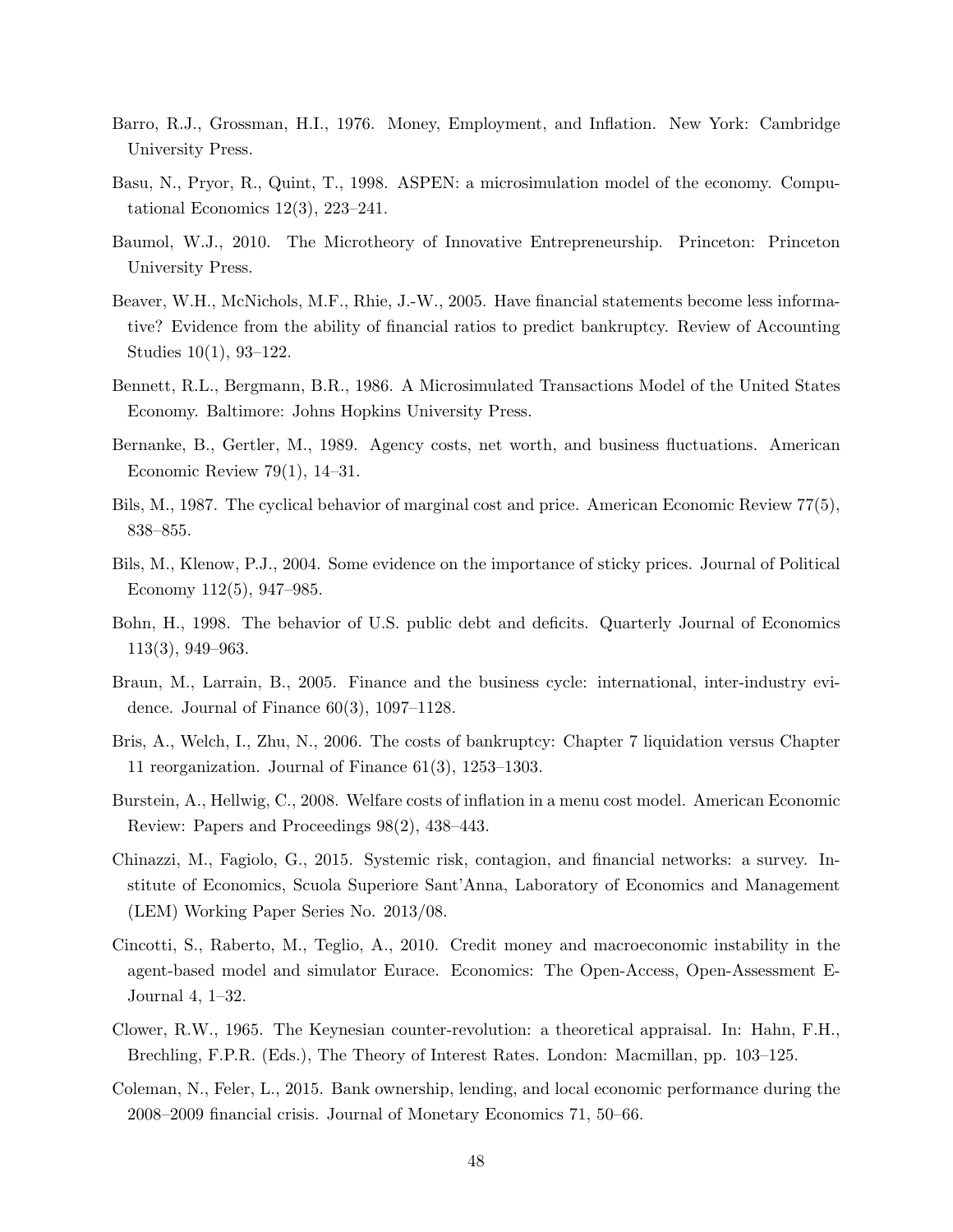- Barro, R.J., Grossman, H.I., 1976. Money, Employment, and Inflation. New York: Cambridge University Press.
- Basu, N., Pryor, R., Quint, T., 1998. ASPEN: a microsimulation model of the economy. Computational Economics  $12(3)$ ,  $223-241$ .
- Baumol, W.J., 2010. The Microtheory of Innovative Entrepreneurship. Princeton: Princeton University Press.
- Beaver, W.H., McNichols, M.F., Rhie, J.-W., 2005. Have financial statements become less informative? Evidence from the ability of financial ratios to predict bankruptcy. Review of Accounting Studies 10(1), 93–122.
- Bennett, R.L., Bergmann, B.R., 1986. A Microsimulated Transactions Model of the United States Economy. Baltimore: Johns Hopkins University Press.
- Bernanke, B., Gertler, M., 1989. Agency costs, net worth, and business fluctuations. American Economic Review 79(1), 14–31.
- Bils, M., 1987. The cyclical behavior of marginal cost and price. American Economic Review 77(5), 838–855.
- Bils, M., Klenow, P.J., 2004. Some evidence on the importance of sticky prices. Journal of Political Economy 112(5), 947–985.
- Bohn, H., 1998. The behavior of U.S. public debt and deficits. Quarterly Journal of Economics 113(3), 949–963.
- Braun, M., Larrain, B., 2005. Finance and the business cycle: international, inter-industry evidence. Journal of Finance  $60(3)$ ,  $1097-1128$ .
- Bris, A., Welch, I., Zhu, N., 2006. The costs of bankruptcy: Chapter 7 liquidation versus Chapter 11 reorganization. Journal of Finance 61(3), 1253–1303.
- Burstein, A., Hellwig, C., 2008. Welfare costs of inflation in a menu cost model. American Economic Review: Papers and Proceedings 98(2), 438–443.
- Chinazzi, M., Fagiolo, G., 2015. Systemic risk, contagion, and financial networks: a survey. Institute of Economics, Scuola Superiore Sant'Anna, Laboratory of Economics and Management (LEM) Working Paper Series No. 2013/08.
- Cincotti, S., Raberto, M., Teglio, A., 2010. Credit money and macroeconomic instability in the agent-based model and simulator Eurace. Economics: The Open-Access, Open-Assessment E-Journal 4, 1–32.
- Clower, R.W., 1965. The Keynesian counter-revolution: a theoretical appraisal. In: Hahn, F.H., Brechling, F.P.R. (Eds.), The Theory of Interest Rates. London: Macmillan, pp. 103–125.
- Coleman, N., Feler, L., 2015. Bank ownership, lending, and local economic performance during the 2008–2009 financial crisis. Journal of Monetary Economics 71, 50–66.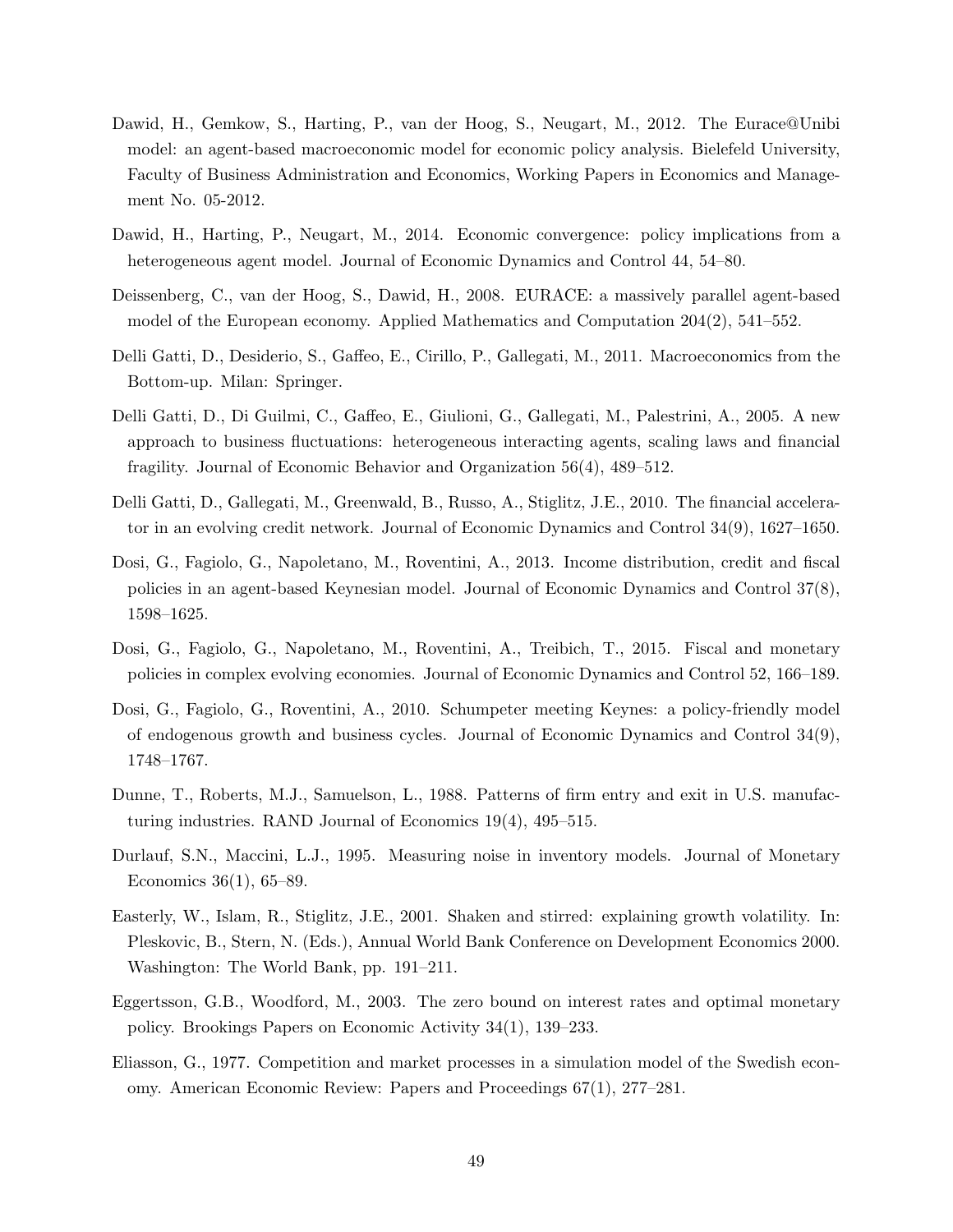- Dawid, H., Gemkow, S., Harting, P., van der Hoog, S., Neugart, M., 2012. The Eurace@Unibi model: an agent-based macroeconomic model for economic policy analysis. Bielefeld University, Faculty of Business Administration and Economics, Working Papers in Economics and Management No. 05-2012.
- Dawid, H., Harting, P., Neugart, M., 2014. Economic convergence: policy implications from a heterogeneous agent model. Journal of Economic Dynamics and Control 44, 54–80.
- Deissenberg, C., van der Hoog, S., Dawid, H., 2008. EURACE: a massively parallel agent-based model of the European economy. Applied Mathematics and Computation 204(2), 541–552.
- Delli Gatti, D., Desiderio, S., Gaffeo, E., Cirillo, P., Gallegati, M., 2011. Macroeconomics from the Bottom-up. Milan: Springer.
- Delli Gatti, D., Di Guilmi, C., Gaffeo, E., Giulioni, G., Gallegati, M., Palestrini, A., 2005. A new approach to business fluctuations: heterogeneous interacting agents, scaling laws and financial fragility. Journal of Economic Behavior and Organization 56(4), 489–512.
- Delli Gatti, D., Gallegati, M., Greenwald, B., Russo, A., Stiglitz, J.E., 2010. The financial accelerator in an evolving credit network. Journal of Economic Dynamics and Control 34(9), 1627–1650.
- Dosi, G., Fagiolo, G., Napoletano, M., Roventini, A., 2013. Income distribution, credit and fiscal policies in an agent-based Keynesian model. Journal of Economic Dynamics and Control 37(8), 1598–1625.
- Dosi, G., Fagiolo, G., Napoletano, M., Roventini, A., Treibich, T., 2015. Fiscal and monetary policies in complex evolving economies. Journal of Economic Dynamics and Control 52, 166–189.
- Dosi, G., Fagiolo, G., Roventini, A., 2010. Schumpeter meeting Keynes: a policy-friendly model of endogenous growth and business cycles. Journal of Economic Dynamics and Control 34(9), 1748–1767.
- Dunne, T., Roberts, M.J., Samuelson, L., 1988. Patterns of firm entry and exit in U.S. manufacturing industries. RAND Journal of Economics 19(4), 495–515.
- Durlauf, S.N., Maccini, L.J., 1995. Measuring noise in inventory models. Journal of Monetary Economics 36(1), 65–89.
- Easterly, W., Islam, R., Stiglitz, J.E., 2001. Shaken and stirred: explaining growth volatility. In: Pleskovic, B., Stern, N. (Eds.), Annual World Bank Conference on Development Economics 2000. Washington: The World Bank, pp. 191–211.
- Eggertsson, G.B., Woodford, M., 2003. The zero bound on interest rates and optimal monetary policy. Brookings Papers on Economic Activity 34(1), 139–233.
- Eliasson, G., 1977. Competition and market processes in a simulation model of the Swedish economy. American Economic Review: Papers and Proceedings 67(1), 277–281.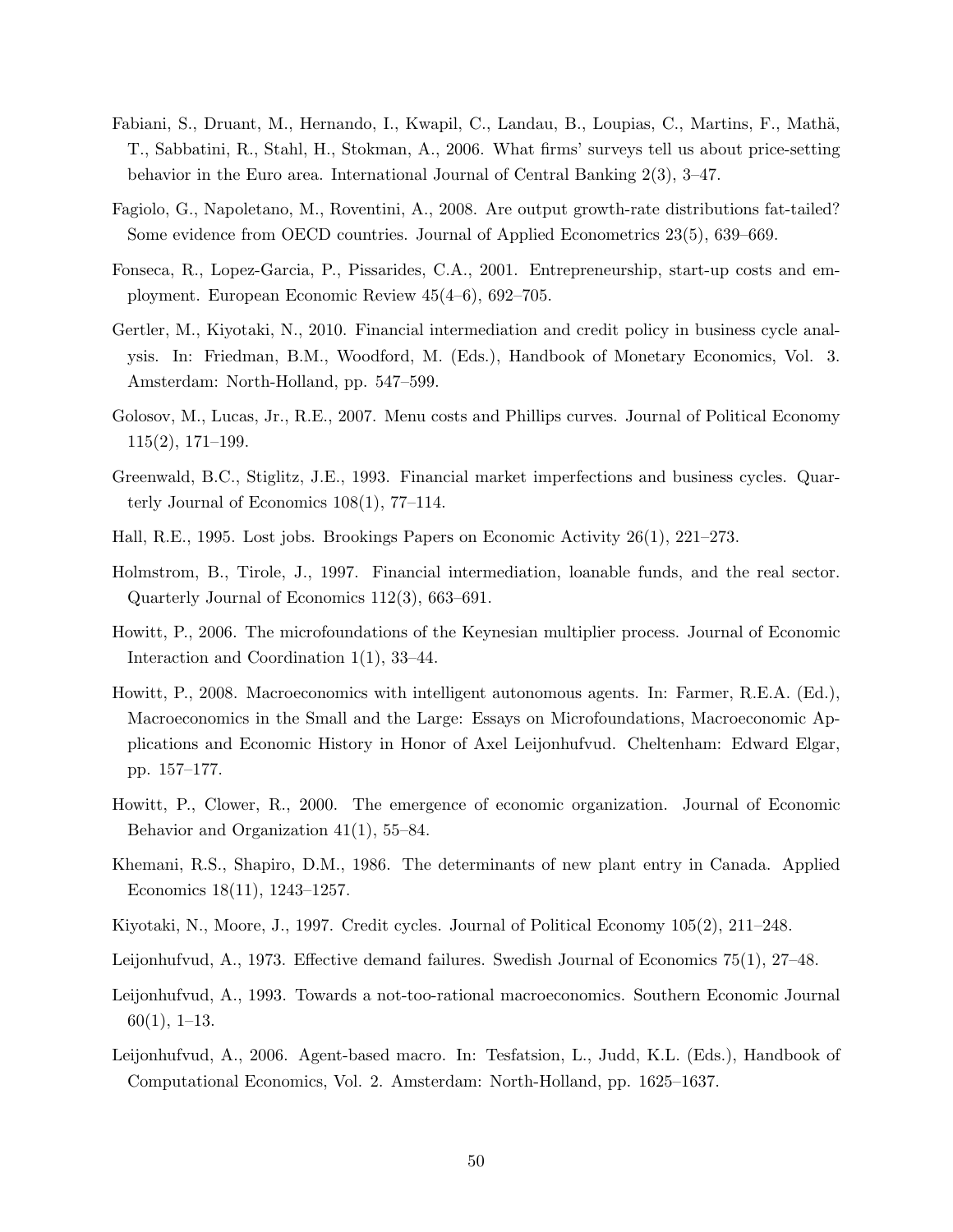- Fabiani, S., Druant, M., Hernando, I., Kwapil, C., Landau, B., Loupias, C., Martins, F., Mathä, T., Sabbatini, R., Stahl, H., Stokman, A., 2006. What firms' surveys tell us about price-setting behavior in the Euro area. International Journal of Central Banking 2(3), 3–47.
- Fagiolo, G., Napoletano, M., Roventini, A., 2008. Are output growth-rate distributions fat-tailed? Some evidence from OECD countries. Journal of Applied Econometrics 23(5), 639–669.
- Fonseca, R., Lopez-Garcia, P., Pissarides, C.A., 2001. Entrepreneurship, start-up costs and employment. European Economic Review 45(4–6), 692–705.
- Gertler, M., Kiyotaki, N., 2010. Financial intermediation and credit policy in business cycle analysis. In: Friedman, B.M., Woodford, M. (Eds.), Handbook of Monetary Economics, Vol. 3. Amsterdam: North-Holland, pp. 547–599.
- Golosov, M., Lucas, Jr., R.E., 2007. Menu costs and Phillips curves. Journal of Political Economy 115(2), 171–199.
- Greenwald, B.C., Stiglitz, J.E., 1993. Financial market imperfections and business cycles. Quarterly Journal of Economics 108(1), 77–114.
- Hall, R.E., 1995. Lost jobs. Brookings Papers on Economic Activity 26(1), 221–273.
- Holmstrom, B., Tirole, J., 1997. Financial intermediation, loanable funds, and the real sector. Quarterly Journal of Economics 112(3), 663–691.
- Howitt, P., 2006. The microfoundations of the Keynesian multiplier process. Journal of Economic Interaction and Coordination 1(1), 33–44.
- Howitt, P., 2008. Macroeconomics with intelligent autonomous agents. In: Farmer, R.E.A. (Ed.), Macroeconomics in the Small and the Large: Essays on Microfoundations, Macroeconomic Applications and Economic History in Honor of Axel Leijonhufvud. Cheltenham: Edward Elgar, pp. 157–177.
- Howitt, P., Clower, R., 2000. The emergence of economic organization. Journal of Economic Behavior and Organization 41(1), 55–84.
- Khemani, R.S., Shapiro, D.M., 1986. The determinants of new plant entry in Canada. Applied Economics 18(11), 1243–1257.
- Kiyotaki, N., Moore, J., 1997. Credit cycles. Journal of Political Economy 105(2), 211–248.
- Leijonhufvud, A., 1973. Effective demand failures. Swedish Journal of Economics 75(1), 27–48.
- Leijonhufvud, A., 1993. Towards a not-too-rational macroeconomics. Southern Economic Journal  $60(1), 1-13.$
- Leijonhufvud, A., 2006. Agent-based macro. In: Tesfatsion, L., Judd, K.L. (Eds.), Handbook of Computational Economics, Vol. 2. Amsterdam: North-Holland, pp. 1625–1637.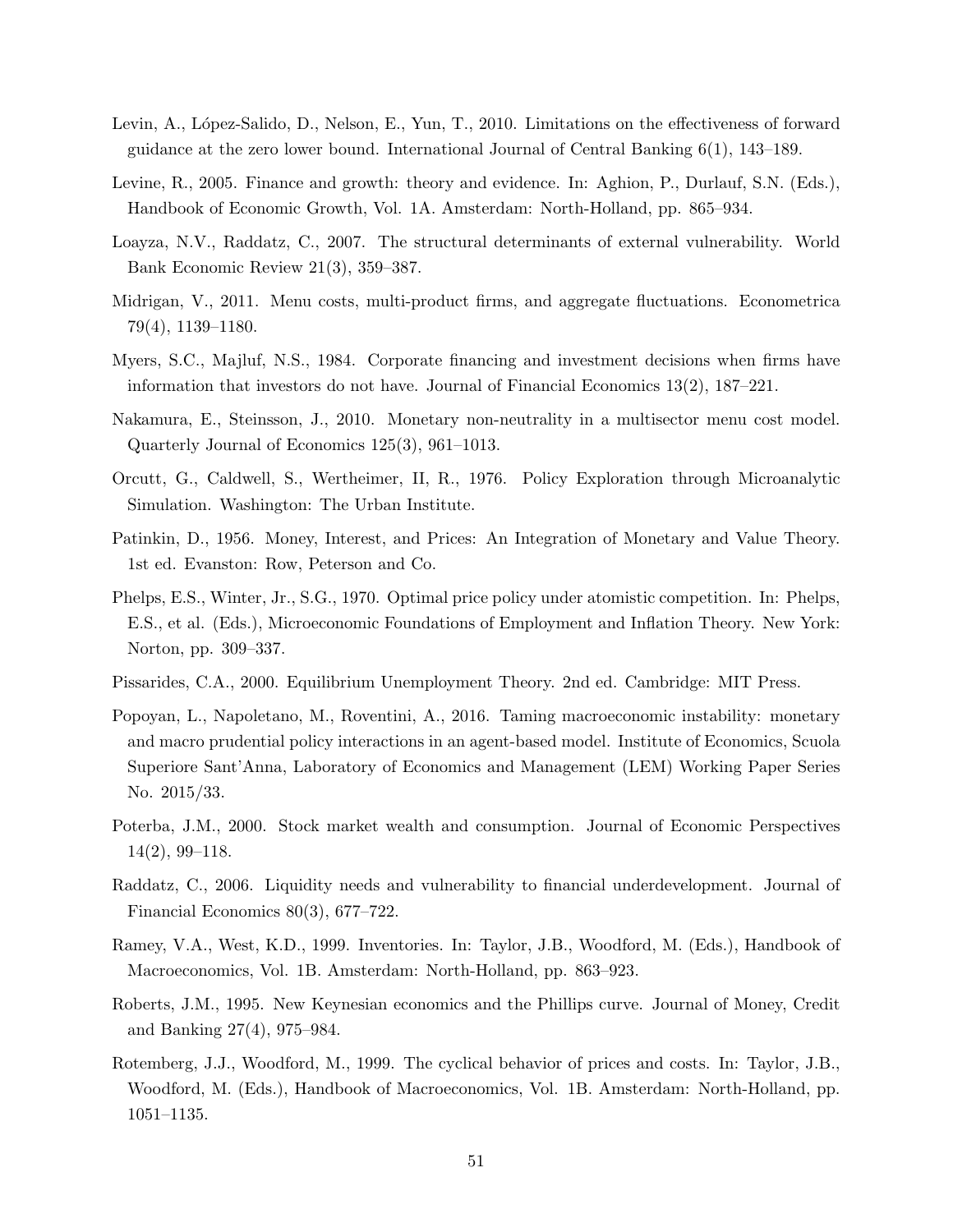- Levin, A., López-Salido, D., Nelson, E., Yun, T., 2010. Limitations on the effectiveness of forward guidance at the zero lower bound. International Journal of Central Banking 6(1), 143–189.
- Levine, R., 2005. Finance and growth: theory and evidence. In: Aghion, P., Durlauf, S.N. (Eds.), Handbook of Economic Growth, Vol. 1A. Amsterdam: North-Holland, pp. 865–934.
- Loayza, N.V., Raddatz, C., 2007. The structural determinants of external vulnerability. World Bank Economic Review 21(3), 359–387.
- Midrigan, V., 2011. Menu costs, multi-product firms, and aggregate fluctuations. Econometrica 79(4), 1139–1180.
- Myers, S.C., Majluf, N.S., 1984. Corporate financing and investment decisions when firms have information that investors do not have. Journal of Financial Economics 13(2), 187–221.
- Nakamura, E., Steinsson, J., 2010. Monetary non-neutrality in a multisector menu cost model. Quarterly Journal of Economics 125(3), 961–1013.
- Orcutt, G., Caldwell, S., Wertheimer, II, R., 1976. Policy Exploration through Microanalytic Simulation. Washington: The Urban Institute.
- Patinkin, D., 1956. Money, Interest, and Prices: An Integration of Monetary and Value Theory. 1st ed. Evanston: Row, Peterson and Co.
- Phelps, E.S., Winter, Jr., S.G., 1970. Optimal price policy under atomistic competition. In: Phelps, E.S., et al. (Eds.), Microeconomic Foundations of Employment and Inflation Theory. New York: Norton, pp. 309–337.
- Pissarides, C.A., 2000. Equilibrium Unemployment Theory. 2nd ed. Cambridge: MIT Press.
- Popoyan, L., Napoletano, M., Roventini, A., 2016. Taming macroeconomic instability: monetary and macro prudential policy interactions in an agent-based model. Institute of Economics, Scuola Superiore Sant'Anna, Laboratory of Economics and Management (LEM) Working Paper Series No. 2015/33.
- Poterba, J.M., 2000. Stock market wealth and consumption. Journal of Economic Perspectives 14(2), 99–118.
- Raddatz, C., 2006. Liquidity needs and vulnerability to financial underdevelopment. Journal of Financial Economics 80(3), 677–722.
- Ramey, V.A., West, K.D., 1999. Inventories. In: Taylor, J.B., Woodford, M. (Eds.), Handbook of Macroeconomics, Vol. 1B. Amsterdam: North-Holland, pp. 863–923.
- Roberts, J.M., 1995. New Keynesian economics and the Phillips curve. Journal of Money, Credit and Banking 27(4), 975–984.
- Rotemberg, J.J., Woodford, M., 1999. The cyclical behavior of prices and costs. In: Taylor, J.B., Woodford, M. (Eds.), Handbook of Macroeconomics, Vol. 1B. Amsterdam: North-Holland, pp. 1051–1135.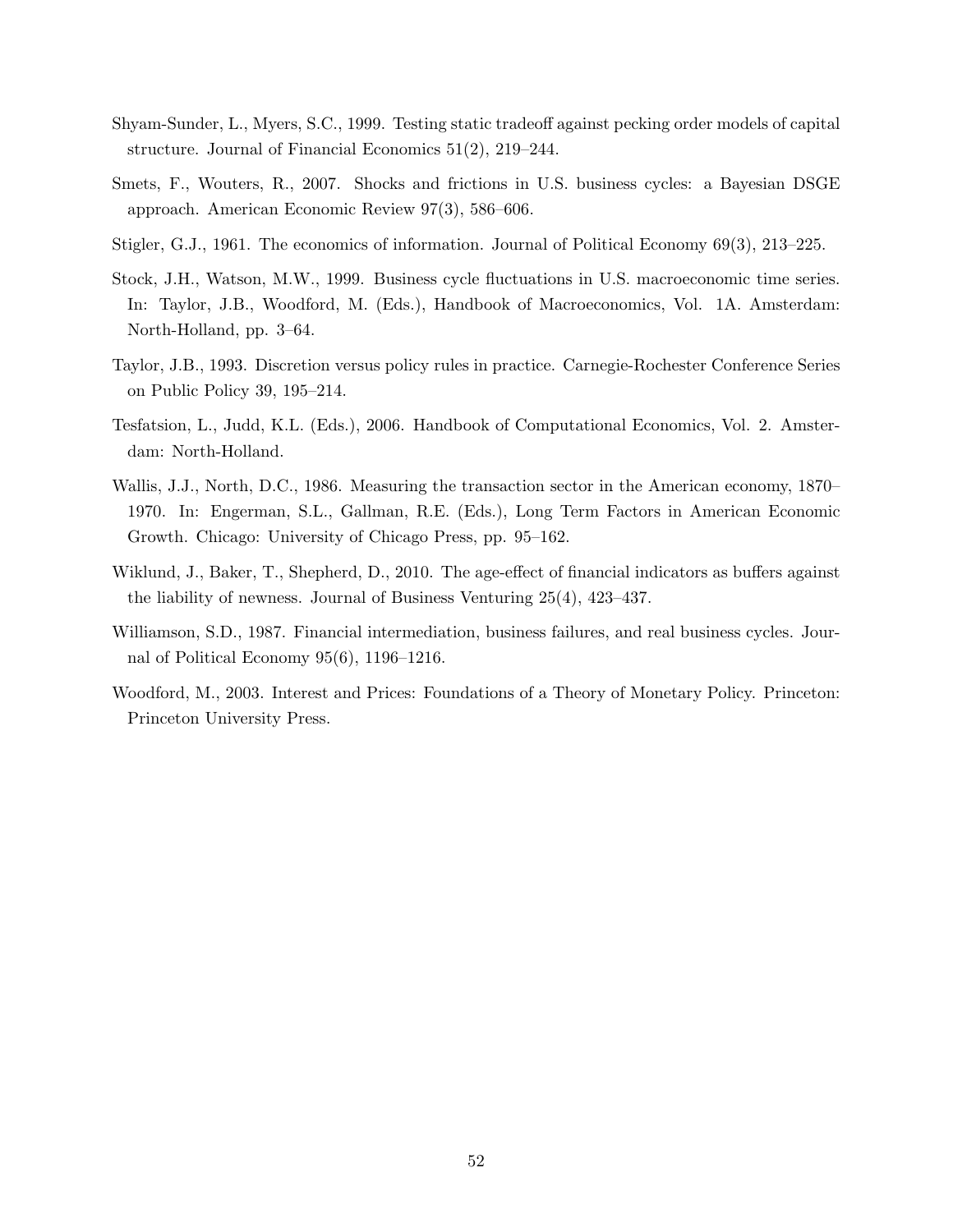- Shyam-Sunder, L., Myers, S.C., 1999. Testing static tradeoff against pecking order models of capital structure. Journal of Financial Economics 51(2), 219–244.
- Smets, F., Wouters, R., 2007. Shocks and frictions in U.S. business cycles: a Bayesian DSGE approach. American Economic Review 97(3), 586–606.
- Stigler, G.J., 1961. The economics of information. Journal of Political Economy 69(3), 213–225.
- Stock, J.H., Watson, M.W., 1999. Business cycle fluctuations in U.S. macroeconomic time series. In: Taylor, J.B., Woodford, M. (Eds.), Handbook of Macroeconomics, Vol. 1A. Amsterdam: North-Holland, pp. 3–64.
- Taylor, J.B., 1993. Discretion versus policy rules in practice. Carnegie-Rochester Conference Series on Public Policy 39, 195–214.
- Tesfatsion, L., Judd, K.L. (Eds.), 2006. Handbook of Computational Economics, Vol. 2. Amsterdam: North-Holland.
- Wallis, J.J., North, D.C., 1986. Measuring the transaction sector in the American economy, 1870– 1970. In: Engerman, S.L., Gallman, R.E. (Eds.), Long Term Factors in American Economic Growth. Chicago: University of Chicago Press, pp. 95–162.
- Wiklund, J., Baker, T., Shepherd, D., 2010. The age-effect of financial indicators as buffers against the liability of newness. Journal of Business Venturing 25(4), 423–437.
- Williamson, S.D., 1987. Financial intermediation, business failures, and real business cycles. Journal of Political Economy 95(6), 1196–1216.
- Woodford, M., 2003. Interest and Prices: Foundations of a Theory of Monetary Policy. Princeton: Princeton University Press.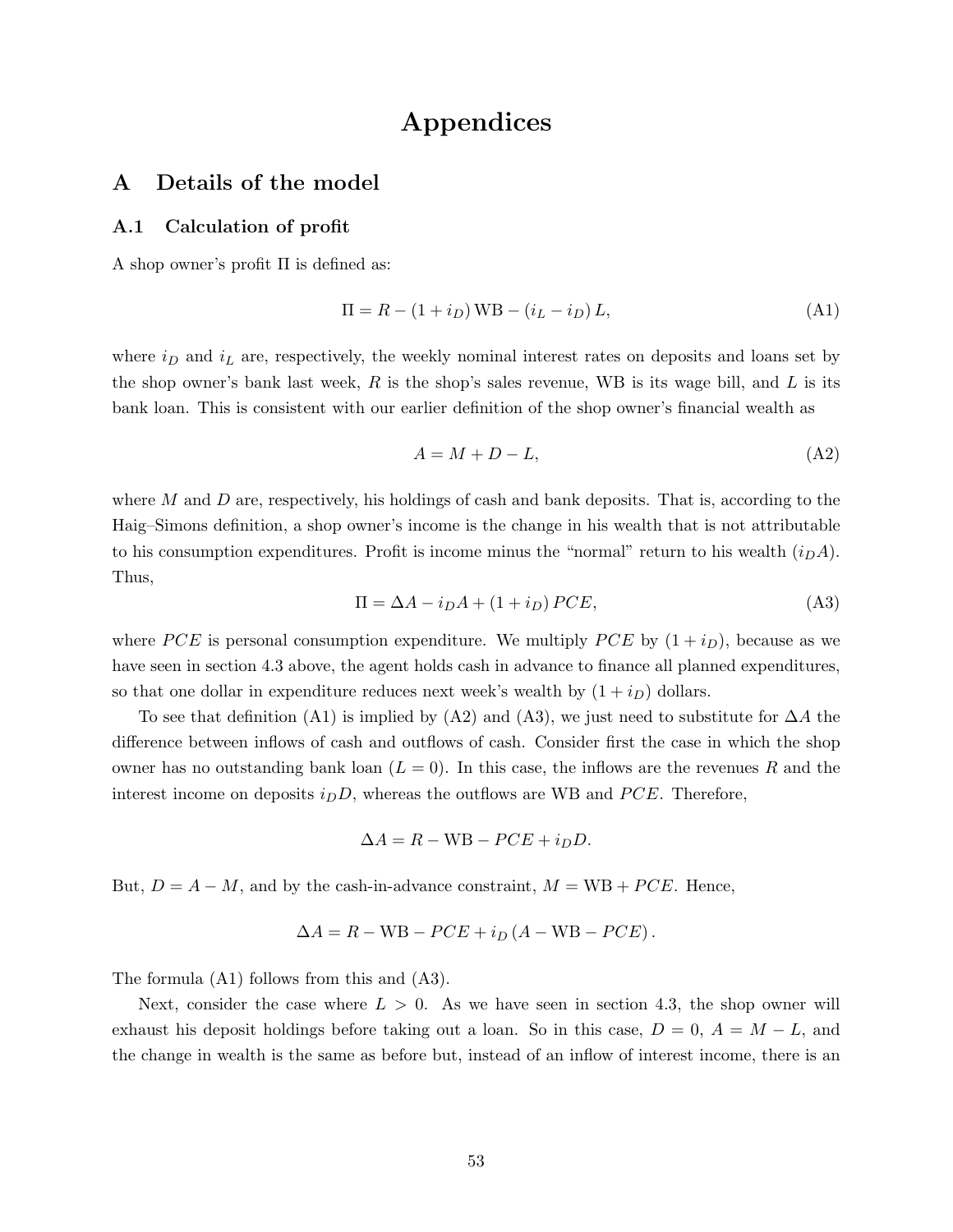## Appendices

## A Details of the model

#### <span id="page-53-0"></span>A.1 Calculation of profit

A shop owner's profit Π is defined as:

<span id="page-53-1"></span>
$$
\Pi = R - (1 + i_D) \text{WB} - (i_L - i_D) L,\tag{A1}
$$

where  $i_D$  and  $i_L$  are, respectively, the weekly nominal interest rates on deposits and loans set by the shop owner's bank last week,  $R$  is the shop's sales revenue, WB is its wage bill, and  $L$  is its bank loan. This is consistent with our earlier definition of the shop owner's financial wealth as

<span id="page-53-2"></span>
$$
A = M + D - L,\tag{A2}
$$

where  $M$  and  $D$  are, respectively, his holdings of cash and bank deposits. That is, according to the Haig–Simons definition, a shop owner's income is the change in his wealth that is not attributable to his consumption expenditures. Profit is income minus the "normal" return to his wealth  $(i<sub>D</sub>A)$ . Thus,

<span id="page-53-3"></span>
$$
\Pi = \Delta A - i_D A + (1 + i_D) PCE,
$$
\n(A3)

where PCE is personal consumption expenditure. We multiply PCE by  $(1 + i_D)$ , because as we have seen in section [4.3](#page-13-0) above, the agent holds cash in advance to finance all planned expenditures, so that one dollar in expenditure reduces next week's wealth by  $(1 + i_D)$  dollars.

To see that definition [\(A1\)](#page-53-1) is implied by [\(A2\)](#page-53-2) and [\(A3\)](#page-53-3), we just need to substitute for  $\Delta A$  the difference between inflows of cash and outflows of cash. Consider first the case in which the shop owner has no outstanding bank loan  $(L = 0)$ . In this case, the inflows are the revenues R and the interest income on deposits  $i_D D$ , whereas the outflows are WB and  $PCE$ . Therefore,

$$
\Delta A = R - \text{WB} - PCE + i_D D.
$$

But,  $D = A - M$ , and by the cash-in-advance constraint,  $M = WB + PCE$ . Hence,

$$
\Delta A = R - \text{WB} - PCE + i_D (A - \text{WB} - PCE).
$$

The formula [\(A1\)](#page-53-1) follows from this and [\(A3\)](#page-53-3).

Next, consider the case where  $L > 0$ . As we have seen in section [4.3,](#page-13-0) the shop owner will exhaust his deposit holdings before taking out a loan. So in this case,  $D = 0$ ,  $A = M - L$ , and the change in wealth is the same as before but, instead of an inflow of interest income, there is an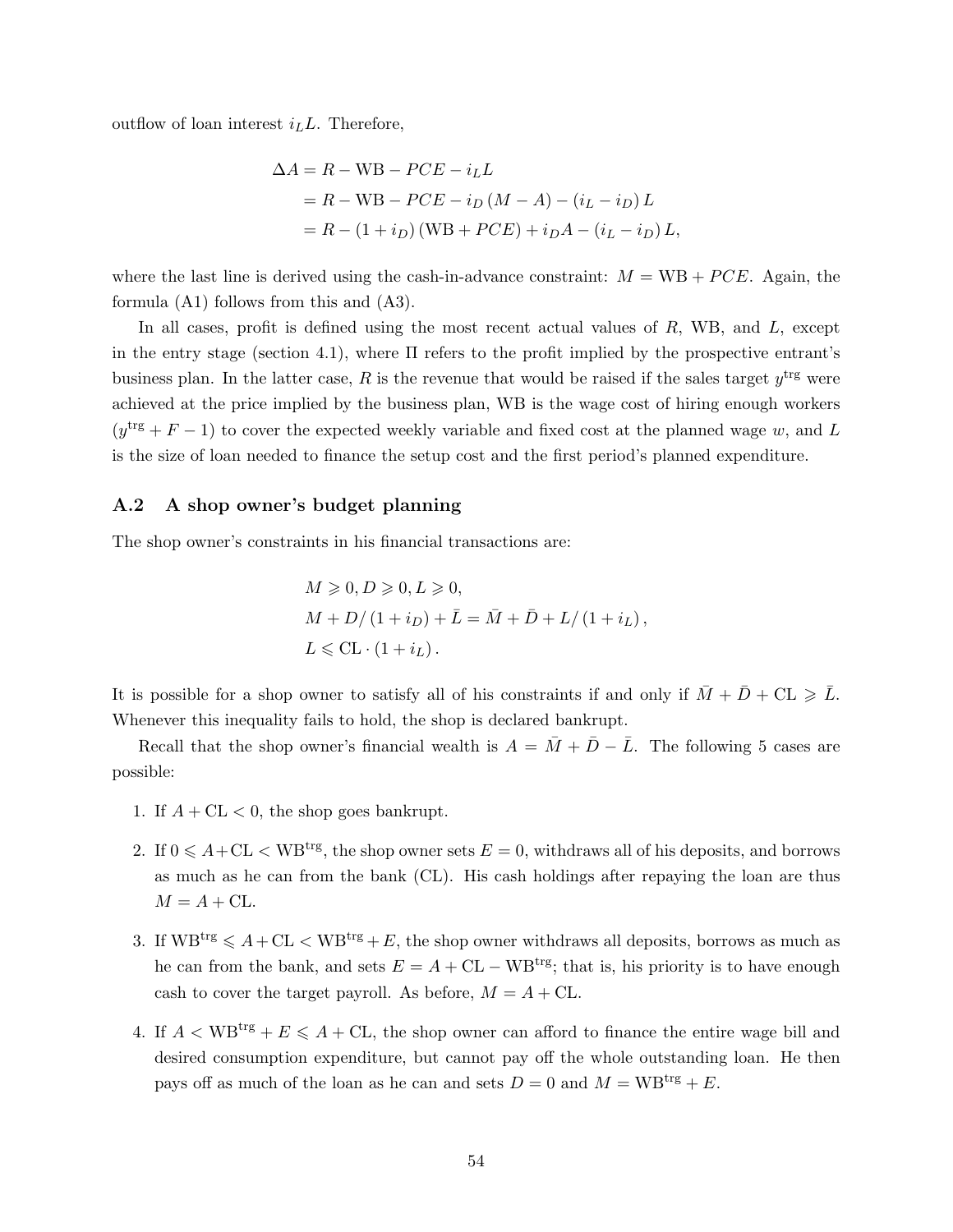outflow of loan interest  $i_L L$ . Therefore,

$$
\Delta A = R - \text{WB} - PCE - i_L L
$$
  
= R - \text{WB} - PCE - i\_D (M - A) - (i\_L - i\_D) L  
= R - (1 + i\_D) (\text{WB} + PCE) + i\_D A - (i\_L - i\_D) L,

where the last line is derived using the cash-in-advance constraint:  $M = WB + PCE$ . Again, the formula [\(A1\)](#page-53-1) follows from this and [\(A3\)](#page-53-3).

In all cases, profit is defined using the most recent actual values of  $R$ , WB, and  $L$ , except in the entry stage (section [4.1\)](#page-9-1), where  $\Pi$  refers to the profit implied by the prospective entrant's business plan. In the latter case, R is the revenue that would be raised if the sales target  $y^{\text{trg}}$  were achieved at the price implied by the business plan, WB is the wage cost of hiring enough workers  $(y<sup>trg</sup> + F - 1)$  to cover the expected weekly variable and fixed cost at the planned wage w, and L is the size of loan needed to finance the setup cost and the first period's planned expenditure.

#### <span id="page-54-0"></span>A.2 A shop owner's budget planning

The shop owner's constraints in his financial transactions are:

$$
\begin{aligned} &M\geqslant 0,D\geqslant 0,L\geqslant 0,\\ &M+D/\left(1+i_D\right)+\bar L=\bar M+\bar D+L/\left(1+i_L\right),\\ &L\leqslant \mathrm{CL}\cdot\left(1+i_L\right). \end{aligned}
$$

It is possible for a shop owner to satisfy all of his constraints if and only if  $\overline{M} + \overline{D} + \mathrm{CL} \geq \overline{L}$ . Whenever this inequality fails to hold, the shop is declared bankrupt.

Recall that the shop owner's financial wealth is  $A = \overline{M} + \overline{D} - \overline{L}$ . The following 5 cases are possible:

- 1. If  $A + CL < 0$ , the shop goes bankrupt.
- 2. If  $0 \leq A + CL < W B^{trg}$ , the shop owner sets  $E = 0$ , withdraws all of his deposits, and borrows as much as he can from the bank (CL). His cash holdings after repaying the loan are thus  $M = A + CL.$
- 3. If  $W\mathcal{B}^{\text{trg}} \leq A + CL < W\mathcal{B}^{\text{trg}} + E$ , the shop owner withdraws all deposits, borrows as much as he can from the bank, and sets  $E = A + CL - WB<sup>trg</sup>$ ; that is, his priority is to have enough cash to cover the target payroll. As before,  $M = A + CL$ .
- 4. If  $A < WB<sup>trg</sup> + E \leq A + CL$ , the shop owner can afford to finance the entire wage bill and desired consumption expenditure, but cannot pay off the whole outstanding loan. He then pays off as much of the loan as he can and sets  $D = 0$  and  $M = WB^{\text{trg}} + E$ .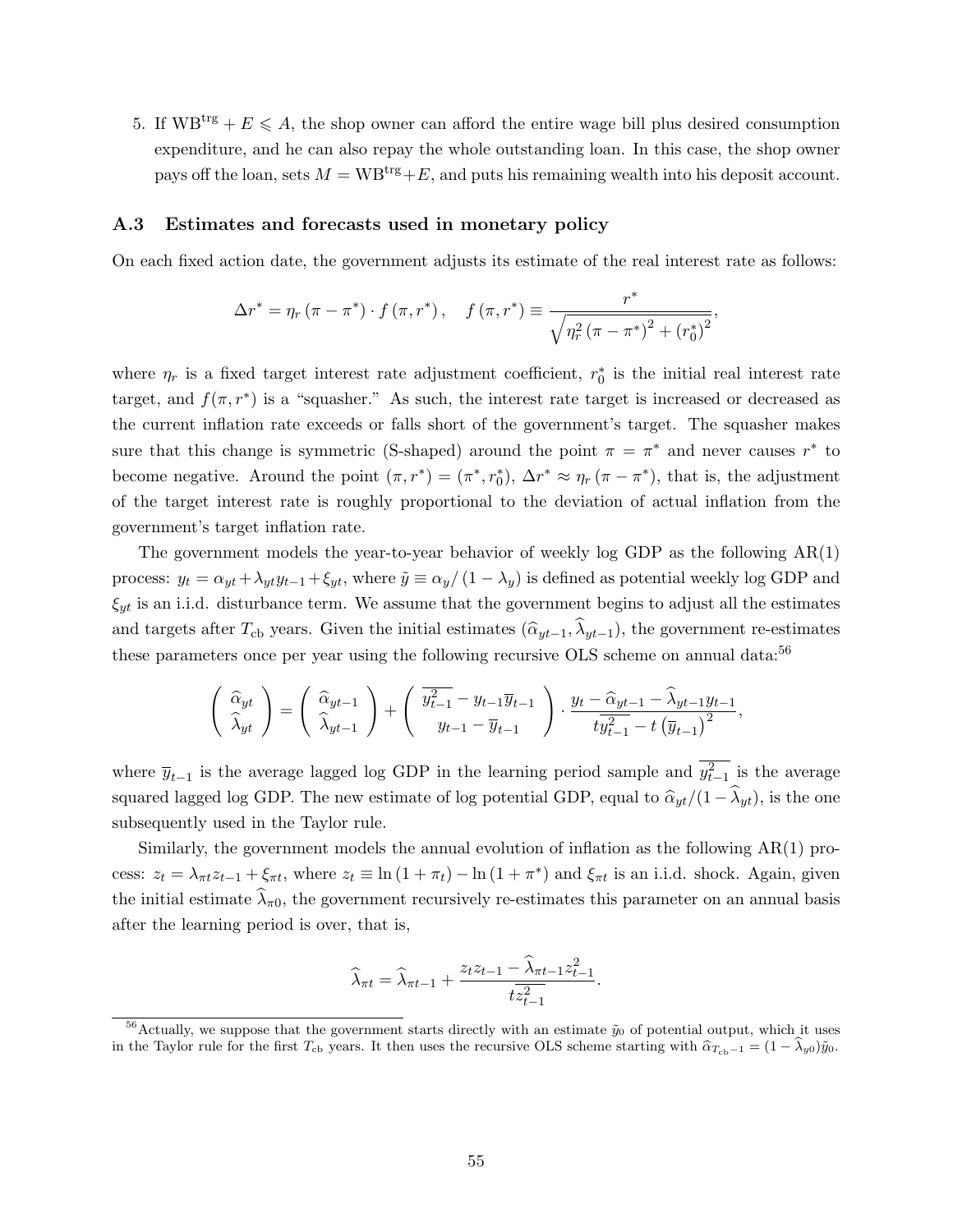5. If  $W\text{B}^{\text{trg}} + E \leq A$ , the shop owner can afford the entire wage bill plus desired consumption expenditure, and he can also repay the whole outstanding loan. In this case, the shop owner pays off the loan, sets  $M = WB^{\text{trg}} + E$ , and puts his remaining wealth into his deposit account.

#### <span id="page-55-0"></span>A.3 Estimates and forecasts used in monetary policy

On each fixed action date, the government adjusts its estimate of the real interest rate as follows:

$$
\Delta r^* = \eta_r (\pi - \pi^*) \cdot f(\pi, r^*), \quad f(\pi, r^*) \equiv \frac{r^*}{\sqrt{\eta_r^2 (\pi - \pi^*)^2 + (r_0^*)^2}},
$$

where  $\eta_r$  is a fixed target interest rate adjustment coefficient,  $r_0^*$  is the initial real interest rate target, and  $f(\pi, r^*)$  is a "squasher." As such, the interest rate target is increased or decreased as the current inflation rate exceeds or falls short of the government's target. The squasher makes sure that this change is symmetric (S-shaped) around the point  $\pi = \pi^*$  and never causes  $r^*$  to become negative. Around the point  $(\pi, r^*) = (\pi^*, r_0^*)$ ,  $\Delta r^* \approx \eta_r (\pi - \pi^*)$ , that is, the adjustment of the target interest rate is roughly proportional to the deviation of actual inflation from the government's target inflation rate.

The government models the year-to-year behavior of weekly log GDP as the following AR(1) process:  $y_t = \alpha_{yt} + \lambda_{yt}y_{t-1} + \xi_{yt}$ , where  $\tilde{y} \equiv \alpha_y/(1 - \lambda_y)$  is defined as potential weekly log GDP and  $\xi_{yt}$  is an i.i.d. disturbance term. We assume that the government begins to adjust all the estimates and targets after  $T_{cb}$  years. Given the initial estimates  $(\hat{\alpha}_{yt-1}, \hat{\lambda}_{vt-1})$ , the government re-estimates these parameters once per year using the following recursive OLS scheme on annual data:<sup>[56](#page-55-1)</sup>

$$
\begin{pmatrix}\n\widehat{\alpha}_{yt} \\
\widehat{\lambda}_{yt}\n\end{pmatrix} = \begin{pmatrix}\n\widehat{\alpha}_{yt-1} \\
\widehat{\lambda}_{yt-1}\n\end{pmatrix} + \begin{pmatrix}\n\overline{y_{t-1}^2} - y_{t-1}\overline{y}_{t-1} \\
y_{t-1} - \overline{y}_{t-1}\n\end{pmatrix} \cdot \frac{y_t - \widehat{\alpha}_{yt-1} - \widehat{\lambda}_{yt-1}y_{t-1}}{ty_{t-1}^2 - t(\overline{y}_{t-1})^2},
$$

where  $\bar{y}_{t-1}$  is the average lagged log GDP in the learning period sample and  $y_{t-1}^2$  is the average squared lagged log GDP. The new estimate of log potential GDP, equal to  $\hat{\alpha}_{yt}/(1 - \hat{\lambda}_{yt})$ , is the one subsequently used in the Taylor rule.

Similarly, the government models the annual evolution of inflation as the following AR(1) process:  $z_t = \lambda_{\pi t} z_{t-1} + \xi_{\pi t}$ , where  $z_t \equiv \ln(1 + \pi_t) - \ln(1 + \pi^*)$  and  $\xi_{\pi t}$  is an i.i.d. shock. Again, given the initial estimate  $\lambda_{\pi0}$ , the government recursively re-estimates this parameter on an annual basis after the learning period is over, that is,

$$
\widehat{\lambda}_{\pi t} = \widehat{\lambda}_{\pi t - 1} + \frac{z_t z_{t-1} - \widehat{\lambda}_{\pi t - 1} z_{t-1}^2}{t z_{t-1}^2}.
$$

<span id="page-55-1"></span><sup>&</sup>lt;sup>56</sup>Actually, we suppose that the government starts directly with an estimate  $\tilde{y}_0$  of potential output, which it uses in the Taylor rule for the first  $T_{cb}$  years. It then uses the recursive OLS scheme starting with  $\hat{\alpha}_{T_{cb}-1} = (1 - \lambda_{y0})\tilde{y}_{0}$ .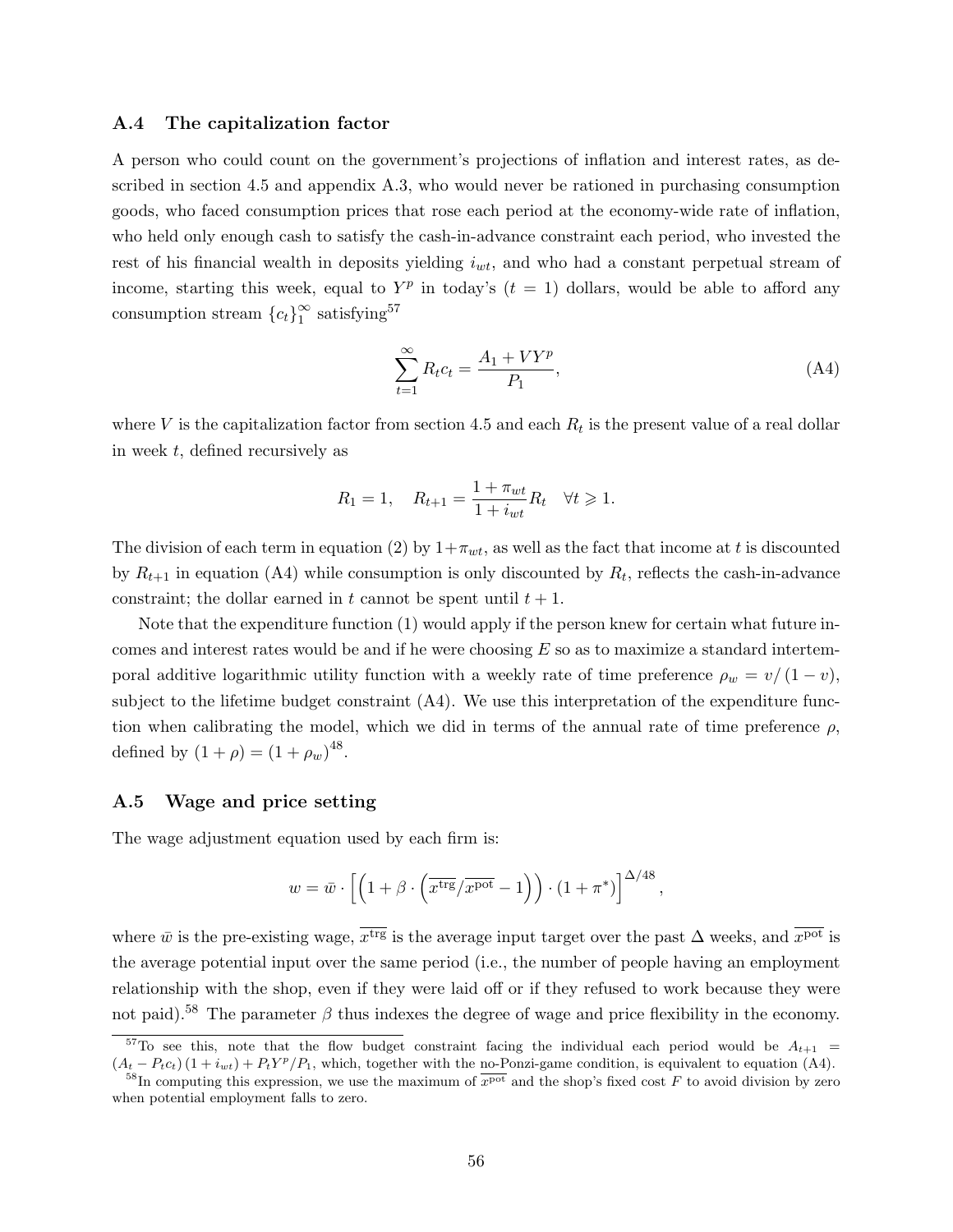#### <span id="page-56-0"></span>A.4 The capitalization factor

A person who could count on the government's projections of inflation and interest rates, as described in section [4.5](#page-18-0) and appendix [A.3,](#page-55-0) who would never be rationed in purchasing consumption goods, who faced consumption prices that rose each period at the economy-wide rate of inflation, who held only enough cash to satisfy the cash-in-advance constraint each period, who invested the rest of his financial wealth in deposits yielding  $i_{wt}$ , and who had a constant perpetual stream of income, starting this week, equal to  $Y^p$  in today's  $(t = 1)$  dollars, would be able to afford any consumption stream  ${c_t}_1^{\infty}$  $\frac{\infty}{1}$  satisfying<sup>[57](#page-56-2)</sup>

<span id="page-56-3"></span>
$$
\sum_{t=1}^{\infty} R_t c_t = \frac{A_1 + VY^p}{P_1},\tag{A4}
$$

where V is the capitalization factor from section [4.5](#page-18-0) and each  $R_t$  is the present value of a real dollar in week  $t$ , defined recursively as

$$
R_1 = 1
$$
,  $R_{t+1} = \frac{1 + \pi_{wt}}{1 + i_{wt}} R_t \quad \forall t \ge 1$ .

The division of each term in equation [\(2\)](#page-19-1) by  $1+\pi_{wt}$ , as well as the fact that income at t is discounted by  $R_{t+1}$  in equation [\(A4\)](#page-56-3) while consumption is only discounted by  $R_t$ , reflects the cash-in-advance constraint; the dollar earned in t cannot be spent until  $t + 1$ .

Note that the expenditure function [\(1\)](#page-15-1) would apply if the person knew for certain what future incomes and interest rates would be and if he were choosing  $E$  so as to maximize a standard intertemporal additive logarithmic utility function with a weekly rate of time preference  $\rho_w = v/(1 - v)$ , subject to the lifetime budget constraint [\(A4\)](#page-56-3). We use this interpretation of the expenditure function when calibrating the model, which we did in terms of the annual rate of time preference  $\rho$ , defined by  $(1 + \rho) = (1 + \rho_w)^{48}$ .

#### <span id="page-56-1"></span>A.5 Wage and price setting

The wage adjustment equation used by each firm is:

$$
w = \bar{w} \cdot \left[ \left( 1 + \beta \cdot \left( \overline{x^{\text{trg}}} / \overline{x^{\text{pot}}} - 1 \right) \right) \cdot \left( 1 + \pi^* \right) \right]^{\Delta/48},
$$

where  $\bar{w}$  is the pre-existing wage,  $\bar{x}^{\text{trg}}$  is the average input target over the past  $\Delta$  weeks, and  $\bar{x}^{\text{pot}}$  is the average potential input over the same period (i.e., the number of people having an employment relationship with the shop, even if they were laid off or if they refused to work because they were not paid).<sup>[58](#page-56-4)</sup> The parameter  $\beta$  thus indexes the degree of wage and price flexibility in the economy.

<span id="page-56-2"></span> $57T_0$  see this, note that the flow budget constraint facing the individual each period would be  $A_{t+1}$  $(A_t - P_t c_t) (1 + i_{wt}) + P_t Y^p / P_1$ , which, together with the no-Ponzi-game condition, is equivalent to equation [\(A4\)](#page-56-3).

<span id="page-56-4"></span><sup>&</sup>lt;sup>58</sup>In computing this expression, we use the maximum of  $\overline{x}^{pot}$  and the shop's fixed cost F to avoid division by zero when potential employment falls to zero.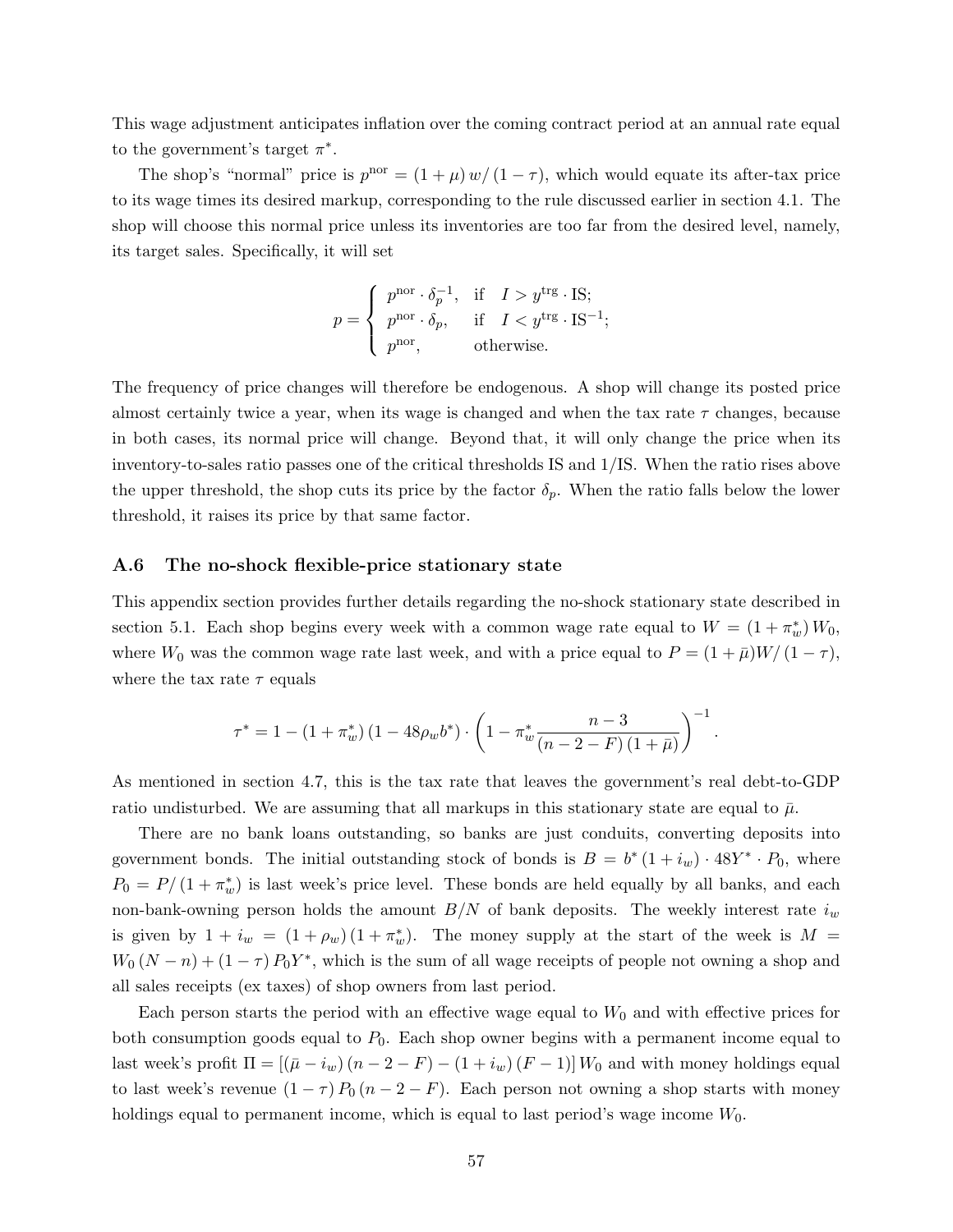This wage adjustment anticipates inflation over the coming contract period at an annual rate equal to the government's target  $\pi^*$ .

The shop's "normal" price is  $p^{\text{nor}} = (1 + \mu) w/(1 - \tau)$ , which would equate its after-tax price to its wage times its desired markup, corresponding to the rule discussed earlier in section [4.1.](#page-9-1) The shop will choose this normal price unless its inventories are too far from the desired level, namely, its target sales. Specifically, it will set

$$
p = \begin{cases} p^{\text{nor}} \cdot \delta_p^{-1}, & \text{if} \quad I > y^{\text{trg}} \cdot \text{IS}; \\ p^{\text{nor}} \cdot \delta_p, & \text{if} \quad I < y^{\text{trg}} \cdot \text{IS}^{-1}; \\ p^{\text{nor}}, & \text{otherwise.} \end{cases}
$$

The frequency of price changes will therefore be endogenous. A shop will change its posted price almost certainly twice a year, when its wage is changed and when the tax rate  $\tau$  changes, because in both cases, its normal price will change. Beyond that, it will only change the price when its inventory-to-sales ratio passes one of the critical thresholds IS and 1/IS. When the ratio rises above the upper threshold, the shop cuts its price by the factor  $\delta_p$ . When the ratio falls below the lower threshold, it raises its price by that same factor.

#### <span id="page-57-0"></span>A.6 The no-shock flexible-price stationary state

This appendix section provides further details regarding the no-shock stationary state described in section [5.1.](#page-21-1) Each shop begins every week with a common wage rate equal to  $W = (1 + \pi_w^*) W_0$ , where  $W_0$  was the common wage rate last week, and with a price equal to  $P = (1 + \bar{\mu})W/(1 - \tau)$ , where the tax rate  $\tau$  equals

$$
\tau^* = 1 - \left(1 + \pi_w^*\right)\left(1 - 48\rho_w b^*\right) \cdot \left(1 - \pi_w^* \frac{n-3}{\left(n-2 - F\right)\left(1 + \bar{\mu}\right)}\right)^{-1}.
$$

As mentioned in section [4.7,](#page-20-1) this is the tax rate that leaves the government's real debt-to-GDP ratio undisturbed. We are assuming that all markups in this stationary state are equal to  $\bar{\mu}$ .

There are no bank loans outstanding, so banks are just conduits, converting deposits into government bonds. The initial outstanding stock of bonds is  $B = b^* (1 + i_w) \cdot 48Y^* \cdot P_0$ , where  $P_0 = P/(1 + \pi_w^*)$  is last week's price level. These bonds are held equally by all banks, and each non-bank-owning person holds the amount  $B/N$  of bank deposits. The weekly interest rate  $i_w$ is given by  $1 + i_w = (1 + \rho_w)(1 + \pi_w^*)$ . The money supply at the start of the week is M =  $W_0(N-n) + (1-\tau) P_0 Y^*$ , which is the sum of all wage receipts of people not owning a shop and all sales receipts (ex taxes) of shop owners from last period.

Each person starts the period with an effective wage equal to  $W_0$  and with effective prices for both consumption goods equal to  $P_0$ . Each shop owner begins with a permanent income equal to last week's profit  $\Pi = [(\bar{\mu} - i_w)(n - 2 - F) - (1 + i_w)(F - 1)]W_0$  and with money holdings equal to last week's revenue  $(1 - \tau) P_0 (n - 2 - F)$ . Each person not owning a shop starts with money holdings equal to permanent income, which is equal to last period's wage income  $W_0$ .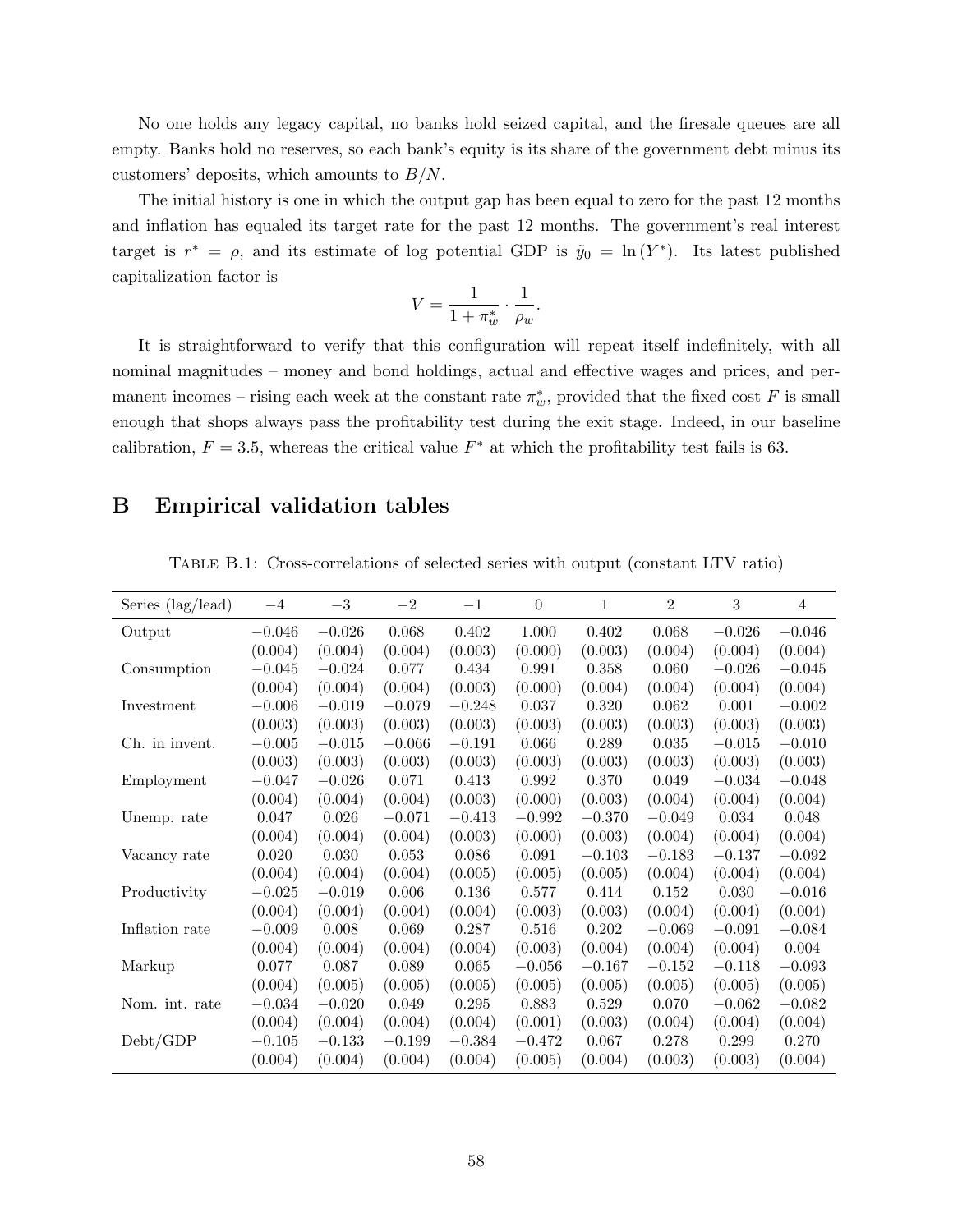No one holds any legacy capital, no banks hold seized capital, and the firesale queues are all empty. Banks hold no reserves, so each bank's equity is its share of the government debt minus its customers' deposits, which amounts to  $B/N$ .

The initial history is one in which the output gap has been equal to zero for the past 12 months and inflation has equaled its target rate for the past 12 months. The government's real interest target is  $r^* = \rho$ , and its estimate of log potential GDP is  $\tilde{y}_0 = \ln(Y^*)$ . Its latest published capitalization factor is

$$
V = \frac{1}{1 + \pi_w^*} \cdot \frac{1}{\rho_w}.
$$

It is straightforward to verify that this configuration will repeat itself indefinitely, with all nominal magnitudes – money and bond holdings, actual and effective wages and prices, and permanent incomes – rising each week at the constant rate  $\pi_w^*$ , provided that the fixed cost F is small enough that shops always pass the profitability test during the exit stage. Indeed, in our baseline calibration,  $F = 3.5$ , whereas the critical value  $F^*$  at which the profitability test fails is 63.

## <span id="page-58-1"></span>B Empirical validation tables

Table B.1: Cross-correlations of selected series with output (constant LTV ratio)

<span id="page-58-0"></span>

| Series (lag/lead) | $-4$     | $-3$     | $-2$     | $-1$     | $\Omega$ | 1        | $\overline{2}$ | 3        | 4        |
|-------------------|----------|----------|----------|----------|----------|----------|----------------|----------|----------|
| Output            | $-0.046$ | $-0.026$ | 0.068    | 0.402    | 1.000    | 0.402    | 0.068          | $-0.026$ | $-0.046$ |
|                   | (0.004)  | (0.004)  | (0.004)  | (0.003)  | (0.000)  | (0.003)  | (0.004)        | (0.004)  | (0.004)  |
| Consumption       | $-0.045$ | $-0.024$ | 0.077    | 0.434    | 0.991    | 0.358    | 0.060          | $-0.026$ | $-0.045$ |
|                   | (0.004)  | (0.004)  | (0.004)  | (0.003)  | (0.000)  | (0.004)  | (0.004)        | (0.004)  | (0.004)  |
| Investment        | $-0.006$ | $-0.019$ | $-0.079$ | $-0.248$ | 0.037    | 0.320    | 0.062          | 0.001    | $-0.002$ |
|                   | (0.003)  | (0.003)  | (0.003)  | (0.003)  | (0.003)  | (0.003)  | (0.003)        | (0.003)  | (0.003)  |
| Ch. in invent.    | $-0.005$ | $-0.015$ | $-0.066$ | $-0.191$ | 0.066    | 0.289    | 0.035          | $-0.015$ | $-0.010$ |
|                   | (0.003)  | (0.003)  | (0.003)  | (0.003)  | (0.003)  | (0.003)  | (0.003)        | (0.003)  | (0.003)  |
| Employment        | $-0.047$ | $-0.026$ | 0.071    | 0.413    | 0.992    | 0.370    | 0.049          | $-0.034$ | $-0.048$ |
|                   | (0.004)  | (0.004)  | (0.004)  | (0.003)  | (0.000)  | (0.003)  | (0.004)        | (0.004)  | (0.004)  |
| Unemp. rate       | 0.047    | 0.026    | $-0.071$ | $-0.413$ | $-0.992$ | $-0.370$ | $-0.049$       | 0.034    | 0.048    |
|                   | (0.004)  | (0.004)  | (0.004)  | (0.003)  | (0.000)  | (0.003)  | (0.004)        | (0.004)  | (0.004)  |
| Vacancy rate      | 0.020    | 0.030    | 0.053    | 0.086    | 0.091    | $-0.103$ | $-0.183$       | $-0.137$ | $-0.092$ |
|                   | (0.004)  | (0.004)  | (0.004)  | (0.005)  | (0.005)  | (0.005)  | (0.004)        | (0.004)  | (0.004)  |
| Productivity      | $-0.025$ | $-0.019$ | 0.006    | 0.136    | 0.577    | 0.414    | 0.152          | 0.030    | $-0.016$ |
|                   | (0.004)  | (0.004)  | (0.004)  | (0.004)  | (0.003)  | (0.003)  | (0.004)        | (0.004)  | (0.004)  |
| Inflation rate    | $-0.009$ | 0.008    | 0.069    | 0.287    | 0.516    | 0.202    | $-0.069$       | $-0.091$ | $-0.084$ |
|                   | (0.004)  | (0.004)  | (0.004)  | (0.004)  | (0.003)  | (0.004)  | (0.004)        | (0.004)  | 0.004    |
| Markup            | 0.077    | 0.087    | 0.089    | 0.065    | $-0.056$ | $-0.167$ | $-0.152$       | $-0.118$ | $-0.093$ |
|                   | (0.004)  | (0.005)  | (0.005)  | (0.005)  | (0.005)  | (0.005)  | (0.005)        | (0.005)  | (0.005)  |
| Nom. int. rate    | $-0.034$ | $-0.020$ | 0.049    | 0.295    | 0.883    | 0.529    | 0.070          | $-0.062$ | $-0.082$ |
|                   | (0.004)  | (0.004)  | (0.004)  | (0.004)  | (0.001)  | (0.003)  | (0.004)        | (0.004)  | (0.004)  |
| Debt/GDP          | $-0.105$ | $-0.133$ | $-0.199$ | $-0.384$ | $-0.472$ | 0.067    | 0.278          | 0.299    | 0.270    |
|                   | (0.004)  | (0.004)  | (0.004)  | (0.004)  | (0.005)  | (0.004)  | (0.003)        | (0.003)  | (0.004)  |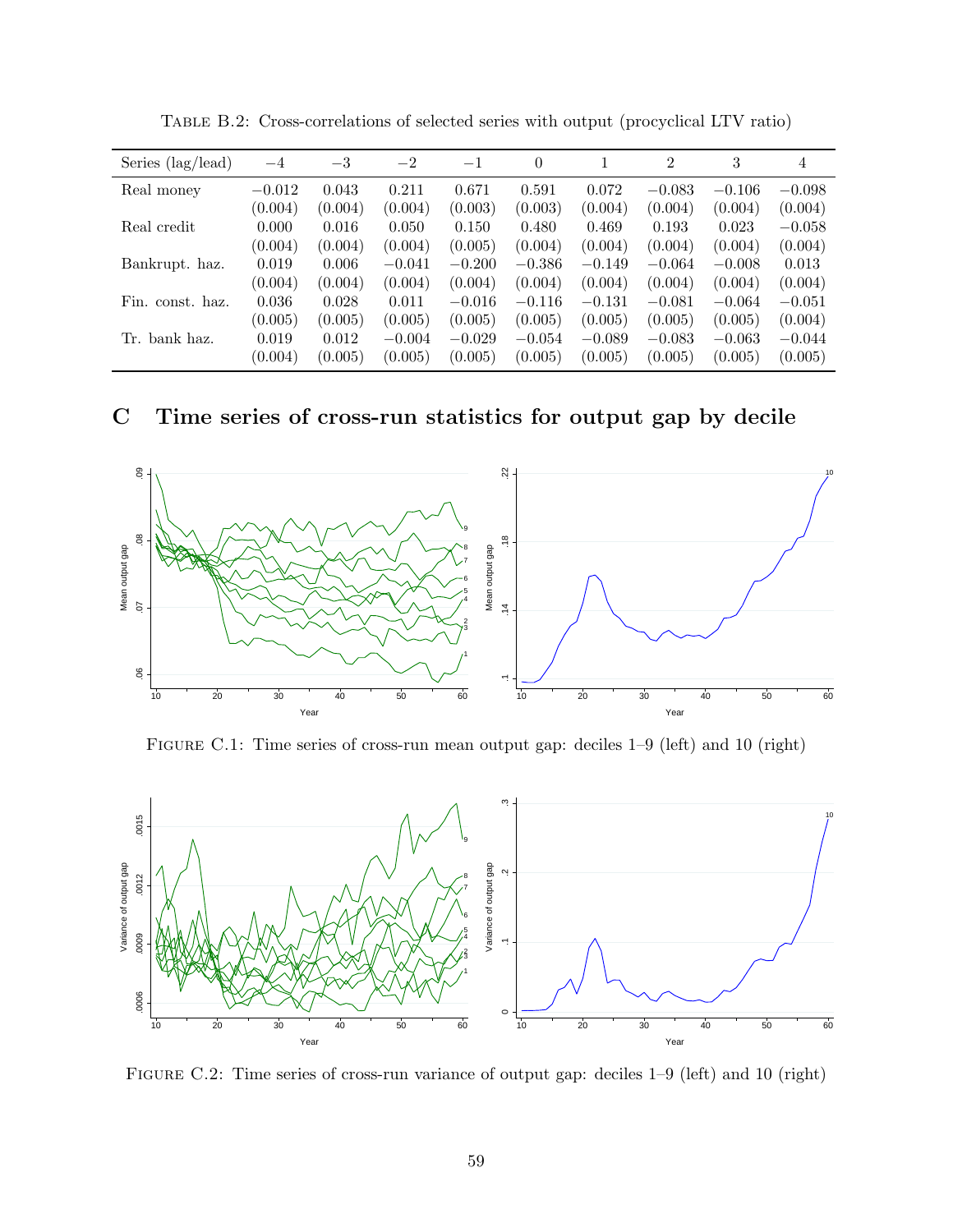<span id="page-59-3"></span>

| Series (lag/lead) | $-4$     | $-3$    | $-2$     | $-1$     | $\theta$ |          | $\overline{2}$ | 3        | 4        |
|-------------------|----------|---------|----------|----------|----------|----------|----------------|----------|----------|
| Real money        | $-0.012$ | 0.043   | 0.211    | 0.671    | 0.591    | 0.072    | $-0.083$       | $-0.106$ | $-0.098$ |
|                   | (0.004)  | (0.004) | (0.004)  | (0.003)  | (0.003)  | (0.004)  | (0.004)        | (0.004)  | (0.004)  |
| Real credit       | 0.000    | 0.016   | 0.050    | 0.150    | 0.480    | 0.469    | 0.193          | 0.023    | $-0.058$ |
|                   | (0.004)  | (0.004) | (0.004)  | (0.005)  | (0.004)  | (0.004)  | (0.004)        | (0.004)  | (0.004)  |
| Bankrupt. haz.    | 0.019    | 0.006   | $-0.041$ | $-0.200$ | $-0.386$ | $-0.149$ | $-0.064$       | $-0.008$ | 0.013    |
|                   | (0.004)  | (0.004) | (0.004)  | (0.004)  | (0.004)  | (0.004)  | (0.004)        | (0.004)  | (0.004)  |
| Fin. const. haz.  | 0.036    | 0.028   | 0.011    | $-0.016$ | $-0.116$ | $-0.131$ | $-0.081$       | $-0.064$ | $-0.051$ |
|                   | (0.005)  | (0.005) | (0.005)  | (0.005)  | (0.005)  | (0.005)  | (0.005)        | (0.005)  | (0.004)  |
| Tr. bank haz.     | 0.019    | 0.012   | $-0.004$ | $-0.029$ | $-0.054$ | $-0.089$ | $-0.083$       | $-0.063$ | $-0.044$ |
|                   | (0.004)  | (0.005) | (0.005)  | (0.005)  | (0.005)  | (0.005)  | (0.005)        | (0.005)  | (0.005)  |

Table B.2: Cross-correlations of selected series with output (procyclical LTV ratio)

## <span id="page-59-2"></span>C Time series of cross-run statistics for output gap by decile

<span id="page-59-0"></span>![](_page_59_Figure_3.jpeg)

FIGURE C.1: Time series of cross-run mean output gap: deciles  $1-9$  (left) and  $10$  (right)

<span id="page-59-1"></span>![](_page_59_Figure_5.jpeg)

FIGURE C.2: Time series of cross-run variance of output gap: deciles 1–9 (left) and 10 (right)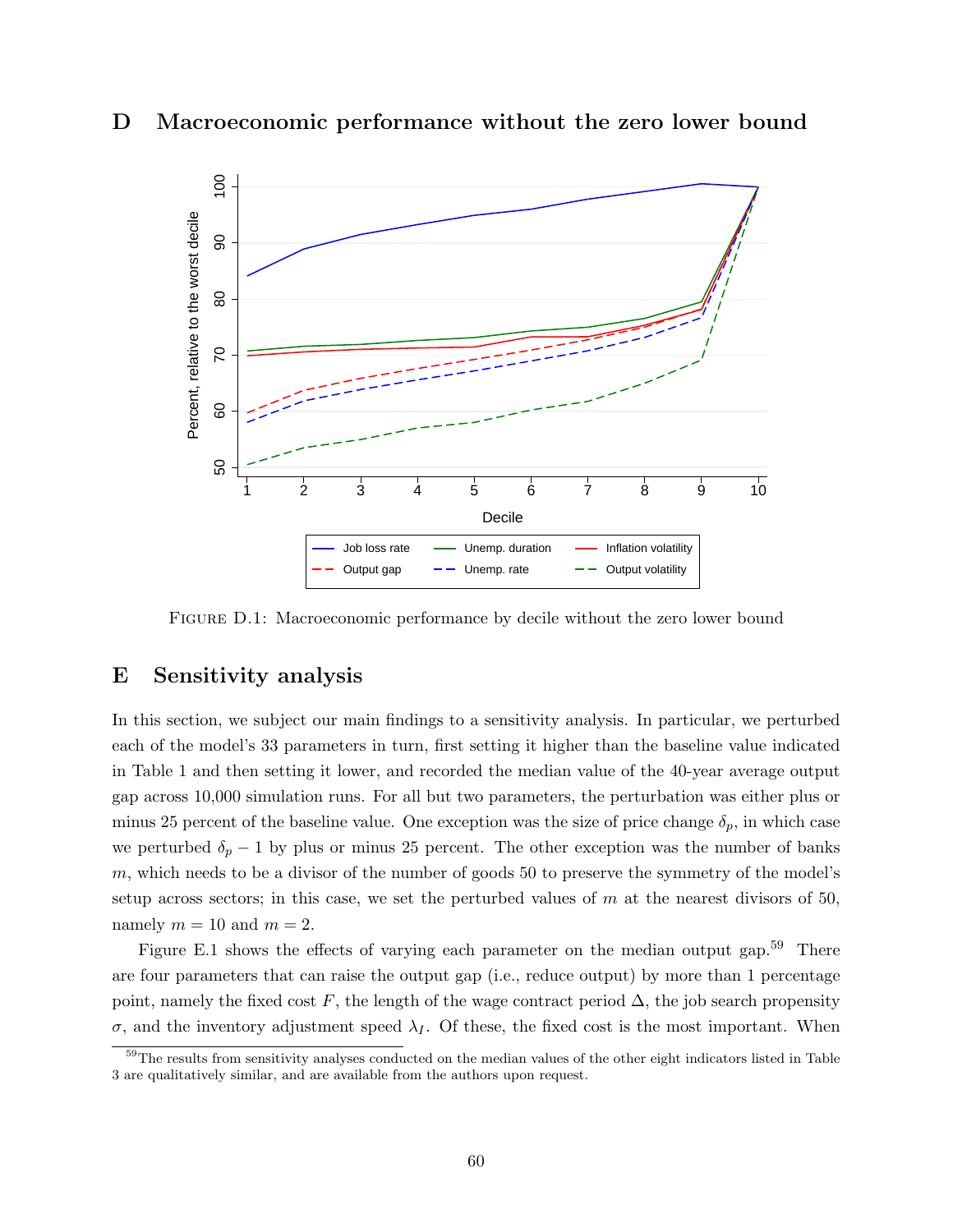# <sup>50</sup> <sup>60</sup> <sup>70</sup> <sup>80</sup> <sup>90</sup> <sup>100</sup> Percent, relative to the worst decile 1 2 3 4 5 6 7 8 9 10 **Decile Decile Decile Decision in the set of the set of the set of the set of the set of the set of the set of the set of the set of the set of the set of the set of the set of the set of the set of the set of the se** Job loss rate - Unemp. duration - Inflation volatility Output gap  $\qquad -$  Unemp. rate  $\qquad -$  Output volatility  $\qquad$

## <span id="page-60-2"></span><span id="page-60-1"></span>D Macroeconomic performance without the zero lower bound

Figure D.1: Macroeconomic performance by decile without the zero lower bound

## <span id="page-60-0"></span>E Sensitivity analysis

In this section, we subject our main findings to a sensitivity analysis. In particular, we perturbed each of the model's 33 parameters in turn, first setting it higher than the baseline value indicated in Table [1](#page-24-0) and then setting it lower, and recorded the median value of the 40-year average output gap across 10,000 simulation runs. For all but two parameters, the perturbation was either plus or minus 25 percent of the baseline value. One exception was the size of price change  $\delta_p$ , in which case we perturbed  $\delta_p - 1$  by plus or minus 25 percent. The other exception was the number of banks m, which needs to be a divisor of the number of goods 50 to preserve the symmetry of the model's setup across sectors; in this case, we set the perturbed values of  $m$  at the nearest divisors of 50, namely  $m = 10$  and  $m = 2$ .

Figure [E.1](#page-61-0) shows the effects of varying each parameter on the median output gap.<sup>[59](#page-60-3)</sup> There are four parameters that can raise the output gap (i.e., reduce output) by more than 1 percentage point, namely the fixed cost F, the length of the wage contract period  $\Delta$ , the job search propensity  $\sigma$ , and the inventory adjustment speed  $\lambda_I$ . Of these, the fixed cost is the most important. When

<span id="page-60-3"></span><sup>59</sup>The results from sensitivity analyses conducted on the median values of the other eight indicators listed in Table [3](#page-35-0) are qualitatively similar, and are available from the authors upon request.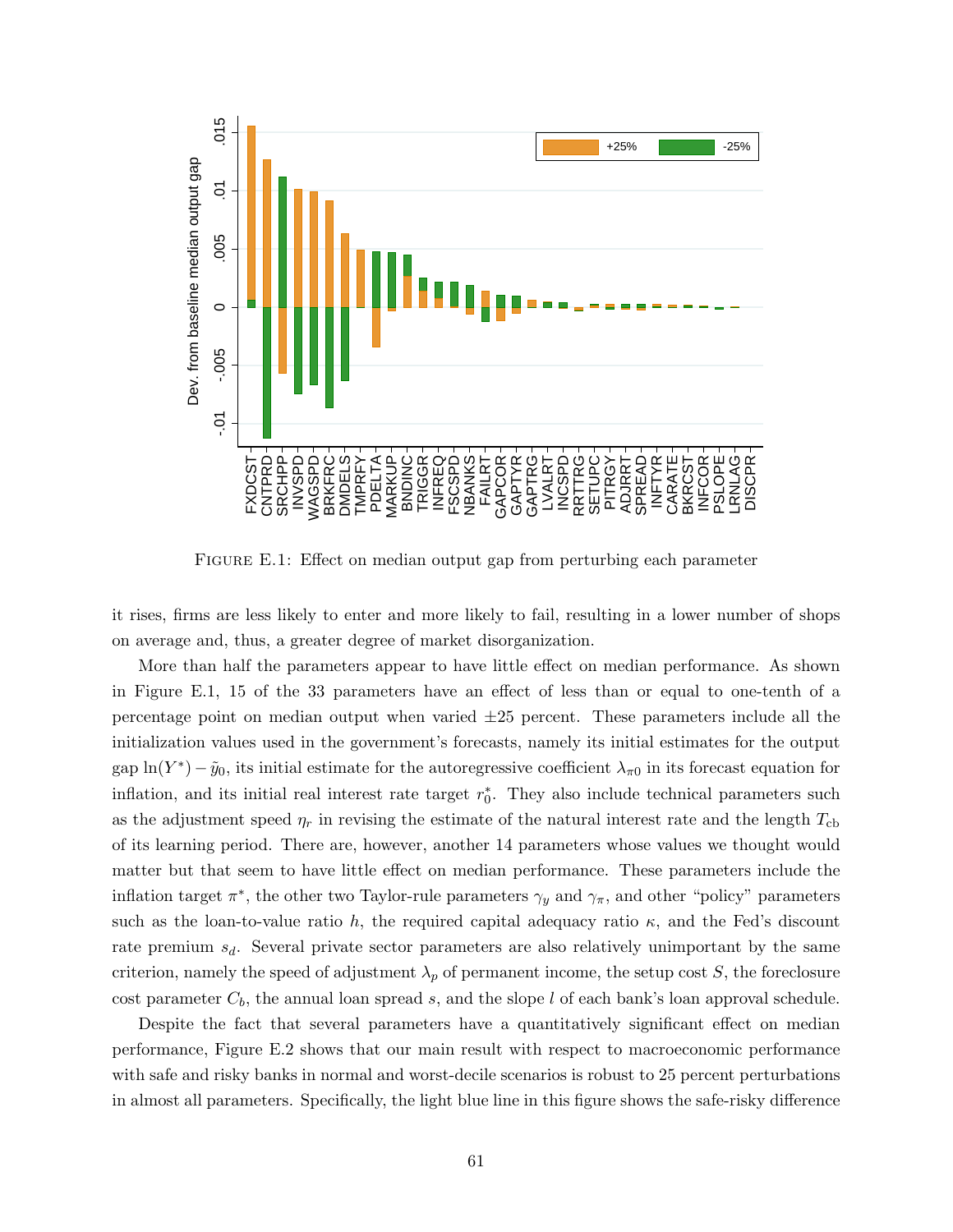<span id="page-61-0"></span>![](_page_61_Figure_0.jpeg)

FIGURE E.1: Effect on median output gap from perturbing each parameter

it rises, firms are less likely to enter and more likely to fail, resulting in a lower number of shops on average and, thus, a greater degree of market disorganization.

More than half the parameters appear to have little effect on median performance. As shown in Figure [E.1,](#page-61-0) 15 of the 33 parameters have an effect of less than or equal to one-tenth of a percentage point on median output when varied  $\pm 25$  percent. These parameters include all the initialization values used in the government's forecasts, namely its initial estimates for the output gap  $\ln(Y^*) - \tilde{y}_0$ , its initial estimate for the autoregressive coefficient  $\lambda_{\pi 0}$  in its forecast equation for inflation, and its initial real interest rate target  $r_0^*$ . They also include technical parameters such as the adjustment speed  $\eta_r$  in revising the estimate of the natural interest rate and the length  $T_{cb}$ of its learning period. There are, however, another 14 parameters whose values we thought would matter but that seem to have little effect on median performance. These parameters include the inflation target  $\pi^*$ , the other two Taylor-rule parameters  $\gamma_y$  and  $\gamma_\pi$ , and other "policy" parameters such as the loan-to-value ratio h, the required capital adequacy ratio  $\kappa$ , and the Fed's discount rate premium  $s_d$ . Several private sector parameters are also relatively unimportant by the same criterion, namely the speed of adjustment  $\lambda_p$  of permanent income, the setup cost S, the foreclosure cost parameter  $C_b$ , the annual loan spread s, and the slope l of each bank's loan approval schedule.

Despite the fact that several parameters have a quantitatively significant effect on median performance, Figure [E.2](#page-62-0) shows that our main result with respect to macroeconomic performance with safe and risky banks in normal and worst-decile scenarios is robust to 25 percent perturbations in almost all parameters. Specifically, the light blue line in this figure shows the safe-risky difference